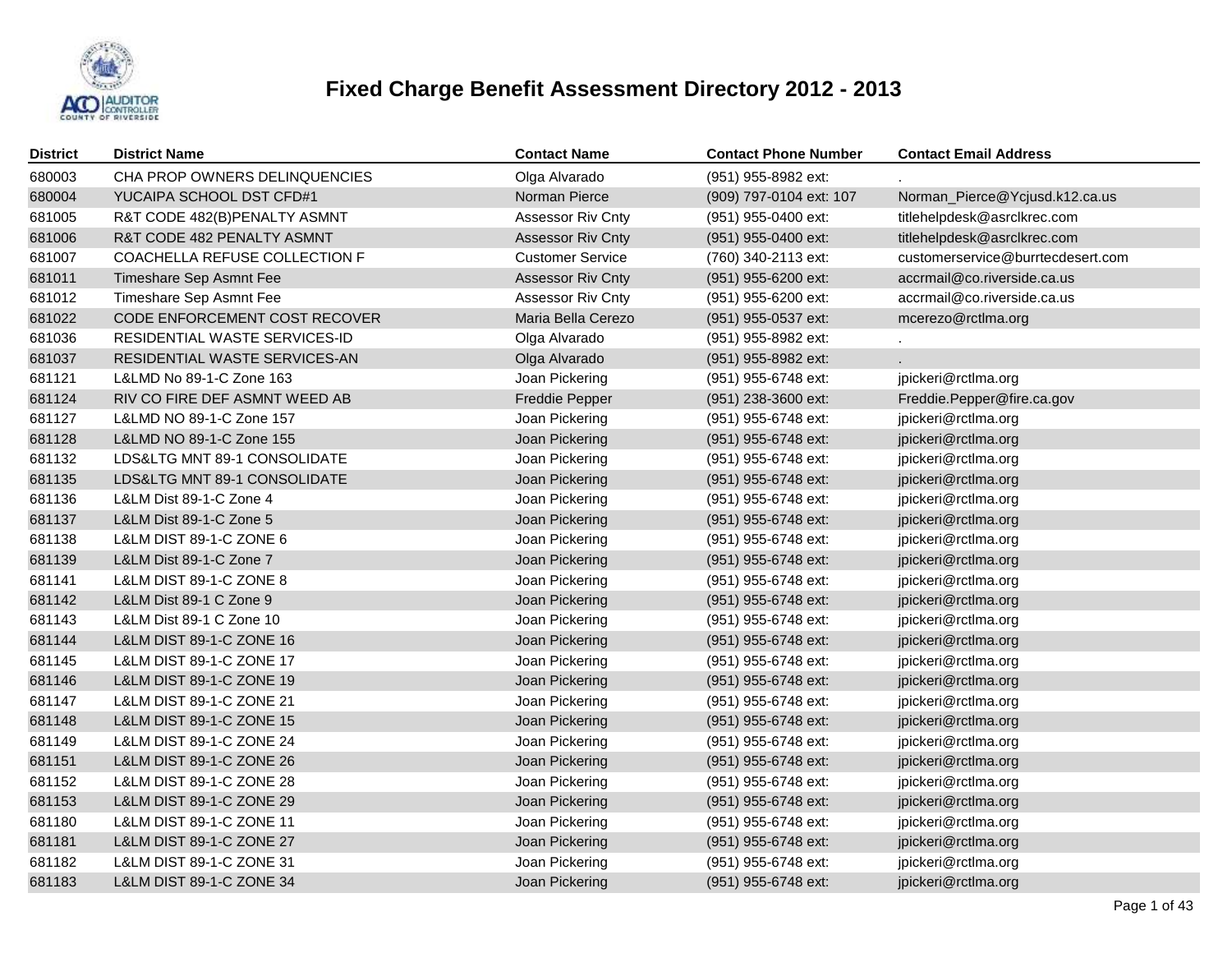

| <b>District</b> | <b>District Name</b>          | <b>Contact Name</b>      | <b>Contact Phone Number</b> | <b>Contact Email Address</b>      |
|-----------------|-------------------------------|--------------------------|-----------------------------|-----------------------------------|
| 680003          | CHA PROP OWNERS DELINQUENCIES | Olga Alvarado            | (951) 955-8982 ext:         |                                   |
| 680004          | YUCAIPA SCHOOL DST CFD#1      | Norman Pierce            | (909) 797-0104 ext: 107     | Norman_Pierce@Ycjusd.k12.ca.us    |
| 681005          | R&T CODE 482(B)PENALTY ASMNT  | Assessor Riv Cnty        | (951) 955-0400 ext:         | titlehelpdesk@asrclkrec.com       |
| 681006          | R&T CODE 482 PENALTY ASMNT    | <b>Assessor Riv Cnty</b> | (951) 955-0400 ext:         | titlehelpdesk@asrclkrec.com       |
| 681007          | COACHELLA REFUSE COLLECTION F | <b>Customer Service</b>  | (760) 340-2113 ext:         | customerservice@burrtecdesert.com |
| 681011          | Timeshare Sep Asmnt Fee       | <b>Assessor Riv Cnty</b> | (951) 955-6200 ext:         | accrmail@co.riverside.ca.us       |
| 681012          | Timeshare Sep Asmnt Fee       | Assessor Riv Cnty        | (951) 955-6200 ext:         | accrmail@co.riverside.ca.us       |
| 681022          | CODE ENFORCEMENT COST RECOVER | Maria Bella Cerezo       | (951) 955-0537 ext:         | mcerezo@rctlma.org                |
| 681036          | RESIDENTIAL WASTE SERVICES-ID | Olga Alvarado            | (951) 955-8982 ext:         |                                   |
| 681037          | RESIDENTIAL WASTE SERVICES-AN | Olga Alvarado            | (951) 955-8982 ext:         |                                   |
| 681121          | L&LMD No 89-1-C Zone 163      | Joan Pickering           | (951) 955-6748 ext:         | jpickeri@rctlma.org               |
| 681124          | RIV CO FIRE DEF ASMNT WEED AB | Freddie Pepper           | (951) 238-3600 ext:         | Freddie.Pepper@fire.ca.gov        |
| 681127          | L&LMD NO 89-1-C Zone 157      | Joan Pickering           | (951) 955-6748 ext:         | jpickeri@rctlma.org               |
| 681128          | L&LMD NO 89-1-C Zone 155      | Joan Pickering           | (951) 955-6748 ext:         | jpickeri@rctlma.org               |
| 681132          | LDS&LTG MNT 89-1 CONSOLIDATE  | Joan Pickering           | (951) 955-6748 ext:         | jpickeri@rctlma.org               |
| 681135          | LDS&LTG MNT 89-1 CONSOLIDATE  | Joan Pickering           | (951) 955-6748 ext:         | jpickeri@rctlma.org               |
| 681136          | L&LM Dist 89-1-C Zone 4       | Joan Pickering           | (951) 955-6748 ext:         | jpickeri@rctlma.org               |
| 681137          | L&LM Dist 89-1-C Zone 5       | Joan Pickering           | (951) 955-6748 ext:         | jpickeri@rctlma.org               |
| 681138          | L&LM DIST 89-1-C ZONE 6       | Joan Pickering           | (951) 955-6748 ext:         | jpickeri@rctlma.org               |
| 681139          | L&LM Dist 89-1-C Zone 7       | Joan Pickering           | (951) 955-6748 ext:         | jpickeri@rctlma.org               |
| 681141          | L&LM DIST 89-1-C ZONE 8       | Joan Pickering           | (951) 955-6748 ext:         | jpickeri@rctlma.org               |
| 681142          | L&LM Dist 89-1 C Zone 9       | Joan Pickering           | (951) 955-6748 ext:         | jpickeri@rctlma.org               |
| 681143          | L&LM Dist 89-1 C Zone 10      | Joan Pickering           | (951) 955-6748 ext:         | jpickeri@rctlma.org               |
| 681144          | L&LM DIST 89-1-C ZONE 16      | Joan Pickering           | (951) 955-6748 ext:         | jpickeri@rctlma.org               |
| 681145          | L&LM DIST 89-1-C ZONE 17      | Joan Pickering           | (951) 955-6748 ext:         | jpickeri@rctlma.org               |
| 681146          | L&LM DIST 89-1-C ZONE 19      | Joan Pickering           | (951) 955-6748 ext:         | jpickeri@rctlma.org               |
| 681147          | L&LM DIST 89-1-C ZONE 21      | Joan Pickering           | (951) 955-6748 ext:         | jpickeri@rctlma.org               |
| 681148          | L&LM DIST 89-1-C ZONE 15      | Joan Pickering           | (951) 955-6748 ext:         | jpickeri@rctlma.org               |
| 681149          | L&LM DIST 89-1-C ZONE 24      | Joan Pickering           | (951) 955-6748 ext:         | jpickeri@rctlma.org               |
| 681151          | L&LM DIST 89-1-C ZONE 26      | Joan Pickering           | (951) 955-6748 ext:         | jpickeri@rctlma.org               |
| 681152          | L&LM DIST 89-1-C ZONE 28      | Joan Pickering           | (951) 955-6748 ext:         | jpickeri@rctlma.org               |
| 681153          | L&LM DIST 89-1-C ZONE 29      | Joan Pickering           | (951) 955-6748 ext:         | jpickeri@rctlma.org               |
| 681180          | L&LM DIST 89-1-C ZONE 11      | Joan Pickering           | (951) 955-6748 ext:         | jpickeri@rctlma.org               |
| 681181          | L&LM DIST 89-1-C ZONE 27      | Joan Pickering           | (951) 955-6748 ext:         | jpickeri@rctlma.org               |
| 681182          | L&LM DIST 89-1-C ZONE 31      | Joan Pickering           | (951) 955-6748 ext:         | jpickeri@rctlma.org               |
| 681183          | L&LM DIST 89-1-C ZONE 34      | Joan Pickering           | (951) 955-6748 ext:         | jpickeri@rctlma.org               |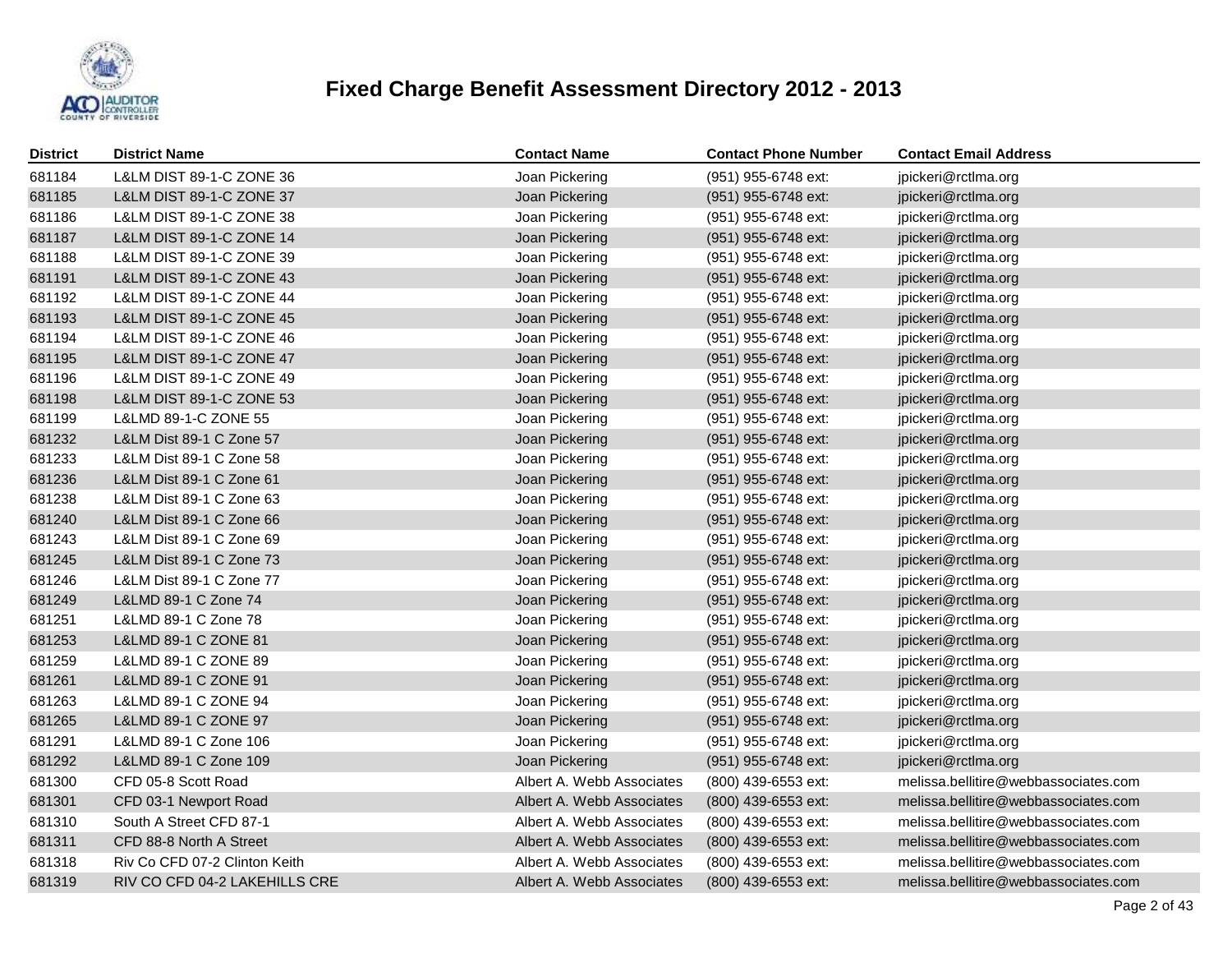

| <b>District</b> | <b>District Name</b>                | <b>Contact Name</b>       | <b>Contact Phone Number</b> | <b>Contact Email Address</b>         |
|-----------------|-------------------------------------|---------------------------|-----------------------------|--------------------------------------|
| 681184          | L&LM DIST 89-1-C ZONE 36            | Joan Pickering            | (951) 955-6748 ext:         | jpickeri@rctlma.org                  |
| 681185          | L&LM DIST 89-1-C ZONE 37            | Joan Pickering            | (951) 955-6748 ext:         | jpickeri@rctlma.org                  |
| 681186          | L&LM DIST 89-1-C ZONE 38            | Joan Pickering            | (951) 955-6748 ext:         | jpickeri@rctlma.org                  |
| 681187          | L&LM DIST 89-1-C ZONE 14            | Joan Pickering            | (951) 955-6748 ext:         | jpickeri@rctlma.org                  |
| 681188          | L&LM DIST 89-1-C ZONE 39            | Joan Pickering            | (951) 955-6748 ext:         | jpickeri@rctlma.org                  |
| 681191          | <b>L&amp;LM DIST 89-1-C ZONE 43</b> | Joan Pickering            | (951) 955-6748 ext:         | jpickeri@rctlma.org                  |
| 681192          | L&LM DIST 89-1-C ZONE 44            | Joan Pickering            | (951) 955-6748 ext:         | jpickeri@rctlma.org                  |
| 681193          | <b>L&amp;LM DIST 89-1-C ZONE 45</b> | Joan Pickering            | (951) 955-6748 ext:         | jpickeri@rctlma.org                  |
| 681194          | L&LM DIST 89-1-C ZONE 46            | Joan Pickering            | (951) 955-6748 ext:         | jpickeri@rctlma.org                  |
| 681195          | <b>L&amp;LM DIST 89-1-C ZONE 47</b> | Joan Pickering            | (951) 955-6748 ext:         | jpickeri@rctlma.org                  |
| 681196          | L&LM DIST 89-1-C ZONE 49            | Joan Pickering            | (951) 955-6748 ext:         | jpickeri@rctlma.org                  |
| 681198          | <b>L&amp;LM DIST 89-1-C ZONE 53</b> | Joan Pickering            | (951) 955-6748 ext:         | jpickeri@rctlma.org                  |
| 681199          | L&LMD 89-1-C ZONE 55                | Joan Pickering            | (951) 955-6748 ext:         | jpickeri@rctlma.org                  |
| 681232          | L&LM Dist 89-1 C Zone 57            | Joan Pickering            | (951) 955-6748 ext:         | jpickeri@rctlma.org                  |
| 681233          | L&LM Dist 89-1 C Zone 58            | Joan Pickering            | (951) 955-6748 ext:         | jpickeri@rctlma.org                  |
| 681236          | L&LM Dist 89-1 C Zone 61            | Joan Pickering            | (951) 955-6748 ext:         | jpickeri@rctlma.org                  |
| 681238          | L&LM Dist 89-1 C Zone 63            | Joan Pickering            | (951) 955-6748 ext:         | jpickeri@rctlma.org                  |
| 681240          | L&LM Dist 89-1 C Zone 66            | Joan Pickering            | (951) 955-6748 ext:         | jpickeri@rctlma.org                  |
| 681243          | L&LM Dist 89-1 C Zone 69            | Joan Pickering            | (951) 955-6748 ext:         | jpickeri@rctlma.org                  |
| 681245          | L&LM Dist 89-1 C Zone 73            | Joan Pickering            | (951) 955-6748 ext:         | jpickeri@rctlma.org                  |
| 681246          | L&LM Dist 89-1 C Zone 77            | Joan Pickering            | (951) 955-6748 ext:         | jpickeri@rctlma.org                  |
| 681249          | L&LMD 89-1 C Zone 74                | Joan Pickering            | (951) 955-6748 ext:         | jpickeri@rctlma.org                  |
| 681251          | L&LMD 89-1 C Zone 78                | Joan Pickering            | (951) 955-6748 ext:         | jpickeri@rctlma.org                  |
| 681253          | L&LMD 89-1 C ZONE 81                | Joan Pickering            | (951) 955-6748 ext:         | jpickeri@rctlma.org                  |
| 681259          | L&LMD 89-1 C ZONE 89                | Joan Pickering            | (951) 955-6748 ext:         | jpickeri@rctlma.org                  |
| 681261          | L&LMD 89-1 C ZONE 91                | Joan Pickering            | (951) 955-6748 ext:         | jpickeri@rctlma.org                  |
| 681263          | L&LMD 89-1 C ZONE 94                | Joan Pickering            | (951) 955-6748 ext:         | jpickeri@rctlma.org                  |
| 681265          | L&LMD 89-1 C ZONE 97                | Joan Pickering            | (951) 955-6748 ext:         | jpickeri@rctlma.org                  |
| 681291          | L&LMD 89-1 C Zone 106               | Joan Pickering            | (951) 955-6748 ext:         | jpickeri@rctlma.org                  |
| 681292          | L&LMD 89-1 C Zone 109               | Joan Pickering            | (951) 955-6748 ext:         | jpickeri@rctlma.org                  |
| 681300          | CFD 05-8 Scott Road                 | Albert A. Webb Associates | (800) 439-6553 ext:         | melissa.bellitire@webbassociates.com |
| 681301          | CFD 03-1 Newport Road               | Albert A. Webb Associates | (800) 439-6553 ext:         | melissa.bellitire@webbassociates.com |
| 681310          | South A Street CFD 87-1             | Albert A. Webb Associates | (800) 439-6553 ext:         | melissa.bellitire@webbassociates.com |
| 681311          | CFD 88-8 North A Street             | Albert A. Webb Associates | (800) 439-6553 ext:         | melissa.bellitire@webbassociates.com |
| 681318          | Riv Co CFD 07-2 Clinton Keith       | Albert A. Webb Associates | (800) 439-6553 ext:         | melissa.bellitire@webbassociates.com |
| 681319          | RIV CO CFD 04-2 LAKEHILLS CRE       | Albert A. Webb Associates | (800) 439-6553 ext:         | melissa.bellitire@webbassociates.com |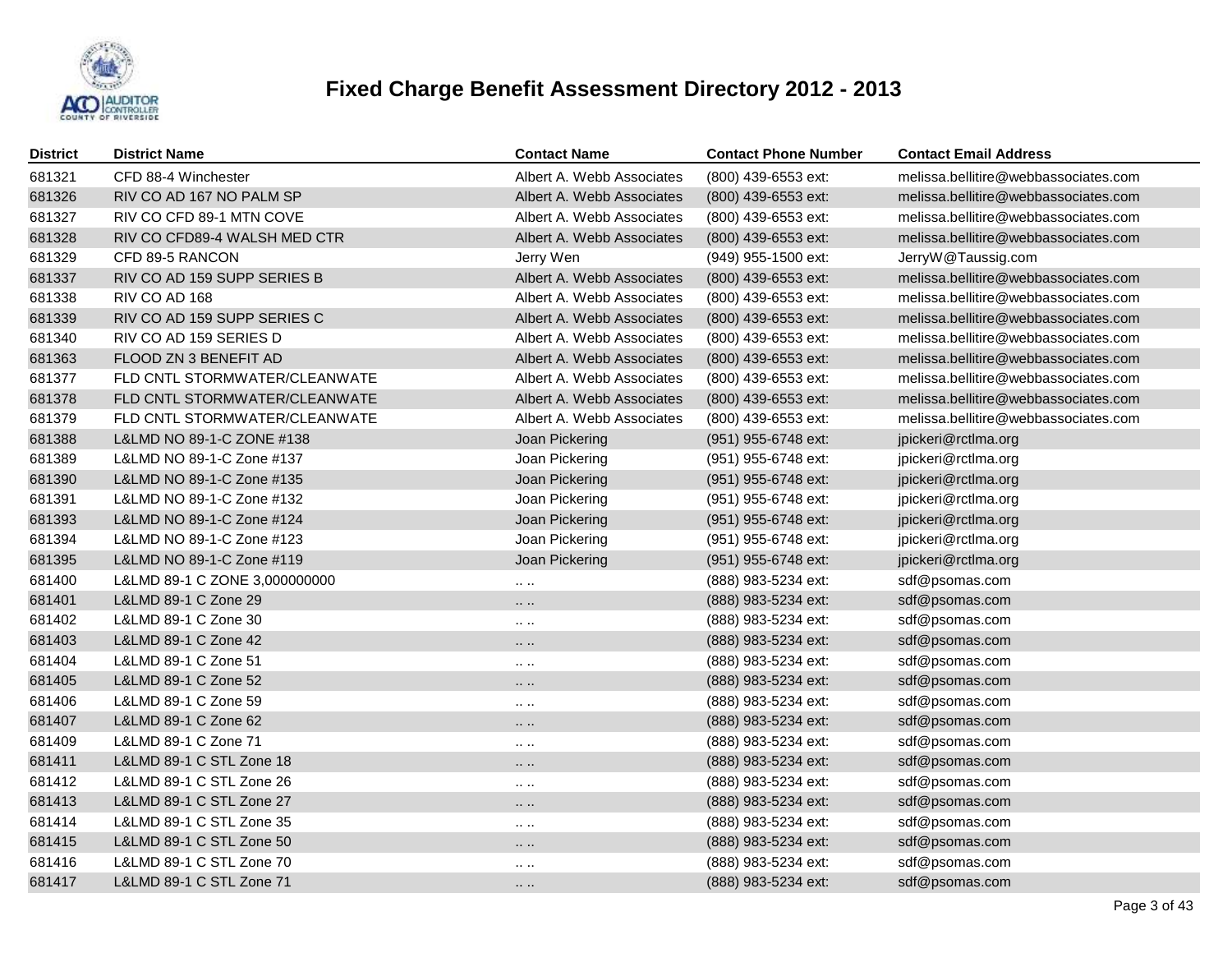

| <b>District</b> | <b>District Name</b>          | <b>Contact Name</b>       | <b>Contact Phone Number</b> | <b>Contact Email Address</b>         |
|-----------------|-------------------------------|---------------------------|-----------------------------|--------------------------------------|
| 681321          | CFD 88-4 Winchester           | Albert A. Webb Associates | (800) 439-6553 ext:         | melissa.bellitire@webbassociates.com |
| 681326          | RIV CO AD 167 NO PALM SP      | Albert A. Webb Associates | (800) 439-6553 ext:         | melissa.bellitire@webbassociates.com |
| 681327          | RIV CO CFD 89-1 MTN COVE      | Albert A. Webb Associates | (800) 439-6553 ext:         | melissa.bellitire@webbassociates.com |
| 681328          | RIV CO CFD89-4 WALSH MED CTR  | Albert A. Webb Associates | (800) 439-6553 ext:         | melissa.bellitire@webbassociates.com |
| 681329          | CFD 89-5 RANCON               | Jerry Wen                 | (949) 955-1500 ext:         | JerryW@Taussig.com                   |
| 681337          | RIV CO AD 159 SUPP SERIES B   | Albert A. Webb Associates | (800) 439-6553 ext:         | melissa.bellitire@webbassociates.com |
| 681338          | RIV CO AD 168                 | Albert A. Webb Associates | (800) 439-6553 ext:         | melissa.bellitire@webbassociates.com |
| 681339          | RIV CO AD 159 SUPP SERIES C   | Albert A. Webb Associates | (800) 439-6553 ext:         | melissa.bellitire@webbassociates.com |
| 681340          | RIV CO AD 159 SERIES D        | Albert A. Webb Associates | (800) 439-6553 ext:         | melissa.bellitire@webbassociates.com |
| 681363          | FLOOD ZN 3 BENEFIT AD         | Albert A. Webb Associates | (800) 439-6553 ext:         | melissa.bellitire@webbassociates.com |
| 681377          | FLD CNTL STORMWATER/CLEANWATE | Albert A. Webb Associates | (800) 439-6553 ext:         | melissa.bellitire@webbassociates.com |
| 681378          | FLD CNTL STORMWATER/CLEANWATE | Albert A. Webb Associates | (800) 439-6553 ext:         | melissa.bellitire@webbassociates.com |
| 681379          | FLD CNTL STORMWATER/CLEANWATE | Albert A. Webb Associates | (800) 439-6553 ext:         | melissa.bellitire@webbassociates.com |
| 681388          | L&LMD NO 89-1-C ZONE #138     | Joan Pickering            | (951) 955-6748 ext:         | jpickeri@rctlma.org                  |
| 681389          | L&LMD NO 89-1-C Zone #137     | Joan Pickering            | (951) 955-6748 ext:         | jpickeri@rctlma.org                  |
| 681390          | L&LMD NO 89-1-C Zone #135     | Joan Pickering            | (951) 955-6748 ext:         | jpickeri@rctlma.org                  |
| 681391          | L&LMD NO 89-1-C Zone #132     | Joan Pickering            | (951) 955-6748 ext:         | jpickeri@rctlma.org                  |
| 681393          | L&LMD NO 89-1-C Zone #124     | Joan Pickering            | (951) 955-6748 ext:         | jpickeri@rctlma.org                  |
| 681394          | L&LMD NO 89-1-C Zone #123     | Joan Pickering            | (951) 955-6748 ext:         | jpickeri@rctlma.org                  |
| 681395          | L&LMD NO 89-1-C Zone #119     | Joan Pickering            | (951) 955-6748 ext:         | jpickeri@rctlma.org                  |
| 681400          | L&LMD 89-1 C ZONE 3,000000000 | $\cdots$                  | (888) 983-5234 ext:         | sdf@psomas.com                       |
| 681401          | L&LMD 89-1 C Zone 29          | $\cdots$                  | (888) 983-5234 ext:         | sdf@psomas.com                       |
| 681402          | L&LMD 89-1 C Zone 30          | $\cdots$ .                | (888) 983-5234 ext:         | sdf@psomas.com                       |
| 681403          | L&LMD 89-1 C Zone 42          |                           | (888) 983-5234 ext:         | sdf@psomas.com                       |
| 681404          | L&LMD 89-1 C Zone 51          | $\cdots$                  | (888) 983-5234 ext:         | sdf@psomas.com                       |
| 681405          | L&LMD 89-1 C Zone 52          | $\cdots$                  | (888) 983-5234 ext:         | sdf@psomas.com                       |
| 681406          | L&LMD 89-1 C Zone 59          | $\cdots$                  | (888) 983-5234 ext:         | sdf@psomas.com                       |
| 681407          | L&LMD 89-1 C Zone 62          | $\cdots$                  | (888) 983-5234 ext:         | sdf@psomas.com                       |
| 681409          | L&LMD 89-1 C Zone 71          | $\cdots$                  | (888) 983-5234 ext:         | sdf@psomas.com                       |
| 681411          | L&LMD 89-1 C STL Zone 18      |                           | (888) 983-5234 ext:         | sdf@psomas.com                       |
| 681412          | L&LMD 89-1 C STL Zone 26      | $\cdots$ . $\cdots$       | (888) 983-5234 ext:         | sdf@psomas.com                       |
| 681413          | L&LMD 89-1 C STL Zone 27      |                           | (888) 983-5234 ext:         | sdf@psomas.com                       |
| 681414          | L&LMD 89-1 C STL Zone 35      | $\cdots$                  | (888) 983-5234 ext:         | sdf@psomas.com                       |
| 681415          | L&LMD 89-1 C STL Zone 50      | $\cdots$                  | (888) 983-5234 ext:         | sdf@psomas.com                       |
| 681416          | L&LMD 89-1 C STL Zone 70      | $\cdots$ . $\cdots$       | (888) 983-5234 ext:         | sdf@psomas.com                       |
| 681417          | L&LMD 89-1 C STL Zone 71      | $\cdots$                  | (888) 983-5234 ext:         | sdf@psomas.com                       |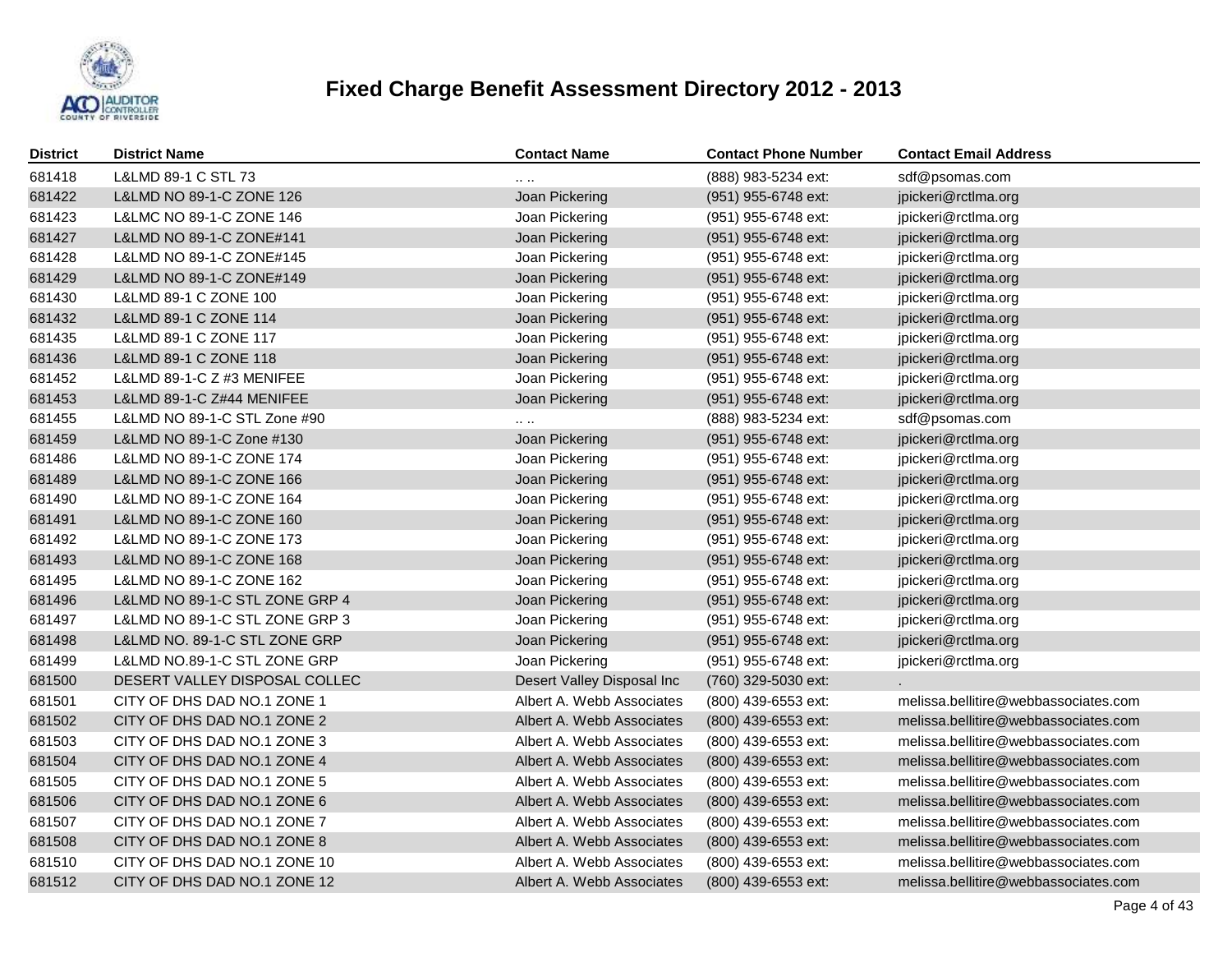

| District | <b>District Name</b>           | <b>Contact Name</b>        | <b>Contact Phone Number</b> | <b>Contact Email Address</b>         |
|----------|--------------------------------|----------------------------|-----------------------------|--------------------------------------|
| 681418   | L&LMD 89-1 C STL 73            |                            | (888) 983-5234 ext:         | sdf@psomas.com                       |
| 681422   | L&LMD NO 89-1-C ZONE 126       | Joan Pickering             | (951) 955-6748 ext:         | jpickeri@rctlma.org                  |
| 681423   | L&LMC NO 89-1-C ZONE 146       | Joan Pickering             | (951) 955-6748 ext:         | jpickeri@rctlma.org                  |
| 681427   | L&LMD NO 89-1-C ZONE#141       | Joan Pickering             | (951) 955-6748 ext:         | jpickeri@rctlma.org                  |
| 681428   | L&LMD NO 89-1-C ZONE#145       | Joan Pickering             | (951) 955-6748 ext:         | jpickeri@rctlma.org                  |
| 681429   | L&LMD NO 89-1-C ZONE#149       | Joan Pickering             | (951) 955-6748 ext:         | jpickeri@rctlma.org                  |
| 681430   | L&LMD 89-1 C ZONE 100          | Joan Pickering             | (951) 955-6748 ext:         | jpickeri@rctlma.org                  |
| 681432   | L&LMD 89-1 C ZONE 114          | Joan Pickering             | (951) 955-6748 ext:         | jpickeri@rctlma.org                  |
| 681435   | L&LMD 89-1 C ZONE 117          | Joan Pickering             | (951) 955-6748 ext:         | jpickeri@rctlma.org                  |
| 681436   | L&LMD 89-1 C ZONE 118          | Joan Pickering             | (951) 955-6748 ext:         | jpickeri@rctlma.org                  |
| 681452   | L&LMD 89-1-C Z #3 MENIFEE      | Joan Pickering             | (951) 955-6748 ext:         | jpickeri@rctlma.org                  |
| 681453   | L&LMD 89-1-C Z#44 MENIFEE      | Joan Pickering             | (951) 955-6748 ext:         | jpickeri@rctlma.org                  |
| 681455   | L&LMD NO 89-1-C STL Zone #90   |                            | (888) 983-5234 ext:         | sdf@psomas.com                       |
| 681459   | L&LMD NO 89-1-C Zone #130      | Joan Pickering             | (951) 955-6748 ext:         | jpickeri@rctlma.org                  |
| 681486   | L&LMD NO 89-1-C ZONE 174       | Joan Pickering             | (951) 955-6748 ext:         | jpickeri@rctlma.org                  |
| 681489   | L&LMD NO 89-1-C ZONE 166       | Joan Pickering             | (951) 955-6748 ext:         | jpickeri@rctlma.org                  |
| 681490   | L&LMD NO 89-1-C ZONE 164       | Joan Pickering             | (951) 955-6748 ext:         | jpickeri@rctlma.org                  |
| 681491   | L&LMD NO 89-1-C ZONE 160       | Joan Pickering             | (951) 955-6748 ext:         | jpickeri@rctlma.org                  |
| 681492   | L&LMD NO 89-1-C ZONE 173       | Joan Pickering             | $(951)$ 955-6748 ext:       | jpickeri@rctlma.org                  |
| 681493   | L&LMD NO 89-1-C ZONE 168       | Joan Pickering             | (951) 955-6748 ext:         | jpickeri@rctlma.org                  |
| 681495   | L&LMD NO 89-1-C ZONE 162       | Joan Pickering             | $(951)$ 955-6748 ext:       | jpickeri@rctlma.org                  |
| 681496   | L&LMD NO 89-1-C STL ZONE GRP 4 | Joan Pickering             | (951) 955-6748 ext:         | jpickeri@rctlma.org                  |
| 681497   | L&LMD NO 89-1-C STL ZONE GRP 3 | Joan Pickering             | (951) 955-6748 ext:         | jpickeri@rctlma.org                  |
| 681498   | L&LMD NO. 89-1-C STL ZONE GRP  | Joan Pickering             | (951) 955-6748 ext:         | jpickeri@rctlma.org                  |
| 681499   | L&LMD NO.89-1-C STL ZONE GRP   | Joan Pickering             | (951) 955-6748 ext:         | jpickeri@rctlma.org                  |
| 681500   | DESERT VALLEY DISPOSAL COLLEC  | Desert Valley Disposal Inc | (760) 329-5030 ext:         |                                      |
| 681501   | CITY OF DHS DAD NO.1 ZONE 1    | Albert A. Webb Associates  | (800) 439-6553 ext:         | melissa.bellitire@webbassociates.com |
| 681502   | CITY OF DHS DAD NO.1 ZONE 2    | Albert A. Webb Associates  | (800) 439-6553 ext:         | melissa.bellitire@webbassociates.com |
| 681503   | CITY OF DHS DAD NO.1 ZONE 3    | Albert A. Webb Associates  | (800) 439-6553 ext:         | melissa.bellitire@webbassociates.com |
| 681504   | CITY OF DHS DAD NO.1 ZONE 4    | Albert A. Webb Associates  | (800) 439-6553 ext:         | melissa.bellitire@webbassociates.com |
| 681505   | CITY OF DHS DAD NO.1 ZONE 5    | Albert A. Webb Associates  | (800) 439-6553 ext:         | melissa.bellitire@webbassociates.com |
| 681506   | CITY OF DHS DAD NO.1 ZONE 6    | Albert A. Webb Associates  | (800) 439-6553 ext:         | melissa.bellitire@webbassociates.com |
| 681507   | CITY OF DHS DAD NO.1 ZONE 7    | Albert A. Webb Associates  | (800) 439-6553 ext:         | melissa.bellitire@webbassociates.com |
| 681508   | CITY OF DHS DAD NO.1 ZONE 8    | Albert A. Webb Associates  | (800) 439-6553 ext:         | melissa.bellitire@webbassociates.com |
| 681510   | CITY OF DHS DAD NO.1 ZONE 10   | Albert A. Webb Associates  | (800) 439-6553 ext:         | melissa.bellitire@webbassociates.com |
| 681512   | CITY OF DHS DAD NO.1 ZONE 12   | Albert A. Webb Associates  | (800) 439-6553 ext:         | melissa.bellitire@webbassociates.com |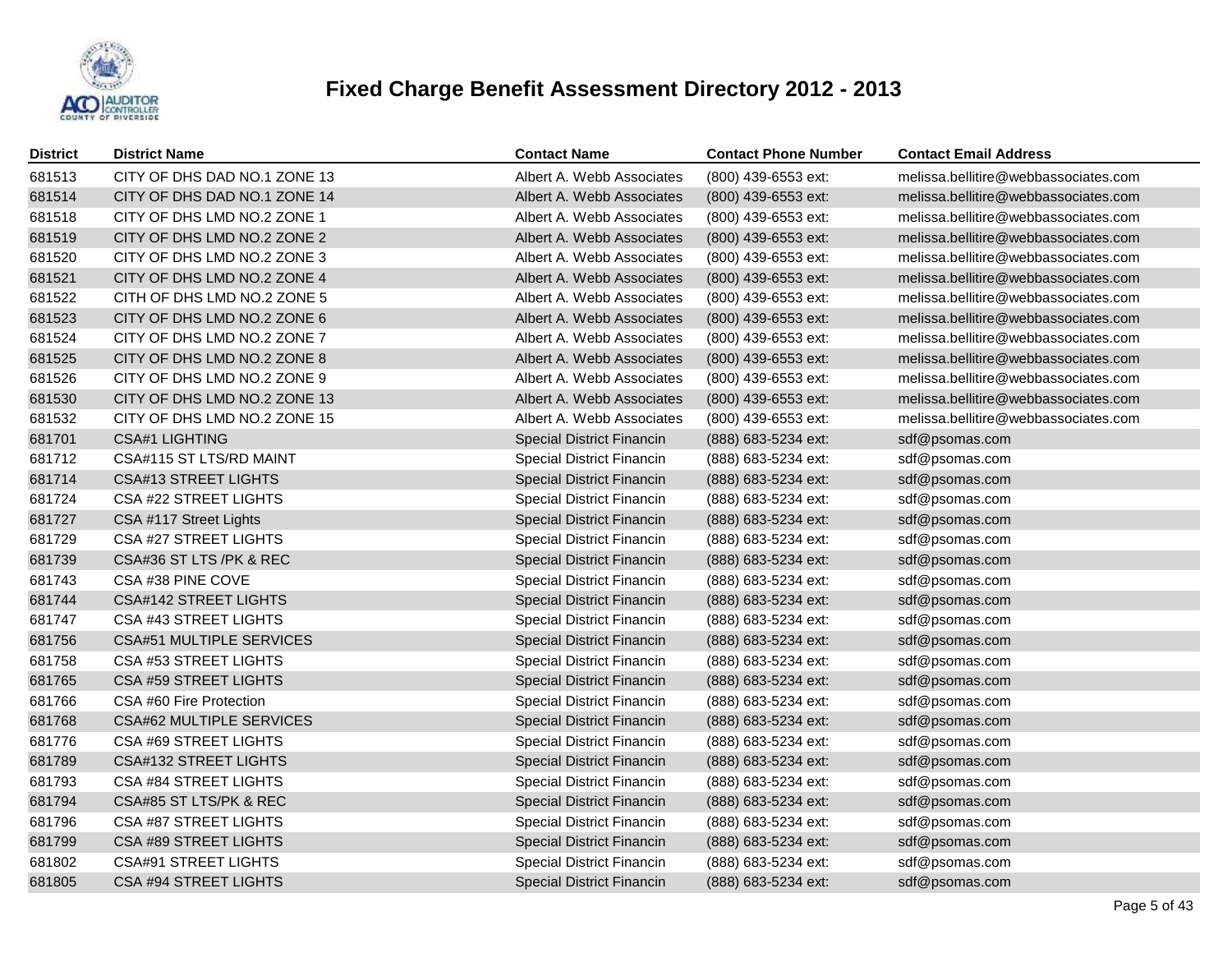

| District | <b>District Name</b>            | <b>Contact Name</b>              | <b>Contact Phone Number</b> | <b>Contact Email Address</b>         |
|----------|---------------------------------|----------------------------------|-----------------------------|--------------------------------------|
| 681513   | CITY OF DHS DAD NO.1 ZONE 13    | Albert A. Webb Associates        | (800) 439-6553 ext:         | melissa.bellitire@webbassociates.com |
| 681514   | CITY OF DHS DAD NO.1 ZONE 14    | Albert A. Webb Associates        | (800) 439-6553 ext:         | melissa.bellitire@webbassociates.com |
| 681518   | CITY OF DHS LMD NO.2 ZONE 1     | Albert A. Webb Associates        | (800) 439-6553 ext:         | melissa.bellitire@webbassociates.com |
| 681519   | CITY OF DHS LMD NO.2 ZONE 2     | Albert A. Webb Associates        | (800) 439-6553 ext:         | melissa.bellitire@webbassociates.com |
| 681520   | CITY OF DHS LMD NO.2 ZONE 3     | Albert A. Webb Associates        | (800) 439-6553 ext:         | melissa.bellitire@webbassociates.com |
| 681521   | CITY OF DHS LMD NO.2 ZONE 4     | Albert A. Webb Associates        | (800) 439-6553 ext:         | melissa.bellitire@webbassociates.com |
| 681522   | CITH OF DHS LMD NO.2 ZONE 5     | Albert A. Webb Associates        | (800) 439-6553 ext:         | melissa.bellitire@webbassociates.com |
| 681523   | CITY OF DHS LMD NO.2 ZONE 6     | Albert A. Webb Associates        | (800) 439-6553 ext:         | melissa.bellitire@webbassociates.com |
| 681524   | CITY OF DHS LMD NO.2 ZONE 7     | Albert A. Webb Associates        | (800) 439-6553 ext:         | melissa.bellitire@webbassociates.com |
| 681525   | CITY OF DHS LMD NO.2 ZONE 8     | Albert A. Webb Associates        | (800) 439-6553 ext:         | melissa.bellitire@webbassociates.com |
| 681526   | CITY OF DHS LMD NO.2 ZONE 9     | Albert A. Webb Associates        | (800) 439-6553 ext:         | melissa.bellitire@webbassociates.com |
| 681530   | CITY OF DHS LMD NO.2 ZONE 13    | Albert A. Webb Associates        | (800) 439-6553 ext:         | melissa.bellitire@webbassociates.com |
| 681532   | CITY OF DHS LMD NO.2 ZONE 15    | Albert A. Webb Associates        | (800) 439-6553 ext:         | melissa.bellitire@webbassociates.com |
| 681701   | <b>CSA#1 LIGHTING</b>           | <b>Special District Financin</b> | (888) 683-5234 ext:         | sdf@psomas.com                       |
| 681712   | CSA#115 ST LTS/RD MAINT         | <b>Special District Financin</b> | (888) 683-5234 ext:         | sdf@psomas.com                       |
| 681714   | <b>CSA#13 STREET LIGHTS</b>     | <b>Special District Financin</b> | (888) 683-5234 ext:         | sdf@psomas.com                       |
| 681724   | CSA #22 STREET LIGHTS           | Special District Financin        | (888) 683-5234 ext:         | sdf@psomas.com                       |
| 681727   | CSA #117 Street Lights          | <b>Special District Financin</b> | (888) 683-5234 ext:         | sdf@psomas.com                       |
| 681729   | CSA #27 STREET LIGHTS           | <b>Special District Financin</b> | (888) 683-5234 ext:         | sdf@psomas.com                       |
| 681739   | CSA#36 ST LTS /PK & REC         | <b>Special District Financin</b> | (888) 683-5234 ext:         | sdf@psomas.com                       |
| 681743   | CSA #38 PINE COVE               | Special District Financin        | (888) 683-5234 ext:         | sdf@psomas.com                       |
| 681744   | <b>CSA#142 STREET LIGHTS</b>    | Special District Financin        | (888) 683-5234 ext:         | sdf@psomas.com                       |
| 681747   | CSA #43 STREET LIGHTS           | Special District Financin        | (888) 683-5234 ext:         | sdf@psomas.com                       |
| 681756   | <b>CSA#51 MULTIPLE SERVICES</b> | <b>Special District Financin</b> | (888) 683-5234 ext:         | sdf@psomas.com                       |
| 681758   | CSA #53 STREET LIGHTS           | Special District Financin        | (888) 683-5234 ext:         | sdf@psomas.com                       |
| 681765   | CSA #59 STREET LIGHTS           | <b>Special District Financin</b> | (888) 683-5234 ext:         | sdf@psomas.com                       |
| 681766   | CSA #60 Fire Protection         | Special District Financin        | (888) 683-5234 ext:         | sdf@psomas.com                       |
| 681768   | CSA#62 MULTIPLE SERVICES        | <b>Special District Financin</b> | (888) 683-5234 ext:         | sdf@psomas.com                       |
| 681776   | CSA #69 STREET LIGHTS           | Special District Financin        | (888) 683-5234 ext:         | sdf@psomas.com                       |
| 681789   | <b>CSA#132 STREET LIGHTS</b>    | <b>Special District Financin</b> | (888) 683-5234 ext:         | sdf@psomas.com                       |
| 681793   | CSA #84 STREET LIGHTS           | Special District Financin        | (888) 683-5234 ext:         | sdf@psomas.com                       |
| 681794   | CSA#85 ST LTS/PK & REC          | <b>Special District Financin</b> | (888) 683-5234 ext:         | sdf@psomas.com                       |
| 681796   | CSA #87 STREET LIGHTS           | Special District Financin        | (888) 683-5234 ext:         | sdf@psomas.com                       |
| 681799   | CSA #89 STREET LIGHTS           | <b>Special District Financin</b> | (888) 683-5234 ext:         | sdf@psomas.com                       |
| 681802   | <b>CSA#91 STREET LIGHTS</b>     | Special District Financin        | (888) 683-5234 ext:         | sdf@psomas.com                       |
| 681805   | <b>CSA #94 STREET LIGHTS</b>    | <b>Special District Financin</b> | (888) 683-5234 ext:         | sdf@psomas.com                       |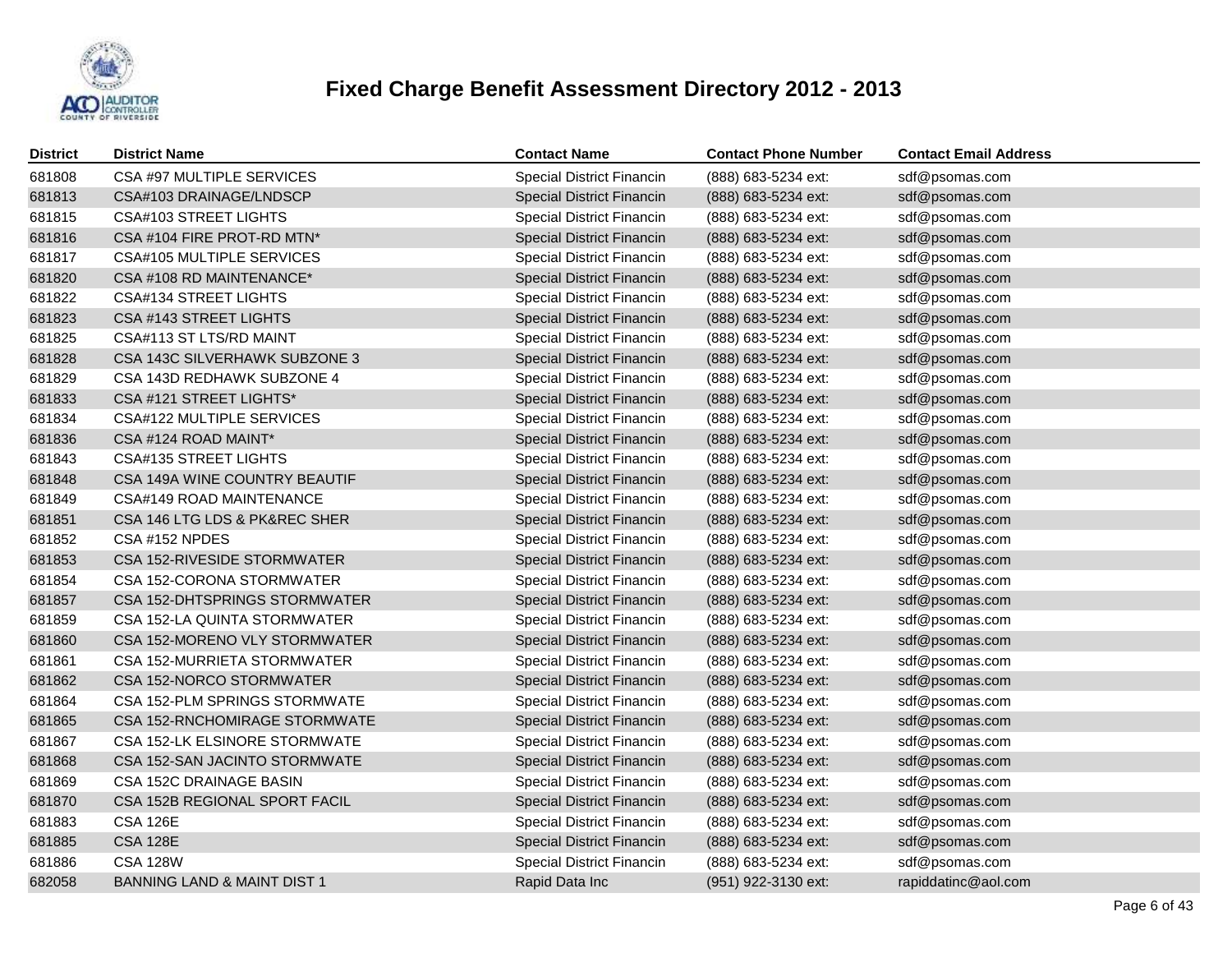

| <b>District</b> | <b>District Name</b>                   | <b>Contact Name</b>              | <b>Contact Phone Number</b> | <b>Contact Email Address</b> |
|-----------------|----------------------------------------|----------------------------------|-----------------------------|------------------------------|
| 681808          | CSA #97 MULTIPLE SERVICES              | Special District Financin        | (888) 683-5234 ext:         | sdf@psomas.com               |
| 681813          | CSA#103 DRAINAGE/LNDSCP                | Special District Financin        | (888) 683-5234 ext:         | sdf@psomas.com               |
| 681815          | <b>CSA#103 STREET LIGHTS</b>           | Special District Financin        | (888) 683-5234 ext:         | sdf@psomas.com               |
| 681816          | CSA #104 FIRE PROT-RD MTN*             | Special District Financin        | (888) 683-5234 ext:         | sdf@psomas.com               |
| 681817          | CSA#105 MULTIPLE SERVICES              | Special District Financin        | (888) 683-5234 ext:         | sdf@psomas.com               |
| 681820          | CSA #108 RD MAINTENANCE*               | Special District Financin        | (888) 683-5234 ext:         | sdf@psomas.com               |
| 681822          | <b>CSA#134 STREET LIGHTS</b>           | Special District Financin        | (888) 683-5234 ext:         | sdf@psomas.com               |
| 681823          | CSA #143 STREET LIGHTS                 | <b>Special District Financin</b> | (888) 683-5234 ext:         | sdf@psomas.com               |
| 681825          | CSA#113 ST LTS/RD MAINT                | Special District Financin        | (888) 683-5234 ext:         | sdf@psomas.com               |
| 681828          | CSA 143C SILVERHAWK SUBZONE 3          | Special District Financin        | (888) 683-5234 ext:         | sdf@psomas.com               |
| 681829          | CSA 143D REDHAWK SUBZONE 4             | Special District Financin        | (888) 683-5234 ext:         | sdf@psomas.com               |
| 681833          | CSA #121 STREET LIGHTS*                | <b>Special District Financin</b> | (888) 683-5234 ext:         | sdf@psomas.com               |
| 681834          | CSA#122 MULTIPLE SERVICES              | Special District Financin        | (888) 683-5234 ext:         | sdf@psomas.com               |
| 681836          | CSA #124 ROAD MAINT*                   | <b>Special District Financin</b> | (888) 683-5234 ext:         | sdf@psomas.com               |
| 681843          | <b>CSA#135 STREET LIGHTS</b>           | Special District Financin        | (888) 683-5234 ext:         | sdf@psomas.com               |
| 681848          | CSA 149A WINE COUNTRY BEAUTIF          | Special District Financin        | (888) 683-5234 ext:         | sdf@psomas.com               |
| 681849          | CSA#149 ROAD MAINTENANCE               | Special District Financin        | (888) 683-5234 ext:         | sdf@psomas.com               |
| 681851          | CSA 146 LTG LDS & PK&REC SHER          | Special District Financin        | (888) 683-5234 ext:         | sdf@psomas.com               |
| 681852          | CSA #152 NPDES                         | Special District Financin        | (888) 683-5234 ext:         | sdf@psomas.com               |
| 681853          | CSA 152-RIVESIDE STORMWATER            | Special District Financin        | (888) 683-5234 ext:         | sdf@psomas.com               |
| 681854          | CSA 152-CORONA STORMWATER              | Special District Financin        | (888) 683-5234 ext:         | sdf@psomas.com               |
| 681857          | CSA 152-DHTSPRINGS STORMWATER          | Special District Financin        | (888) 683-5234 ext:         | sdf@psomas.com               |
| 681859          | CSA 152-LA QUINTA STORMWATER           | Special District Financin        | (888) 683-5234 ext:         | sdf@psomas.com               |
| 681860          | CSA 152-MORENO VLY STORMWATER          | <b>Special District Financin</b> | (888) 683-5234 ext:         | sdf@psomas.com               |
| 681861          | CSA 152-MURRIETA STORMWATER            | Special District Financin        | (888) 683-5234 ext:         | sdf@psomas.com               |
| 681862          | CSA 152-NORCO STORMWATER               | Special District Financin        | (888) 683-5234 ext:         | sdf@psomas.com               |
| 681864          | CSA 152-PLM SPRINGS STORMWATE          | Special District Financin        | (888) 683-5234 ext:         | sdf@psomas.com               |
| 681865          | CSA 152-RNCHOMIRAGE STORMWATE          | <b>Special District Financin</b> | (888) 683-5234 ext:         | sdf@psomas.com               |
| 681867          | CSA 152-LK ELSINORE STORMWATE          | Special District Financin        | (888) 683-5234 ext:         | sdf@psomas.com               |
| 681868          | CSA 152-SAN JACINTO STORMWATE          | <b>Special District Financin</b> | (888) 683-5234 ext:         | sdf@psomas.com               |
| 681869          | CSA 152C DRAINAGE BASIN                | Special District Financin        | (888) 683-5234 ext:         | sdf@psomas.com               |
| 681870          | CSA 152B REGIONAL SPORT FACIL          | Special District Financin        | (888) 683-5234 ext:         | sdf@psomas.com               |
| 681883          | <b>CSA 126E</b>                        | Special District Financin        | (888) 683-5234 ext:         | sdf@psomas.com               |
| 681885          | <b>CSA 128E</b>                        | Special District Financin        | (888) 683-5234 ext:         | sdf@psomas.com               |
| 681886          | <b>CSA 128W</b>                        | Special District Financin        | (888) 683-5234 ext:         | sdf@psomas.com               |
| 682058          | <b>BANNING LAND &amp; MAINT DIST 1</b> | Rapid Data Inc                   | (951) 922-3130 ext:         | rapiddatinc@aol.com          |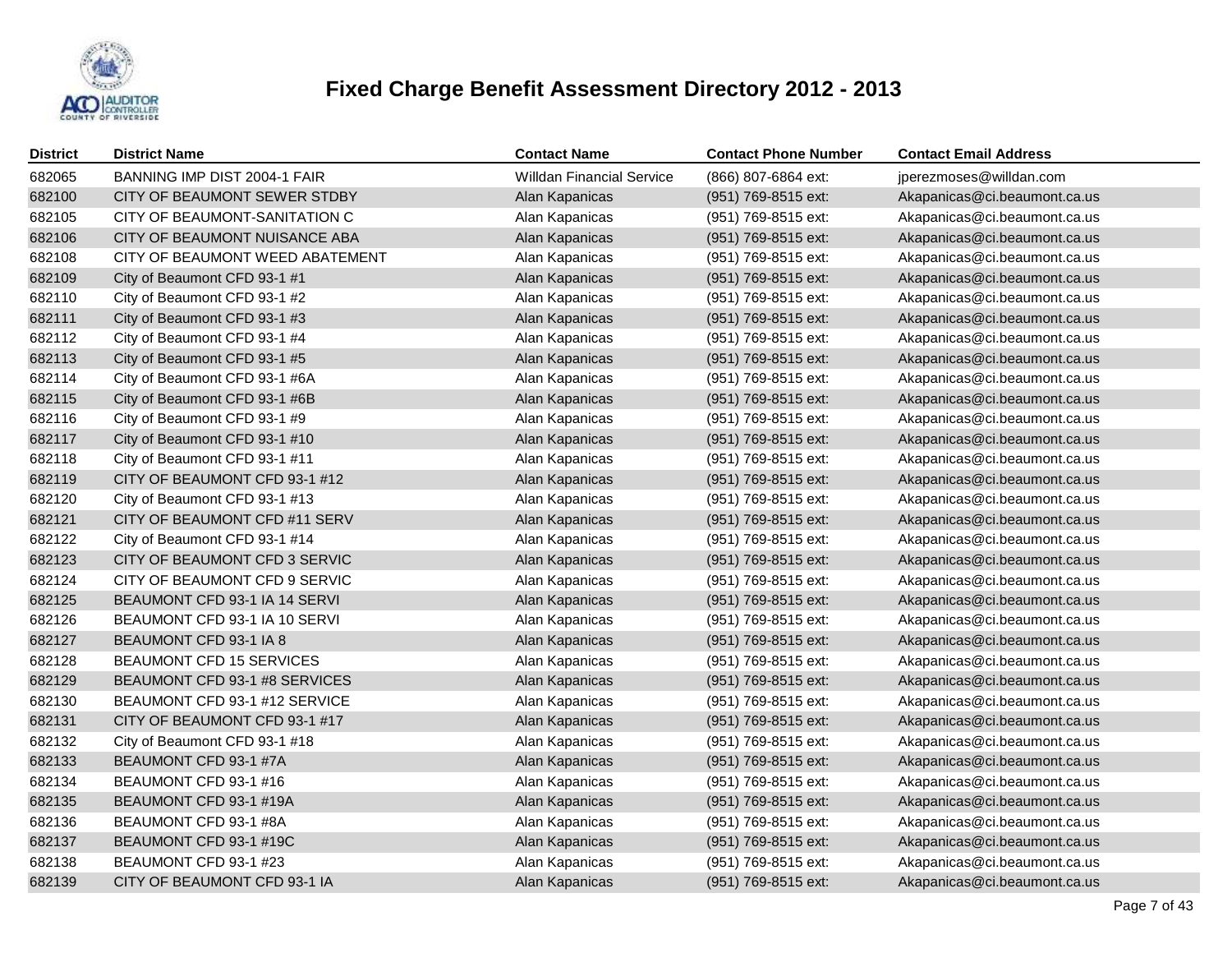

| <b>District</b> | <b>District Name</b>            | <b>Contact Name</b>              | <b>Contact Phone Number</b> | <b>Contact Email Address</b> |
|-----------------|---------------------------------|----------------------------------|-----------------------------|------------------------------|
| 682065          | BANNING IMP DIST 2004-1 FAIR    | <b>Willdan Financial Service</b> | (866) 807-6864 ext:         | jperezmoses@willdan.com      |
| 682100          | CITY OF BEAUMONT SEWER STDBY    | Alan Kapanicas                   | (951) 769-8515 ext:         | Akapanicas@ci.beaumont.ca.us |
| 682105          | CITY OF BEAUMONT-SANITATION C   | Alan Kapanicas                   | (951) 769-8515 ext:         | Akapanicas@ci.beaumont.ca.us |
| 682106          | CITY OF BEAUMONT NUISANCE ABA   | Alan Kapanicas                   | (951) 769-8515 ext:         | Akapanicas@ci.beaumont.ca.us |
| 682108          | CITY OF BEAUMONT WEED ABATEMENT | Alan Kapanicas                   | (951) 769-8515 ext:         | Akapanicas@ci.beaumont.ca.us |
| 682109          | City of Beaumont CFD 93-1 #1    | Alan Kapanicas                   | (951) 769-8515 ext:         | Akapanicas@ci.beaumont.ca.us |
| 682110          | City of Beaumont CFD 93-1 #2    | Alan Kapanicas                   | (951) 769-8515 ext:         | Akapanicas@ci.beaumont.ca.us |
| 682111          | City of Beaumont CFD 93-1 #3    | Alan Kapanicas                   | (951) 769-8515 ext:         | Akapanicas@ci.beaumont.ca.us |
| 682112          | City of Beaumont CFD 93-1 #4    | Alan Kapanicas                   | (951) 769-8515 ext:         | Akapanicas@ci.beaumont.ca.us |
| 682113          | City of Beaumont CFD 93-1 #5    | Alan Kapanicas                   | (951) 769-8515 ext:         | Akapanicas@ci.beaumont.ca.us |
| 682114          | City of Beaumont CFD 93-1 #6A   | Alan Kapanicas                   | (951) 769-8515 ext:         | Akapanicas@ci.beaumont.ca.us |
| 682115          | City of Beaumont CFD 93-1 #6B   | Alan Kapanicas                   | (951) 769-8515 ext:         | Akapanicas@ci.beaumont.ca.us |
| 682116          | City of Beaumont CFD 93-1 #9    | Alan Kapanicas                   | (951) 769-8515 ext:         | Akapanicas@ci.beaumont.ca.us |
| 682117          | City of Beaumont CFD 93-1 #10   | Alan Kapanicas                   | (951) 769-8515 ext:         | Akapanicas@ci.beaumont.ca.us |
| 682118          | City of Beaumont CFD 93-1 #11   | Alan Kapanicas                   | (951) 769-8515 ext:         | Akapanicas@ci.beaumont.ca.us |
| 682119          | CITY OF BEAUMONT CFD 93-1 #12   | Alan Kapanicas                   | (951) 769-8515 ext:         | Akapanicas@ci.beaumont.ca.us |
| 682120          | City of Beaumont CFD 93-1 #13   | Alan Kapanicas                   | (951) 769-8515 ext:         | Akapanicas@ci.beaumont.ca.us |
| 682121          | CITY OF BEAUMONT CFD #11 SERV   | Alan Kapanicas                   | (951) 769-8515 ext:         | Akapanicas@ci.beaumont.ca.us |
| 682122          | City of Beaumont CFD 93-1 #14   | Alan Kapanicas                   | (951) 769-8515 ext:         | Akapanicas@ci.beaumont.ca.us |
| 682123          | CITY OF BEAUMONT CFD 3 SERVIC   | Alan Kapanicas                   | (951) 769-8515 ext:         | Akapanicas@ci.beaumont.ca.us |
| 682124          | CITY OF BEAUMONT CFD 9 SERVIC   | Alan Kapanicas                   | (951) 769-8515 ext:         | Akapanicas@ci.beaumont.ca.us |
| 682125          | BEAUMONT CFD 93-1 IA 14 SERVI   | Alan Kapanicas                   | (951) 769-8515 ext:         | Akapanicas@ci.beaumont.ca.us |
| 682126          | BEAUMONT CFD 93-1 IA 10 SERVI   | Alan Kapanicas                   | (951) 769-8515 ext:         | Akapanicas@ci.beaumont.ca.us |
| 682127          | BEAUMONT CFD 93-1 IA 8          | Alan Kapanicas                   | (951) 769-8515 ext:         | Akapanicas@ci.beaumont.ca.us |
| 682128          | BEAUMONT CFD 15 SERVICES        | Alan Kapanicas                   | (951) 769-8515 ext:         | Akapanicas@ci.beaumont.ca.us |
| 682129          | BEAUMONT CFD 93-1 #8 SERVICES   | Alan Kapanicas                   | (951) 769-8515 ext:         | Akapanicas@ci.beaumont.ca.us |
| 682130          | BEAUMONT CFD 93-1 #12 SERVICE   | Alan Kapanicas                   | (951) 769-8515 ext:         | Akapanicas@ci.beaumont.ca.us |
| 682131          | CITY OF BEAUMONT CFD 93-1 #17   | Alan Kapanicas                   | (951) 769-8515 ext:         | Akapanicas@ci.beaumont.ca.us |
| 682132          | City of Beaumont CFD 93-1 #18   | Alan Kapanicas                   | (951) 769-8515 ext:         | Akapanicas@ci.beaumont.ca.us |
| 682133          | BEAUMONT CFD 93-1 #7A           | Alan Kapanicas                   | (951) 769-8515 ext:         | Akapanicas@ci.beaumont.ca.us |
| 682134          | BEAUMONT CFD 93-1 #16           | Alan Kapanicas                   | (951) 769-8515 ext:         | Akapanicas@ci.beaumont.ca.us |
| 682135          | BEAUMONT CFD 93-1 #19A          | Alan Kapanicas                   | (951) 769-8515 ext:         | Akapanicas@ci.beaumont.ca.us |
| 682136          | BEAUMONT CFD 93-1 #8A           | Alan Kapanicas                   | (951) 769-8515 ext:         | Akapanicas@ci.beaumont.ca.us |
| 682137          | BEAUMONT CFD 93-1 #19C          | Alan Kapanicas                   | (951) 769-8515 ext:         | Akapanicas@ci.beaumont.ca.us |
| 682138          | BEAUMONT CFD 93-1 #23           | Alan Kapanicas                   | (951) 769-8515 ext:         | Akapanicas@ci.beaumont.ca.us |
| 682139          | CITY OF BEAUMONT CFD 93-1 IA    | Alan Kapanicas                   | (951) 769-8515 ext:         | Akapanicas@ci.beaumont.ca.us |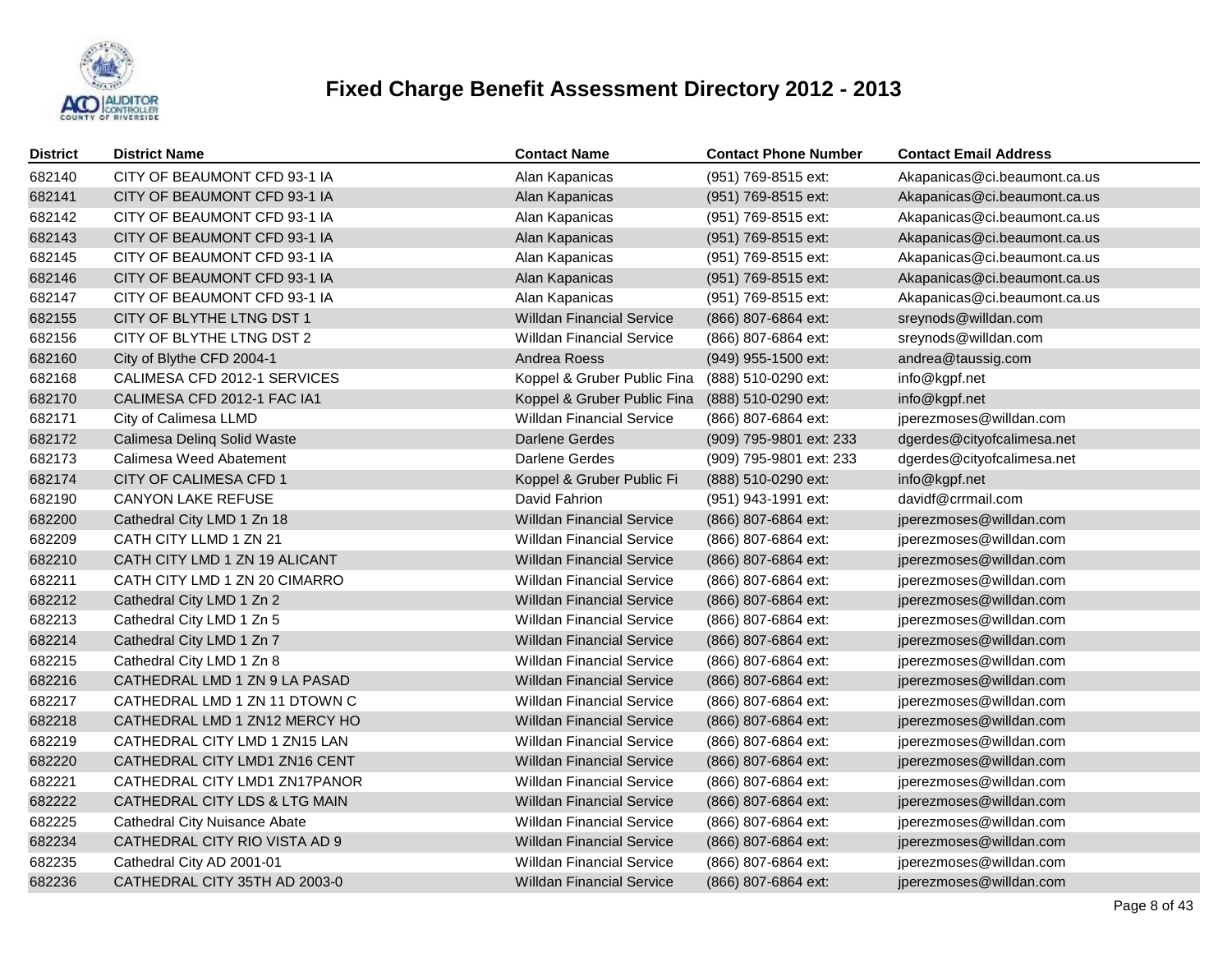

| <b>District</b> | <b>District Name</b>                 | <b>Contact Name</b>                             | <b>Contact Phone Number</b> | <b>Contact Email Address</b> |
|-----------------|--------------------------------------|-------------------------------------------------|-----------------------------|------------------------------|
| 682140          | CITY OF BEAUMONT CFD 93-1 IA         | Alan Kapanicas                                  | (951) 769-8515 ext:         | Akapanicas@ci.beaumont.ca.us |
| 682141          | CITY OF BEAUMONT CFD 93-1 IA         | Alan Kapanicas                                  | (951) 769-8515 ext:         | Akapanicas@ci.beaumont.ca.us |
| 682142          | CITY OF BEAUMONT CFD 93-1 IA         | Alan Kapanicas                                  | (951) 769-8515 ext:         | Akapanicas@ci.beaumont.ca.us |
| 682143          | CITY OF BEAUMONT CFD 93-1 IA         | Alan Kapanicas                                  | (951) 769-8515 ext:         | Akapanicas@ci.beaumont.ca.us |
| 682145          | CITY OF BEAUMONT CFD 93-1 IA         | Alan Kapanicas                                  | (951) 769-8515 ext:         | Akapanicas@ci.beaumont.ca.us |
| 682146          | CITY OF BEAUMONT CFD 93-1 IA         | Alan Kapanicas                                  | (951) 769-8515 ext:         | Akapanicas@ci.beaumont.ca.us |
| 682147          | CITY OF BEAUMONT CFD 93-1 IA         | Alan Kapanicas                                  | (951) 769-8515 ext:         | Akapanicas@ci.beaumont.ca.us |
| 682155          | CITY OF BLYTHE LTNG DST 1            | <b>Willdan Financial Service</b>                | (866) 807-6864 ext:         | sreynods@willdan.com         |
| 682156          | CITY OF BLYTHE LTNG DST 2            | <b>Willdan Financial Service</b>                | (866) 807-6864 ext:         | sreynods@willdan.com         |
| 682160          | City of Blythe CFD 2004-1            | Andrea Roess                                    | (949) 955-1500 ext:         | andrea@taussig.com           |
| 682168          | CALIMESA CFD 2012-1 SERVICES         | Koppel & Gruber Public Fina                     | (888) 510-0290 ext:         | info@kgpf.net                |
| 682170          | CALIMESA CFD 2012-1 FAC IA1          | Koppel & Gruber Public Fina (888) 510-0290 ext: |                             | info@kgpf.net                |
| 682171          | City of Calimesa LLMD                | <b>Willdan Financial Service</b>                | (866) 807-6864 ext:         | jperezmoses@willdan.com      |
| 682172          | Calimesa Deling Solid Waste          | <b>Darlene Gerdes</b>                           | (909) 795-9801 ext: 233     | dgerdes@cityofcalimesa.net   |
| 682173          | Calimesa Weed Abatement              | Darlene Gerdes                                  | (909) 795-9801 ext: 233     | dgerdes@cityofcalimesa.net   |
| 682174          | CITY OF CALIMESA CFD 1               | Koppel & Gruber Public Fi                       | (888) 510-0290 ext:         | info@kgpf.net                |
| 682190          | <b>CANYON LAKE REFUSE</b>            | David Fahrion                                   | (951) 943-1991 ext:         | davidf@crrmail.com           |
| 682200          | Cathedral City LMD 1 Zn 18           | <b>Willdan Financial Service</b>                | (866) 807-6864 ext:         | jperezmoses@willdan.com      |
| 682209          | CATH CITY LLMD 1 ZN 21               | <b>Willdan Financial Service</b>                | (866) 807-6864 ext:         | jperezmoses@willdan.com      |
| 682210          | CATH CITY LMD 1 ZN 19 ALICANT        | <b>Willdan Financial Service</b>                | (866) 807-6864 ext:         | jperezmoses@willdan.com      |
| 682211          | CATH CITY LMD 1 ZN 20 CIMARRO        | <b>Willdan Financial Service</b>                | (866) 807-6864 ext:         | jperezmoses@willdan.com      |
| 682212          | Cathedral City LMD 1 Zn 2            | <b>Willdan Financial Service</b>                | (866) 807-6864 ext:         | jperezmoses@willdan.com      |
| 682213          | Cathedral City LMD 1 Zn 5            | <b>Willdan Financial Service</b>                | (866) 807-6864 ext:         | jperezmoses@willdan.com      |
| 682214          | Cathedral City LMD 1 Zn 7            | <b>Willdan Financial Service</b>                | (866) 807-6864 ext:         | jperezmoses@willdan.com      |
| 682215          | Cathedral City LMD 1 Zn 8            | <b>Willdan Financial Service</b>                | (866) 807-6864 ext:         | jperezmoses@willdan.com      |
| 682216          | CATHEDRAL LMD 1 ZN 9 LA PASAD        | <b>Willdan Financial Service</b>                | (866) 807-6864 ext:         | jperezmoses@willdan.com      |
| 682217          | CATHEDRAL LMD 1 ZN 11 DTOWN C        | <b>Willdan Financial Service</b>                | (866) 807-6864 ext:         | jperezmoses@willdan.com      |
| 682218          | CATHEDRAL LMD 1 ZN12 MERCY HO        | <b>Willdan Financial Service</b>                | (866) 807-6864 ext:         | jperezmoses@willdan.com      |
| 682219          | CATHEDRAL CITY LMD 1 ZN15 LAN        | <b>Willdan Financial Service</b>                | (866) 807-6864 ext:         | jperezmoses@willdan.com      |
| 682220          | CATHEDRAL CITY LMD1 ZN16 CENT        | <b>Willdan Financial Service</b>                | (866) 807-6864 ext:         | jperezmoses@willdan.com      |
| 682221          | CATHEDRAL CITY LMD1 ZN17PANOR        | <b>Willdan Financial Service</b>                | (866) 807-6864 ext:         | jperezmoses@willdan.com      |
| 682222          | CATHEDRAL CITY LDS & LTG MAIN        | <b>Willdan Financial Service</b>                | (866) 807-6864 ext:         | jperezmoses@willdan.com      |
| 682225          | <b>Cathedral City Nuisance Abate</b> | <b>Willdan Financial Service</b>                | (866) 807-6864 ext:         | jperezmoses@willdan.com      |
| 682234          | CATHEDRAL CITY RIO VISTA AD 9        | <b>Willdan Financial Service</b>                | (866) 807-6864 ext:         | jperezmoses@willdan.com      |
| 682235          | Cathedral City AD 2001-01            | <b>Willdan Financial Service</b>                | (866) 807-6864 ext:         | jperezmoses@willdan.com      |
| 682236          | CATHEDRAL CITY 35TH AD 2003-0        | <b>Willdan Financial Service</b>                | (866) 807-6864 ext:         | jperezmoses@willdan.com      |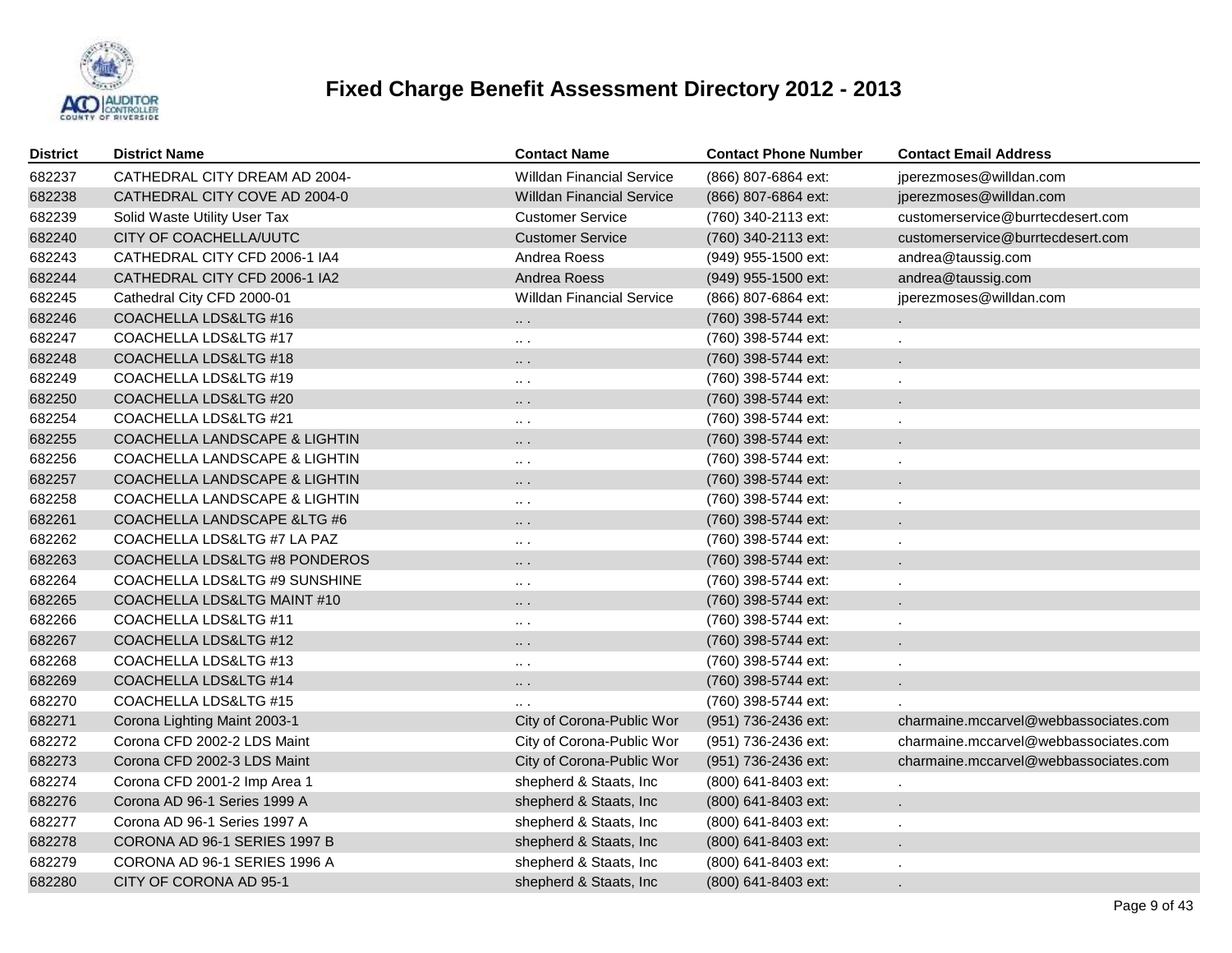

| <b>District</b> | <b>District Name</b>                     | <b>Contact Name</b>              | <b>Contact Phone Number</b> | <b>Contact Email Address</b>          |
|-----------------|------------------------------------------|----------------------------------|-----------------------------|---------------------------------------|
| 682237          | CATHEDRAL CITY DREAM AD 2004-            | <b>Willdan Financial Service</b> | (866) 807-6864 ext:         | jperezmoses@willdan.com               |
| 682238          | CATHEDRAL CITY COVE AD 2004-0            | <b>Willdan Financial Service</b> | (866) 807-6864 ext:         | jperezmoses@willdan.com               |
| 682239          | Solid Waste Utility User Tax             | <b>Customer Service</b>          | (760) 340-2113 ext:         | customerservice@burrtecdesert.com     |
| 682240          | CITY OF COACHELLA/UUTC                   | <b>Customer Service</b>          | (760) 340-2113 ext:         | customerservice@burrtecdesert.com     |
| 682243          | CATHEDRAL CITY CFD 2006-1 IA4            | Andrea Roess                     | (949) 955-1500 ext:         | andrea@taussig.com                    |
| 682244          | CATHEDRAL CITY CFD 2006-1 IA2            | Andrea Roess                     | (949) 955-1500 ext:         | andrea@taussig.com                    |
| 682245          | Cathedral City CFD 2000-01               | <b>Willdan Financial Service</b> | (866) 807-6864 ext:         | jperezmoses@willdan.com               |
| 682246          | COACHELLA LDS&LTG #16                    | $\cdots$                         | (760) 398-5744 ext:         |                                       |
| 682247          | COACHELLA LDS&LTG #17                    | $\ldots$ .                       | (760) 398-5744 ext:         |                                       |
| 682248          | COACHELLA LDS&LTG #18                    | $\cdots$                         | (760) 398-5744 ext:         |                                       |
| 682249          | COACHELLA LDS&LTG #19                    | $\cdots$ .                       | (760) 398-5744 ext:         |                                       |
| 682250          | <b>COACHELLA LDS&amp;LTG #20</b>         | $\cdots$ .                       | (760) 398-5744 ext:         |                                       |
| 682254          | COACHELLA LDS&LTG #21                    | $\cdots$ .                       | (760) 398-5744 ext:         |                                       |
| 682255          | <b>COACHELLA LANDSCAPE &amp; LIGHTIN</b> | $\cdots$                         | (760) 398-5744 ext:         |                                       |
| 682256          | <b>COACHELLA LANDSCAPE &amp; LIGHTIN</b> | $\cdots$                         | (760) 398-5744 ext:         |                                       |
| 682257          | <b>COACHELLA LANDSCAPE &amp; LIGHTIN</b> | .                                | (760) 398-5744 ext:         |                                       |
| 682258          | COACHELLA LANDSCAPE & LIGHTIN            | $\cdots$                         | (760) 398-5744 ext:         |                                       |
| 682261          | COACHELLA LANDSCAPE & LTG #6             | .                                | (760) 398-5744 ext:         |                                       |
| 682262          | COACHELLA LDS&LTG #7 LA PAZ              | $\sim$ $\sim$                    | (760) 398-5744 ext:         |                                       |
| 682263          | COACHELLA LDS&LTG #8 PONDEROS            | .                                | (760) 398-5744 ext:         |                                       |
| 682264          | COACHELLA LDS&LTG #9 SUNSHINE            | $\sim$ $\sim$                    | (760) 398-5744 ext:         |                                       |
| 682265          | COACHELLA LDS&LTG MAINT #10              | .                                | (760) 398-5744 ext:         |                                       |
| 682266          | COACHELLA LDS&LTG #11                    | $\cdots$                         | (760) 398-5744 ext:         |                                       |
| 682267          | COACHELLA LDS&LTG #12                    | .                                | (760) 398-5744 ext:         |                                       |
| 682268          | COACHELLA LDS&LTG #13                    | $\cdots$                         | (760) 398-5744 ext:         |                                       |
| 682269          | COACHELLA LDS&LTG #14                    | .                                | (760) 398-5744 ext:         |                                       |
| 682270          | COACHELLA LDS&LTG #15                    | $\cdots$                         | (760) 398-5744 ext:         |                                       |
| 682271          | Corona Lighting Maint 2003-1             | City of Corona-Public Wor        | (951) 736-2436 ext:         | charmaine.mccarvel@webbassociates.com |
| 682272          | Corona CFD 2002-2 LDS Maint              | City of Corona-Public Wor        | (951) 736-2436 ext:         | charmaine.mccarvel@webbassociates.com |
| 682273          | Corona CFD 2002-3 LDS Maint              | City of Corona-Public Wor        | (951) 736-2436 ext:         | charmaine.mccarvel@webbassociates.com |
| 682274          | Corona CFD 2001-2 Imp Area 1             | shepherd & Staats, Inc           | (800) 641-8403 ext:         |                                       |
| 682276          | Corona AD 96-1 Series 1999 A             | shepherd & Staats, Inc           | (800) 641-8403 ext:         |                                       |
| 682277          | Corona AD 96-1 Series 1997 A             | shepherd & Staats, Inc           | (800) 641-8403 ext:         |                                       |
| 682278          | CORONA AD 96-1 SERIES 1997 B             | shepherd & Staats, Inc.          | (800) 641-8403 ext:         |                                       |
| 682279          | CORONA AD 96-1 SERIES 1996 A             | shepherd & Staats, Inc           | (800) 641-8403 ext:         |                                       |
| 682280          | CITY OF CORONA AD 95-1                   | shepherd & Staats, Inc.          | (800) 641-8403 ext:         |                                       |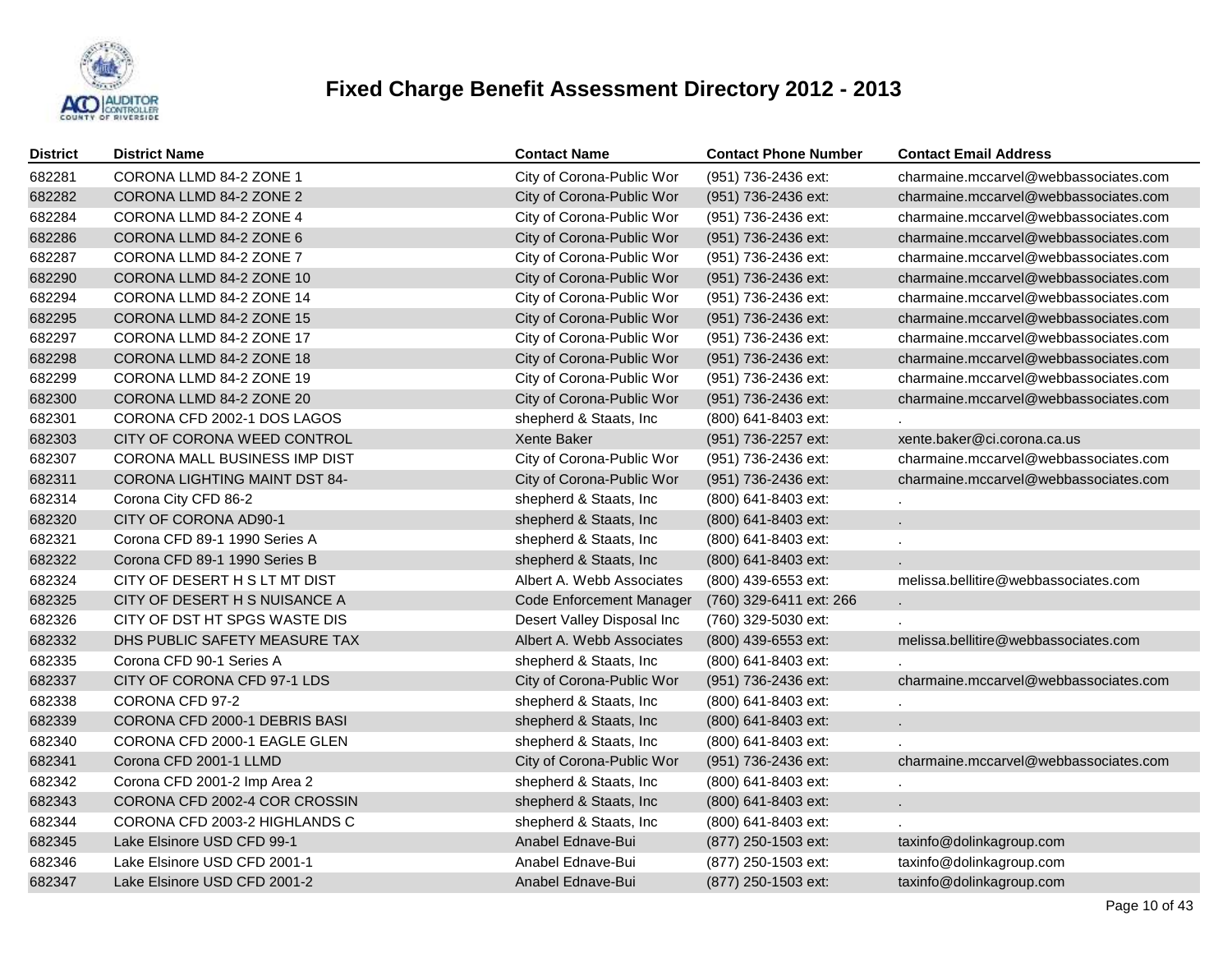

| <b>District</b> | <b>District Name</b>                 | <b>Contact Name</b>             | <b>Contact Phone Number</b> | <b>Contact Email Address</b>          |
|-----------------|--------------------------------------|---------------------------------|-----------------------------|---------------------------------------|
| 682281          | CORONA LLMD 84-2 ZONE 1              | City of Corona-Public Wor       | (951) 736-2436 ext:         | charmaine.mccarvel@webbassociates.com |
| 682282          | CORONA LLMD 84-2 ZONE 2              | City of Corona-Public Wor       | (951) 736-2436 ext:         | charmaine.mccarvel@webbassociates.com |
| 682284          | CORONA LLMD 84-2 ZONE 4              | City of Corona-Public Wor       | (951) 736-2436 ext:         | charmaine.mccarvel@webbassociates.com |
| 682286          | CORONA LLMD 84-2 ZONE 6              | City of Corona-Public Wor       | (951) 736-2436 ext:         | charmaine.mccarvel@webbassociates.com |
| 682287          | CORONA LLMD 84-2 ZONE 7              | City of Corona-Public Wor       | (951) 736-2436 ext:         | charmaine.mccarvel@webbassociates.com |
| 682290          | CORONA LLMD 84-2 ZONE 10             | City of Corona-Public Wor       | (951) 736-2436 ext:         | charmaine.mccarvel@webbassociates.com |
| 682294          | CORONA LLMD 84-2 ZONE 14             | City of Corona-Public Wor       | (951) 736-2436 ext:         | charmaine.mccarvel@webbassociates.com |
| 682295          | CORONA LLMD 84-2 ZONE 15             | City of Corona-Public Wor       | (951) 736-2436 ext:         | charmaine.mccarvel@webbassociates.com |
| 682297          | CORONA LLMD 84-2 ZONE 17             | City of Corona-Public Wor       | (951) 736-2436 ext:         | charmaine.mccarvel@webbassociates.com |
| 682298          | CORONA LLMD 84-2 ZONE 18             | City of Corona-Public Wor       | (951) 736-2436 ext:         | charmaine.mccarvel@webbassociates.com |
| 682299          | CORONA LLMD 84-2 ZONE 19             | City of Corona-Public Wor       | (951) 736-2436 ext:         | charmaine.mccarvel@webbassociates.com |
| 682300          | CORONA LLMD 84-2 ZONE 20             | City of Corona-Public Wor       | (951) 736-2436 ext:         | charmaine.mccarvel@webbassociates.com |
| 682301          | CORONA CFD 2002-1 DOS LAGOS          | shepherd & Staats, Inc.         | (800) 641-8403 ext:         |                                       |
| 682303          | CITY OF CORONA WEED CONTROL          | <b>Xente Baker</b>              | (951) 736-2257 ext:         | xente.baker@ci.corona.ca.us           |
| 682307          | CORONA MALL BUSINESS IMP DIST        | City of Corona-Public Wor       | (951) 736-2436 ext:         | charmaine.mccarvel@webbassociates.com |
| 682311          | <b>CORONA LIGHTING MAINT DST 84-</b> | City of Corona-Public Wor       | (951) 736-2436 ext:         | charmaine.mccarvel@webbassociates.com |
| 682314          | Corona City CFD 86-2                 | shepherd & Staats, Inc          | (800) 641-8403 ext:         |                                       |
| 682320          | CITY OF CORONA AD90-1                | shepherd & Staats, Inc          | (800) 641-8403 ext:         |                                       |
| 682321          | Corona CFD 89-1 1990 Series A        | shepherd & Staats, Inc          | (800) 641-8403 ext:         |                                       |
| 682322          | Corona CFD 89-1 1990 Series B        | shepherd & Staats, Inc          | (800) 641-8403 ext:         |                                       |
| 682324          | CITY OF DESERT H S LT MT DIST        | Albert A. Webb Associates       | (800) 439-6553 ext:         | melissa.bellitire@webbassociates.com  |
| 682325          | CITY OF DESERT H S NUISANCE A        | <b>Code Enforcement Manager</b> | (760) 329-6411 ext: 266     | $\mathbf{r}$                          |
| 682326          | CITY OF DST HT SPGS WASTE DIS        | Desert Valley Disposal Inc      | (760) 329-5030 ext:         |                                       |
| 682332          | DHS PUBLIC SAFETY MEASURE TAX        | Albert A. Webb Associates       | (800) 439-6553 ext:         | melissa.bellitire@webbassociates.com  |
| 682335          | Corona CFD 90-1 Series A             | shepherd & Staats, Inc.         | (800) 641-8403 ext:         |                                       |
| 682337          | CITY OF CORONA CFD 97-1 LDS          | City of Corona-Public Wor       | (951) 736-2436 ext:         | charmaine.mccarvel@webbassociates.com |
| 682338          | CORONA CFD 97-2                      | shepherd & Staats, Inc.         | (800) 641-8403 ext:         |                                       |
| 682339          | CORONA CFD 2000-1 DEBRIS BASI        | shepherd & Staats, Inc.         | (800) 641-8403 ext:         |                                       |
| 682340          | CORONA CFD 2000-1 EAGLE GLEN         | shepherd & Staats, Inc          | (800) 641-8403 ext:         |                                       |
| 682341          | Corona CFD 2001-1 LLMD               | City of Corona-Public Wor       | (951) 736-2436 ext:         | charmaine.mccarvel@webbassociates.com |
| 682342          | Corona CFD 2001-2 Imp Area 2         | shepherd & Staats, Inc.         | (800) 641-8403 ext:         | $\mathbf{r}$                          |
| 682343          | CORONA CFD 2002-4 COR CROSSIN        | shepherd & Staats, Inc          | (800) 641-8403 ext:         |                                       |
| 682344          | CORONA CFD 2003-2 HIGHLANDS C        | shepherd & Staats, Inc          | (800) 641-8403 ext:         |                                       |
| 682345          | Lake Elsinore USD CFD 99-1           | Anabel Ednave-Bui               | (877) 250-1503 ext:         | taxinfo@dolinkagroup.com              |
| 682346          | Lake Elsinore USD CFD 2001-1         | Anabel Ednave-Bui               | (877) 250-1503 ext:         | taxinfo@dolinkagroup.com              |
| 682347          | Lake Elsinore USD CFD 2001-2         | Anabel Ednave-Bui               | (877) 250-1503 ext:         | taxinfo@dolinkagroup.com              |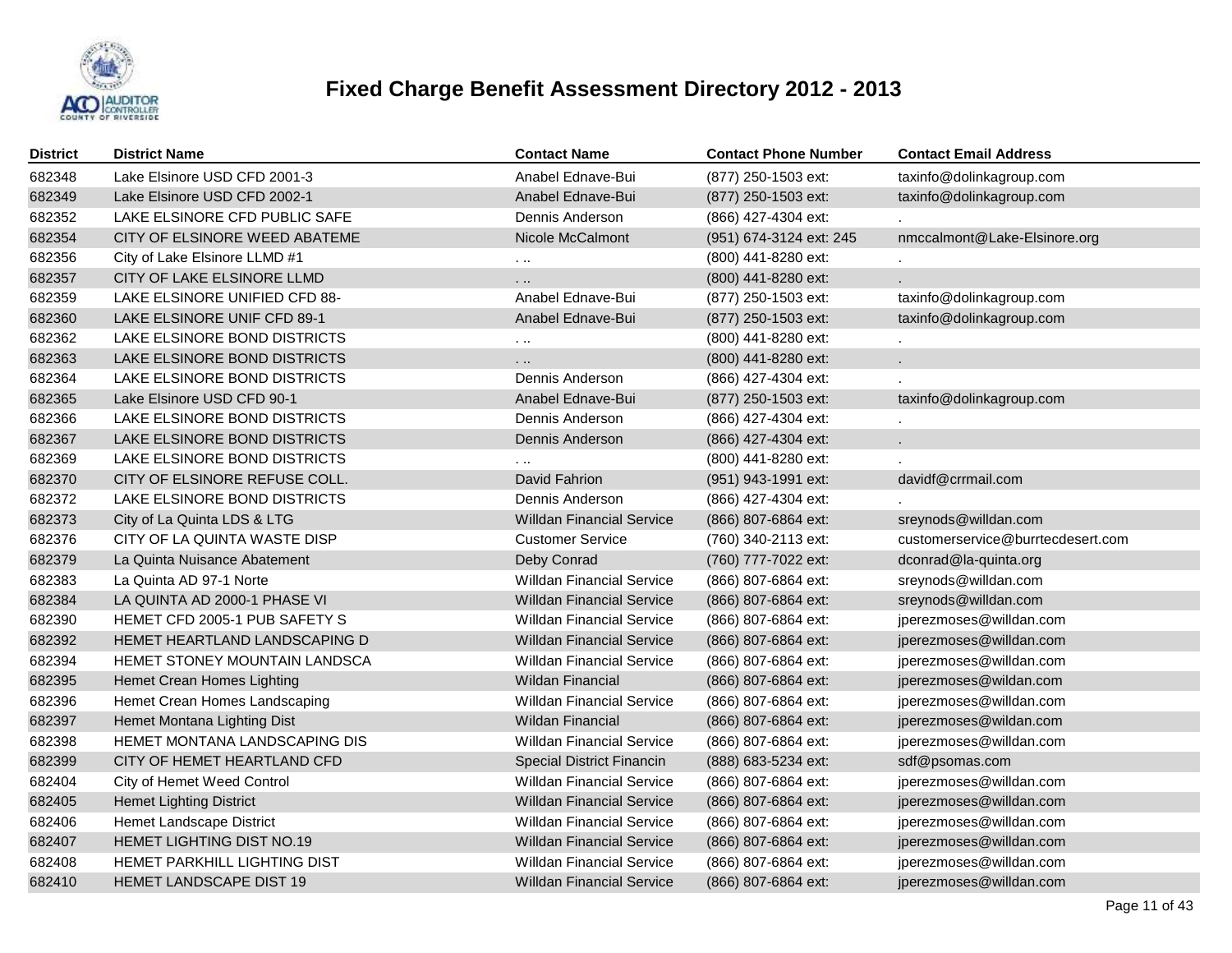

| <b>District</b> | <b>District Name</b>             | <b>Contact Name</b>              | <b>Contact Phone Number</b> | <b>Contact Email Address</b>      |
|-----------------|----------------------------------|----------------------------------|-----------------------------|-----------------------------------|
| 682348          | Lake Elsinore USD CFD 2001-3     | Anabel Ednave-Bui                | (877) 250-1503 ext:         | taxinfo@dolinkagroup.com          |
| 682349          | Lake Elsinore USD CFD 2002-1     | Anabel Ednave-Bui                | (877) 250-1503 ext:         | taxinfo@dolinkagroup.com          |
| 682352          | LAKE ELSINORE CFD PUBLIC SAFE    | Dennis Anderson                  | (866) 427-4304 ext:         |                                   |
| 682354          | CITY OF ELSINORE WEED ABATEME    | Nicole McCalmont                 | (951) 674-3124 ext: 245     | nmccalmont@Lake-Elsinore.org      |
| 682356          | City of Lake Elsinore LLMD #1    | $\ddotsc$                        | (800) 441-8280 ext:         |                                   |
| 682357          | CITY OF LAKE ELSINORE LLMD       | .                                | (800) 441-8280 ext:         |                                   |
| 682359          | LAKE ELSINORE UNIFIED CFD 88-    | Anabel Ednave-Bui                | (877) 250-1503 ext:         | taxinfo@dolinkagroup.com          |
| 682360          | LAKE ELSINORE UNIF CFD 89-1      | Anabel Ednave-Bui                | (877) 250-1503 ext:         | taxinfo@dolinkagroup.com          |
| 682362          | LAKE ELSINORE BOND DISTRICTS     | $\cdots$                         | (800) 441-8280 ext:         |                                   |
| 682363          | LAKE ELSINORE BOND DISTRICTS     | .                                | (800) 441-8280 ext:         |                                   |
| 682364          | LAKE ELSINORE BOND DISTRICTS     | Dennis Anderson                  | (866) 427-4304 ext:         |                                   |
| 682365          | Lake Elsinore USD CFD 90-1       | Anabel Ednave-Bui                | (877) 250-1503 ext:         | taxinfo@dolinkagroup.com          |
| 682366          | LAKE ELSINORE BOND DISTRICTS     | Dennis Anderson                  | (866) 427-4304 ext:         |                                   |
| 682367          | LAKE ELSINORE BOND DISTRICTS     | Dennis Anderson                  | (866) 427-4304 ext:         |                                   |
| 682369          | LAKE ELSINORE BOND DISTRICTS     |                                  | (800) 441-8280 ext:         |                                   |
| 682370          | CITY OF ELSINORE REFUSE COLL.    | David Fahrion                    | (951) 943-1991 ext:         | davidf@crrmail.com                |
| 682372          | LAKE ELSINORE BOND DISTRICTS     | Dennis Anderson                  | (866) 427-4304 ext:         |                                   |
| 682373          | City of La Quinta LDS & LTG      | <b>Willdan Financial Service</b> | (866) 807-6864 ext:         | sreynods@willdan.com              |
| 682376          | CITY OF LA QUINTA WASTE DISP     | <b>Customer Service</b>          | (760) 340-2113 ext:         | customerservice@burrtecdesert.com |
| 682379          | La Quinta Nuisance Abatement     | Deby Conrad                      | (760) 777-7022 ext:         | dconrad@la-quinta.org             |
| 682383          | La Quinta AD 97-1 Norte          | <b>Willdan Financial Service</b> | (866) 807-6864 ext:         | sreynods@willdan.com              |
| 682384          | LA QUINTA AD 2000-1 PHASE VI     | <b>Willdan Financial Service</b> | (866) 807-6864 ext:         | sreynods@willdan.com              |
| 682390          | HEMET CFD 2005-1 PUB SAFETY S    | <b>Willdan Financial Service</b> | (866) 807-6864 ext:         | jperezmoses@willdan.com           |
| 682392          | HEMET HEARTLAND LANDSCAPING D    | <b>Willdan Financial Service</b> | (866) 807-6864 ext:         | jperezmoses@willdan.com           |
| 682394          | HEMET STONEY MOUNTAIN LANDSCA    | <b>Willdan Financial Service</b> | (866) 807-6864 ext:         | jperezmoses@willdan.com           |
| 682395          | Hemet Crean Homes Lighting       | <b>Wildan Financial</b>          | (866) 807-6864 ext:         | jperezmoses@wildan.com            |
| 682396          | Hemet Crean Homes Landscaping    | <b>Willdan Financial Service</b> | (866) 807-6864 ext:         | jperezmoses@willdan.com           |
| 682397          | Hemet Montana Lighting Dist      | <b>Wildan Financial</b>          | (866) 807-6864 ext:         | jperezmoses@wildan.com            |
| 682398          | HEMET MONTANA LANDSCAPING DIS    | <b>Willdan Financial Service</b> | (866) 807-6864 ext:         | jperezmoses@willdan.com           |
| 682399          | CITY OF HEMET HEARTLAND CFD      | <b>Special District Financin</b> | (888) 683-5234 ext:         | sdf@psomas.com                    |
| 682404          | City of Hemet Weed Control       | <b>Willdan Financial Service</b> | (866) 807-6864 ext:         | jperezmoses@willdan.com           |
| 682405          | <b>Hemet Lighting District</b>   | <b>Willdan Financial Service</b> | (866) 807-6864 ext:         | jperezmoses@willdan.com           |
| 682406          | Hemet Landscape District         | <b>Willdan Financial Service</b> | (866) 807-6864 ext:         | jperezmoses@willdan.com           |
| 682407          | <b>HEMET LIGHTING DIST NO.19</b> | <b>Willdan Financial Service</b> | (866) 807-6864 ext:         | jperezmoses@willdan.com           |
| 682408          | HEMET PARKHILL LIGHTING DIST     | <b>Willdan Financial Service</b> | (866) 807-6864 ext:         | jperezmoses@willdan.com           |
| 682410          | HEMET LANDSCAPE DIST 19          | <b>Willdan Financial Service</b> | (866) 807-6864 ext:         | jperezmoses@willdan.com           |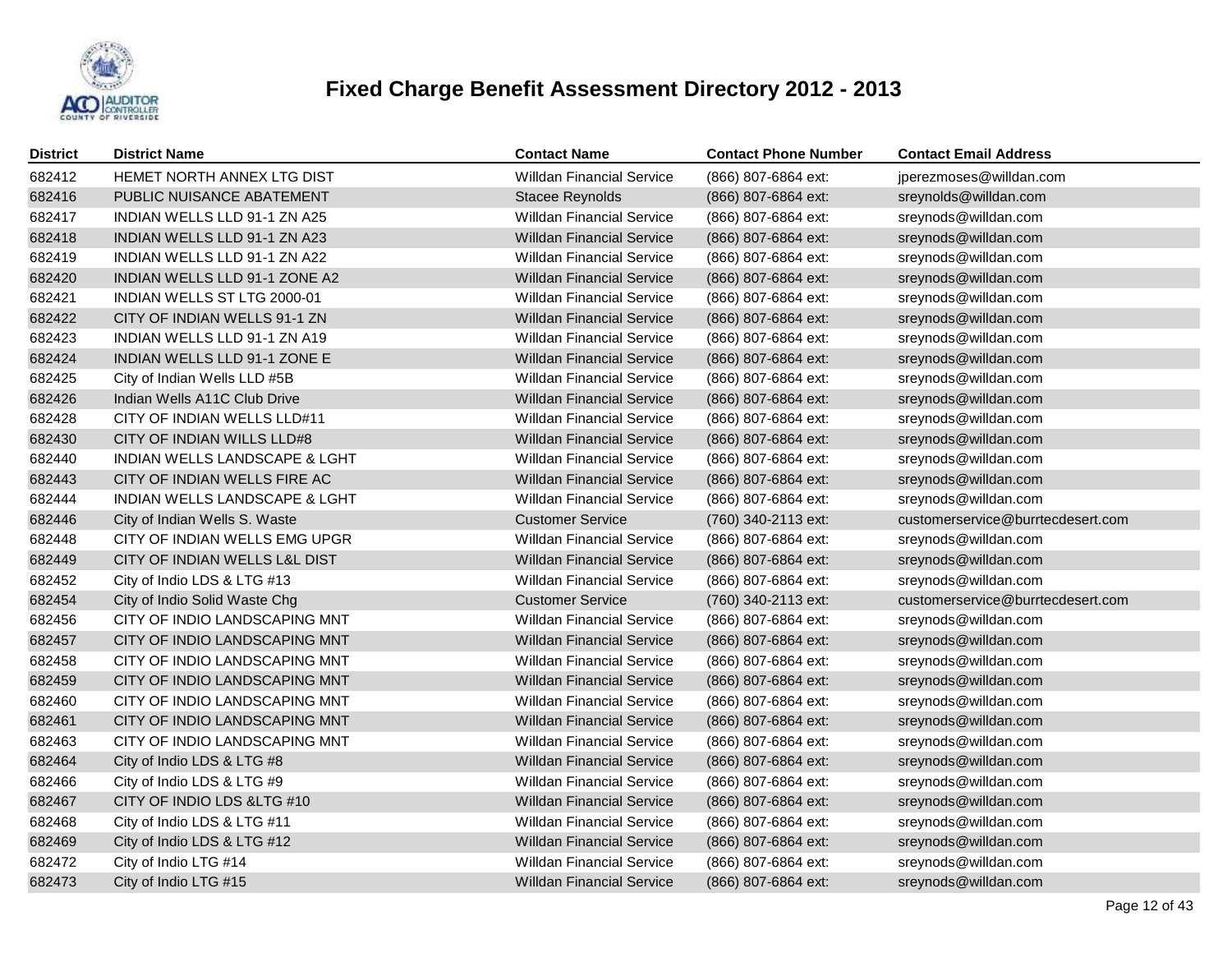

| <b>District</b> | <b>District Name</b>          | <b>Contact Name</b>              | <b>Contact Phone Number</b> | <b>Contact Email Address</b>      |
|-----------------|-------------------------------|----------------------------------|-----------------------------|-----------------------------------|
| 682412          | HEMET NORTH ANNEX LTG DIST    | <b>Willdan Financial Service</b> | (866) 807-6864 ext:         | jperezmoses@willdan.com           |
| 682416          | PUBLIC NUISANCE ABATEMENT     | Stacee Reynolds                  | (866) 807-6864 ext:         | sreynolds@willdan.com             |
| 682417          | INDIAN WELLS LLD 91-1 ZN A25  | <b>Willdan Financial Service</b> | (866) 807-6864 ext:         | sreynods@willdan.com              |
| 682418          | INDIAN WELLS LLD 91-1 ZN A23  | <b>Willdan Financial Service</b> | (866) 807-6864 ext:         | sreynods@willdan.com              |
| 682419          | INDIAN WELLS LLD 91-1 ZN A22  | <b>Willdan Financial Service</b> | (866) 807-6864 ext:         | sreynods@willdan.com              |
| 682420          | INDIAN WELLS LLD 91-1 ZONE A2 | <b>Willdan Financial Service</b> | (866) 807-6864 ext:         | sreynods@willdan.com              |
| 682421          | INDIAN WELLS ST LTG 2000-01   | <b>Willdan Financial Service</b> | (866) 807-6864 ext:         | sreynods@willdan.com              |
| 682422          | CITY OF INDIAN WELLS 91-1 ZN  | <b>Willdan Financial Service</b> | (866) 807-6864 ext:         | sreynods@willdan.com              |
| 682423          | INDIAN WELLS LLD 91-1 ZN A19  | <b>Willdan Financial Service</b> | (866) 807-6864 ext:         | sreynods@willdan.com              |
| 682424          | INDIAN WELLS LLD 91-1 ZONE E  | <b>Willdan Financial Service</b> | (866) 807-6864 ext:         | sreynods@willdan.com              |
| 682425          | City of Indian Wells LLD #5B  | <b>Willdan Financial Service</b> | (866) 807-6864 ext:         | sreynods@willdan.com              |
| 682426          | Indian Wells A11C Club Drive  | <b>Willdan Financial Service</b> | (866) 807-6864 ext:         | sreynods@willdan.com              |
| 682428          | CITY OF INDIAN WELLS LLD#11   | <b>Willdan Financial Service</b> | (866) 807-6864 ext:         | sreynods@willdan.com              |
| 682430          | CITY OF INDIAN WILLS LLD#8    | <b>Willdan Financial Service</b> | (866) 807-6864 ext:         | sreynods@willdan.com              |
| 682440          | INDIAN WELLS LANDSCAPE & LGHT | <b>Willdan Financial Service</b> | (866) 807-6864 ext:         | sreynods@willdan.com              |
| 682443          | CITY OF INDIAN WELLS FIRE AC  | <b>Willdan Financial Service</b> | (866) 807-6864 ext:         | sreynods@willdan.com              |
| 682444          | INDIAN WELLS LANDSCAPE & LGHT | <b>Willdan Financial Service</b> | (866) 807-6864 ext:         | sreynods@willdan.com              |
| 682446          | City of Indian Wells S. Waste | <b>Customer Service</b>          | (760) 340-2113 ext:         | customerservice@burrtecdesert.com |
| 682448          | CITY OF INDIAN WELLS EMG UPGR | <b>Willdan Financial Service</b> | (866) 807-6864 ext:         | sreynods@willdan.com              |
| 682449          | CITY OF INDIAN WELLS L&L DIST | <b>Willdan Financial Service</b> | (866) 807-6864 ext:         | sreynods@willdan.com              |
| 682452          | City of Indio LDS & LTG #13   | <b>Willdan Financial Service</b> | (866) 807-6864 ext:         | sreynods@willdan.com              |
| 682454          | City of Indio Solid Waste Chg | <b>Customer Service</b>          | (760) 340-2113 ext:         | customerservice@burrtecdesert.com |
| 682456          | CITY OF INDIO LANDSCAPING MNT | <b>Willdan Financial Service</b> | (866) 807-6864 ext:         | sreynods@willdan.com              |
| 682457          | CITY OF INDIO LANDSCAPING MNT | <b>Willdan Financial Service</b> | (866) 807-6864 ext:         | sreynods@willdan.com              |
| 682458          | CITY OF INDIO LANDSCAPING MNT | <b>Willdan Financial Service</b> | (866) 807-6864 ext:         | sreynods@willdan.com              |
| 682459          | CITY OF INDIO LANDSCAPING MNT | <b>Willdan Financial Service</b> | (866) 807-6864 ext:         | sreynods@willdan.com              |
| 682460          | CITY OF INDIO LANDSCAPING MNT | <b>Willdan Financial Service</b> | (866) 807-6864 ext:         | sreynods@willdan.com              |
| 682461          | CITY OF INDIO LANDSCAPING MNT | <b>Willdan Financial Service</b> | (866) 807-6864 ext:         | sreynods@willdan.com              |
| 682463          | CITY OF INDIO LANDSCAPING MNT | <b>Willdan Financial Service</b> | (866) 807-6864 ext:         | sreynods@willdan.com              |
| 682464          | City of Indio LDS & LTG #8    | <b>Willdan Financial Service</b> | (866) 807-6864 ext:         | sreynods@willdan.com              |
| 682466          | City of Indio LDS & LTG #9    | <b>Willdan Financial Service</b> | (866) 807-6864 ext:         | sreynods@willdan.com              |
| 682467          | CITY OF INDIO LDS & LTG #10   | <b>Willdan Financial Service</b> | (866) 807-6864 ext:         | sreynods@willdan.com              |
| 682468          | City of Indio LDS & LTG #11   | <b>Willdan Financial Service</b> | (866) 807-6864 ext:         | sreynods@willdan.com              |
| 682469          | City of Indio LDS & LTG #12   | <b>Willdan Financial Service</b> | (866) 807-6864 ext:         | sreynods@willdan.com              |
| 682472          | City of Indio LTG #14         | <b>Willdan Financial Service</b> | (866) 807-6864 ext:         | sreynods@willdan.com              |
| 682473          | City of Indio LTG #15         | <b>Willdan Financial Service</b> | (866) 807-6864 ext:         | sreynods@willdan.com              |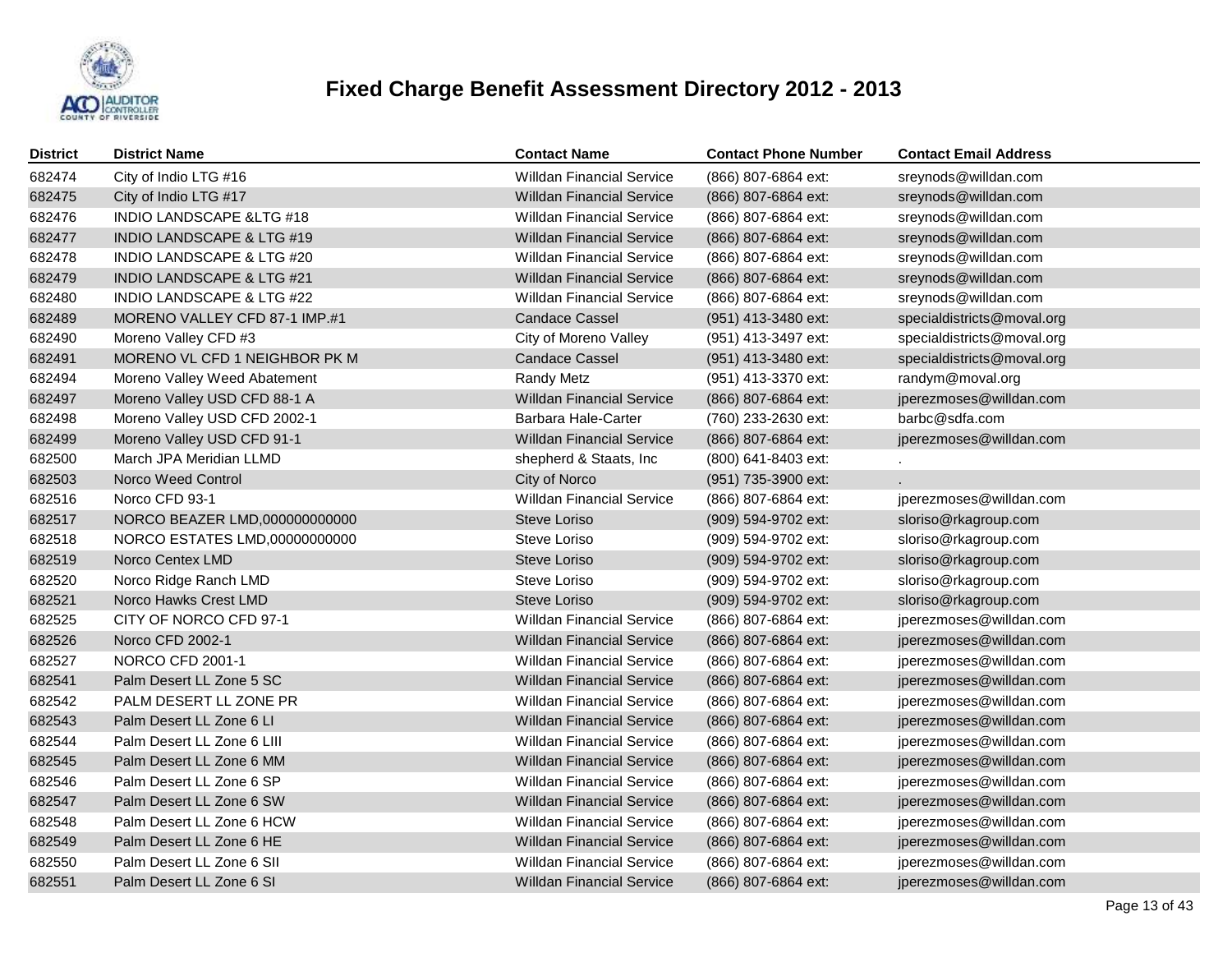

| <b>District</b> | <b>District Name</b>                 | <b>Contact Name</b>              | <b>Contact Phone Number</b> | <b>Contact Email Address</b> |
|-----------------|--------------------------------------|----------------------------------|-----------------------------|------------------------------|
| 682474          | City of Indio LTG #16                | <b>Willdan Financial Service</b> | (866) 807-6864 ext:         | sreynods@willdan.com         |
| 682475          | City of Indio LTG #17                | <b>Willdan Financial Service</b> | (866) 807-6864 ext:         | sreynods@willdan.com         |
| 682476          | <b>INDIO LANDSCAPE &amp;LTG #18</b>  | <b>Willdan Financial Service</b> | (866) 807-6864 ext:         | sreynods@willdan.com         |
| 682477          | <b>INDIO LANDSCAPE &amp; LTG #19</b> | <b>Willdan Financial Service</b> | (866) 807-6864 ext:         | sreynods@willdan.com         |
| 682478          | INDIO LANDSCAPE & LTG #20            | <b>Willdan Financial Service</b> | (866) 807-6864 ext:         | sreynods@willdan.com         |
| 682479          | INDIO LANDSCAPE & LTG #21            | <b>Willdan Financial Service</b> | (866) 807-6864 ext:         | sreynods@willdan.com         |
| 682480          | <b>INDIO LANDSCAPE &amp; LTG #22</b> | <b>Willdan Financial Service</b> | (866) 807-6864 ext:         | sreynods@willdan.com         |
| 682489          | MORENO VALLEY CFD 87-1 IMP.#1        | <b>Candace Cassel</b>            | (951) 413-3480 ext:         | specialdistricts@moval.org   |
| 682490          | Moreno Valley CFD #3                 | City of Moreno Valley            | (951) 413-3497 ext:         | specialdistricts@moval.org   |
| 682491          | MORENO VL CFD 1 NEIGHBOR PK M        | <b>Candace Cassel</b>            | (951) 413-3480 ext:         | specialdistricts@moval.org   |
| 682494          | Moreno Valley Weed Abatement         | <b>Randy Metz</b>                | (951) 413-3370 ext:         | randym@moval.org             |
| 682497          | Moreno Valley USD CFD 88-1 A         | <b>Willdan Financial Service</b> | (866) 807-6864 ext:         | jperezmoses@willdan.com      |
| 682498          | Moreno Valley USD CFD 2002-1         | Barbara Hale-Carter              | (760) 233-2630 ext:         | barbc@sdfa.com               |
| 682499          | Moreno Valley USD CFD 91-1           | <b>Willdan Financial Service</b> | (866) 807-6864 ext:         | jperezmoses@willdan.com      |
| 682500          | March JPA Meridian LLMD              | shepherd & Staats, Inc           | (800) 641-8403 ext:         |                              |
| 682503          | Norco Weed Control                   | City of Norco                    | (951) 735-3900 ext:         |                              |
| 682516          | Norco CFD 93-1                       | <b>Willdan Financial Service</b> | (866) 807-6864 ext:         | jperezmoses@willdan.com      |
| 682517          | NORCO BEAZER LMD,000000000000        | Steve Loriso                     | (909) 594-9702 ext:         | sloriso@rkagroup.com         |
| 682518          | NORCO ESTATES LMD,00000000000        | Steve Loriso                     | (909) 594-9702 ext:         | sloriso@rkagroup.com         |
| 682519          | Norco Centex LMD                     | Steve Loriso                     | (909) 594-9702 ext:         | sloriso@rkagroup.com         |
| 682520          | Norco Ridge Ranch LMD                | Steve Loriso                     | (909) 594-9702 ext:         | sloriso@rkagroup.com         |
| 682521          | Norco Hawks Crest LMD                | Steve Loriso                     | (909) 594-9702 ext:         | sloriso@rkagroup.com         |
| 682525          | CITY OF NORCO CFD 97-1               | <b>Willdan Financial Service</b> | (866) 807-6864 ext:         | jperezmoses@willdan.com      |
| 682526          | Norco CFD 2002-1                     | <b>Willdan Financial Service</b> | (866) 807-6864 ext:         | jperezmoses@willdan.com      |
| 682527          | NORCO CFD 2001-1                     | <b>Willdan Financial Service</b> | (866) 807-6864 ext:         | jperezmoses@willdan.com      |
| 682541          | Palm Desert LL Zone 5 SC             | <b>Willdan Financial Service</b> | (866) 807-6864 ext:         | jperezmoses@willdan.com      |
| 682542          | PALM DESERT LL ZONE PR               | <b>Willdan Financial Service</b> | (866) 807-6864 ext:         | jperezmoses@willdan.com      |
| 682543          | Palm Desert LL Zone 6 LI             | <b>Willdan Financial Service</b> | (866) 807-6864 ext:         | jperezmoses@willdan.com      |
| 682544          | Palm Desert LL Zone 6 LIII           | <b>Willdan Financial Service</b> | (866) 807-6864 ext:         | jperezmoses@willdan.com      |
| 682545          | Palm Desert LL Zone 6 MM             | <b>Willdan Financial Service</b> | (866) 807-6864 ext:         | jperezmoses@willdan.com      |
| 682546          | Palm Desert LL Zone 6 SP             | <b>Willdan Financial Service</b> | (866) 807-6864 ext:         | jperezmoses@willdan.com      |
| 682547          | Palm Desert LL Zone 6 SW             | <b>Willdan Financial Service</b> | (866) 807-6864 ext:         | jperezmoses@willdan.com      |
| 682548          | Palm Desert LL Zone 6 HCW            | <b>Willdan Financial Service</b> | (866) 807-6864 ext:         | jperezmoses@willdan.com      |
| 682549          | Palm Desert LL Zone 6 HE             | <b>Willdan Financial Service</b> | (866) 807-6864 ext:         | jperezmoses@willdan.com      |
| 682550          | Palm Desert LL Zone 6 SII            | <b>Willdan Financial Service</b> | (866) 807-6864 ext:         | jperezmoses@willdan.com      |
| 682551          | Palm Desert LL Zone 6 SI             | <b>Willdan Financial Service</b> | (866) 807-6864 ext:         | jperezmoses@willdan.com      |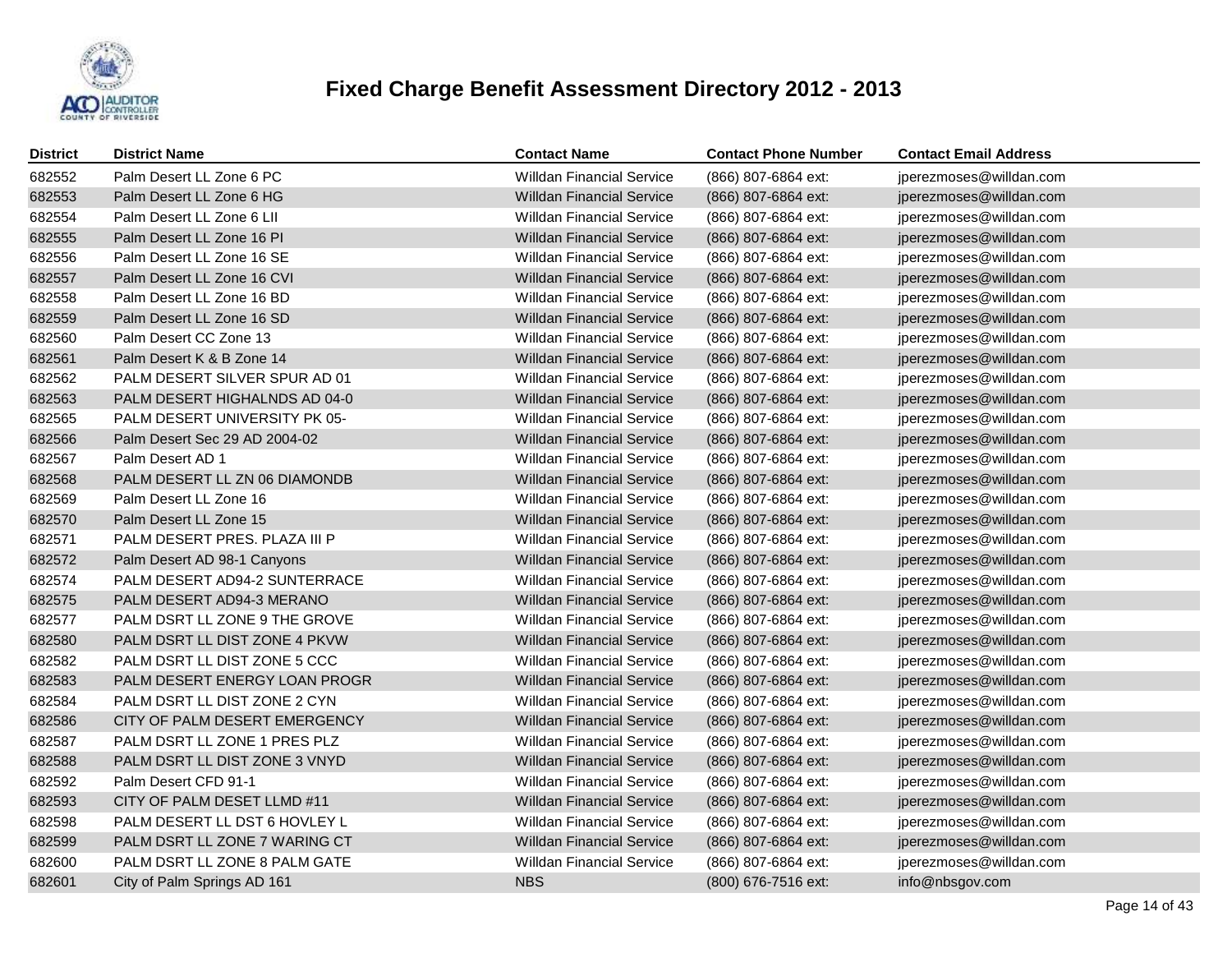

| <b>District</b> | <b>District Name</b>          | <b>Contact Name</b>              | <b>Contact Phone Number</b> | <b>Contact Email Address</b> |
|-----------------|-------------------------------|----------------------------------|-----------------------------|------------------------------|
| 682552          | Palm Desert LL Zone 6 PC      | <b>Willdan Financial Service</b> | (866) 807-6864 ext:         | jperezmoses@willdan.com      |
| 682553          | Palm Desert LL Zone 6 HG      | <b>Willdan Financial Service</b> | (866) 807-6864 ext:         | jperezmoses@willdan.com      |
| 682554          | Palm Desert LL Zone 6 LII     | <b>Willdan Financial Service</b> | (866) 807-6864 ext:         | jperezmoses@willdan.com      |
| 682555          | Palm Desert LL Zone 16 PI     | <b>Willdan Financial Service</b> | (866) 807-6864 ext:         | jperezmoses@willdan.com      |
| 682556          | Palm Desert LL Zone 16 SE     | <b>Willdan Financial Service</b> | (866) 807-6864 ext:         | jperezmoses@willdan.com      |
| 682557          | Palm Desert LL Zone 16 CVI    | <b>Willdan Financial Service</b> | (866) 807-6864 ext:         | jperezmoses@willdan.com      |
| 682558          | Palm Desert LL Zone 16 BD     | <b>Willdan Financial Service</b> | (866) 807-6864 ext:         | jperezmoses@willdan.com      |
| 682559          | Palm Desert LL Zone 16 SD     | <b>Willdan Financial Service</b> | (866) 807-6864 ext:         | jperezmoses@willdan.com      |
| 682560          | Palm Desert CC Zone 13        | <b>Willdan Financial Service</b> | (866) 807-6864 ext:         | jperezmoses@willdan.com      |
| 682561          | Palm Desert K & B Zone 14     | <b>Willdan Financial Service</b> | (866) 807-6864 ext:         | jperezmoses@willdan.com      |
| 682562          | PALM DESERT SILVER SPUR AD 01 | <b>Willdan Financial Service</b> | (866) 807-6864 ext:         | jperezmoses@willdan.com      |
| 682563          | PALM DESERT HIGHALNDS AD 04-0 | <b>Willdan Financial Service</b> | (866) 807-6864 ext:         | jperezmoses@willdan.com      |
| 682565          | PALM DESERT UNIVERSITY PK 05- | <b>Willdan Financial Service</b> | (866) 807-6864 ext:         | jperezmoses@willdan.com      |
| 682566          | Palm Desert Sec 29 AD 2004-02 | <b>Willdan Financial Service</b> | (866) 807-6864 ext:         | jperezmoses@willdan.com      |
| 682567          | Palm Desert AD 1              | <b>Willdan Financial Service</b> | (866) 807-6864 ext:         | jperezmoses@willdan.com      |
| 682568          | PALM DESERT LL ZN 06 DIAMONDB | <b>Willdan Financial Service</b> | (866) 807-6864 ext:         | jperezmoses@willdan.com      |
| 682569          | Palm Desert LL Zone 16        | <b>Willdan Financial Service</b> | (866) 807-6864 ext:         | jperezmoses@willdan.com      |
| 682570          | Palm Desert LL Zone 15        | <b>Willdan Financial Service</b> | (866) 807-6864 ext:         | jperezmoses@willdan.com      |
| 682571          | PALM DESERT PRES. PLAZA III P | <b>Willdan Financial Service</b> | (866) 807-6864 ext:         | jperezmoses@willdan.com      |
| 682572          | Palm Desert AD 98-1 Canyons   | <b>Willdan Financial Service</b> | (866) 807-6864 ext:         | jperezmoses@willdan.com      |
| 682574          | PALM DESERT AD94-2 SUNTERRACE | <b>Willdan Financial Service</b> | (866) 807-6864 ext:         | jperezmoses@willdan.com      |
| 682575          | PALM DESERT AD94-3 MERANO     | <b>Willdan Financial Service</b> | (866) 807-6864 ext:         | jperezmoses@willdan.com      |
| 682577          | PALM DSRT LL ZONE 9 THE GROVE | <b>Willdan Financial Service</b> | (866) 807-6864 ext:         | jperezmoses@willdan.com      |
| 682580          | PALM DSRT LL DIST ZONE 4 PKVW | <b>Willdan Financial Service</b> | (866) 807-6864 ext:         | jperezmoses@willdan.com      |
| 682582          | PALM DSRT LL DIST ZONE 5 CCC  | <b>Willdan Financial Service</b> | (866) 807-6864 ext:         | jperezmoses@willdan.com      |
| 682583          | PALM DESERT ENERGY LOAN PROGR | <b>Willdan Financial Service</b> | (866) 807-6864 ext:         | jperezmoses@willdan.com      |
| 682584          | PALM DSRT LL DIST ZONE 2 CYN  | <b>Willdan Financial Service</b> | (866) 807-6864 ext:         | jperezmoses@willdan.com      |
| 682586          | CITY OF PALM DESERT EMERGENCY | <b>Willdan Financial Service</b> | (866) 807-6864 ext:         | jperezmoses@willdan.com      |
| 682587          | PALM DSRT LL ZONE 1 PRES PLZ  | <b>Willdan Financial Service</b> | (866) 807-6864 ext:         | jperezmoses@willdan.com      |
| 682588          | PALM DSRT LL DIST ZONE 3 VNYD | <b>Willdan Financial Service</b> | (866) 807-6864 ext:         | jperezmoses@willdan.com      |
| 682592          | Palm Desert CFD 91-1          | <b>Willdan Financial Service</b> | (866) 807-6864 ext:         | jperezmoses@willdan.com      |
| 682593          | CITY OF PALM DESET LLMD #11   | <b>Willdan Financial Service</b> | (866) 807-6864 ext:         | jperezmoses@willdan.com      |
| 682598          | PALM DESERT LL DST 6 HOVLEY L | <b>Willdan Financial Service</b> | (866) 807-6864 ext:         | jperezmoses@willdan.com      |
| 682599          | PALM DSRT LL ZONE 7 WARING CT | <b>Willdan Financial Service</b> | (866) 807-6864 ext:         | jperezmoses@willdan.com      |
| 682600          | PALM DSRT LL ZONE 8 PALM GATE | <b>Willdan Financial Service</b> | (866) 807-6864 ext:         | jperezmoses@willdan.com      |
| 682601          | City of Palm Springs AD 161   | <b>NBS</b>                       | (800) 676-7516 ext:         | info@nbsgov.com              |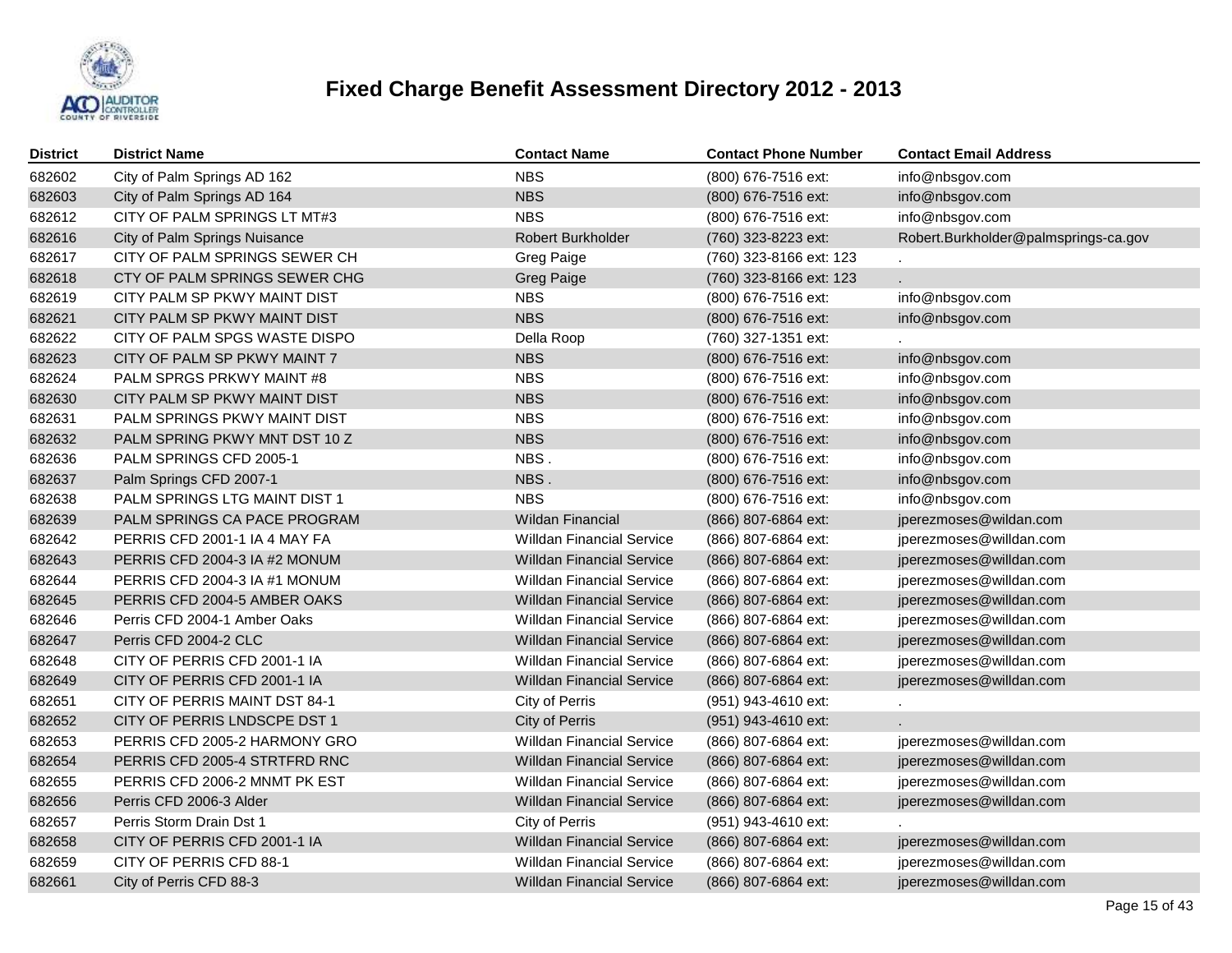

| District | <b>District Name</b>          | <b>Contact Name</b>              | <b>Contact Phone Number</b> | <b>Contact Email Address</b>         |
|----------|-------------------------------|----------------------------------|-----------------------------|--------------------------------------|
| 682602   | City of Palm Springs AD 162   | <b>NBS</b>                       | (800) 676-7516 ext:         | info@nbsgov.com                      |
| 682603   | City of Palm Springs AD 164   | <b>NBS</b>                       | (800) 676-7516 ext:         | info@nbsgov.com                      |
| 682612   | CITY OF PALM SPRINGS LT MT#3  | <b>NBS</b>                       | (800) 676-7516 ext:         | info@nbsgov.com                      |
| 682616   | City of Palm Springs Nuisance | Robert Burkholder                | (760) 323-8223 ext:         | Robert.Burkholder@palmsprings-ca.gov |
| 682617   | CITY OF PALM SPRINGS SEWER CH | Greg Paige                       | (760) 323-8166 ext: 123     |                                      |
| 682618   | CTY OF PALM SPRINGS SEWER CHG | <b>Greg Paige</b>                | (760) 323-8166 ext: 123     |                                      |
| 682619   | CITY PALM SP PKWY MAINT DIST  | <b>NBS</b>                       | (800) 676-7516 ext:         | info@nbsgov.com                      |
| 682621   | CITY PALM SP PKWY MAINT DIST  | <b>NBS</b>                       | (800) 676-7516 ext:         | info@nbsgov.com                      |
| 682622   | CITY OF PALM SPGS WASTE DISPO | Della Roop                       | (760) 327-1351 ext:         |                                      |
| 682623   | CITY OF PALM SP PKWY MAINT 7  | <b>NBS</b>                       | (800) 676-7516 ext:         | info@nbsgov.com                      |
| 682624   | PALM SPRGS PRKWY MAINT #8     | <b>NBS</b>                       | (800) 676-7516 ext:         | info@nbsgov.com                      |
| 682630   | CITY PALM SP PKWY MAINT DIST  | <b>NBS</b>                       | (800) 676-7516 ext:         | info@nbsgov.com                      |
| 682631   | PALM SPRINGS PKWY MAINT DIST  | <b>NBS</b>                       | (800) 676-7516 ext:         | info@nbsgov.com                      |
| 682632   | PALM SPRING PKWY MNT DST 10 Z | <b>NBS</b>                       | (800) 676-7516 ext:         | info@nbsgov.com                      |
| 682636   | PALM SPRINGS CFD 2005-1       | NBS.                             | (800) 676-7516 ext:         | info@nbsgov.com                      |
| 682637   | Palm Springs CFD 2007-1       | NBS.                             | (800) 676-7516 ext:         | info@nbsgov.com                      |
| 682638   | PALM SPRINGS LTG MAINT DIST 1 | <b>NBS</b>                       | (800) 676-7516 ext:         | info@nbsgov.com                      |
| 682639   | PALM SPRINGS CA PACE PROGRAM  | <b>Wildan Financial</b>          | (866) 807-6864 ext:         | jperezmoses@wildan.com               |
| 682642   | PERRIS CFD 2001-1 IA 4 MAY FA | <b>Willdan Financial Service</b> | (866) 807-6864 ext:         | jperezmoses@willdan.com              |
| 682643   | PERRIS CFD 2004-3 IA #2 MONUM | <b>Willdan Financial Service</b> | (866) 807-6864 ext:         | jperezmoses@willdan.com              |
| 682644   | PERRIS CFD 2004-3 IA #1 MONUM | <b>Willdan Financial Service</b> | (866) 807-6864 ext:         | jperezmoses@willdan.com              |
| 682645   | PERRIS CFD 2004-5 AMBER OAKS  | <b>Willdan Financial Service</b> | (866) 807-6864 ext:         | jperezmoses@willdan.com              |
| 682646   | Perris CFD 2004-1 Amber Oaks  | <b>Willdan Financial Service</b> | (866) 807-6864 ext:         | jperezmoses@willdan.com              |
| 682647   | Perris CFD 2004-2 CLC         | <b>Willdan Financial Service</b> | (866) 807-6864 ext:         | jperezmoses@willdan.com              |
| 682648   | CITY OF PERRIS CFD 2001-1 IA  | <b>Willdan Financial Service</b> | (866) 807-6864 ext:         | jperezmoses@willdan.com              |
| 682649   | CITY OF PERRIS CFD 2001-1 IA  | <b>Willdan Financial Service</b> | (866) 807-6864 ext:         | jperezmoses@willdan.com              |
| 682651   | CITY OF PERRIS MAINT DST 84-1 | City of Perris                   | (951) 943-4610 ext:         |                                      |
| 682652   | CITY OF PERRIS LNDSCPE DST 1  | City of Perris                   | (951) 943-4610 ext:         |                                      |
| 682653   | PERRIS CFD 2005-2 HARMONY GRO | <b>Willdan Financial Service</b> | (866) 807-6864 ext:         | jperezmoses@willdan.com              |
| 682654   | PERRIS CFD 2005-4 STRTFRD RNC | <b>Willdan Financial Service</b> | (866) 807-6864 ext:         | jperezmoses@willdan.com              |
| 682655   | PERRIS CFD 2006-2 MNMT PK EST | <b>Willdan Financial Service</b> | (866) 807-6864 ext:         | jperezmoses@willdan.com              |
| 682656   | Perris CFD 2006-3 Alder       | <b>Willdan Financial Service</b> | (866) 807-6864 ext:         | jperezmoses@willdan.com              |
| 682657   | Perris Storm Drain Dst 1      | City of Perris                   | (951) 943-4610 ext:         |                                      |
| 682658   | CITY OF PERRIS CFD 2001-1 IA  | <b>Willdan Financial Service</b> | (866) 807-6864 ext:         | jperezmoses@willdan.com              |
| 682659   | CITY OF PERRIS CFD 88-1       | <b>Willdan Financial Service</b> | (866) 807-6864 ext:         | jperezmoses@willdan.com              |
| 682661   | City of Perris CFD 88-3       | <b>Willdan Financial Service</b> | (866) 807-6864 ext:         | jperezmoses@willdan.com              |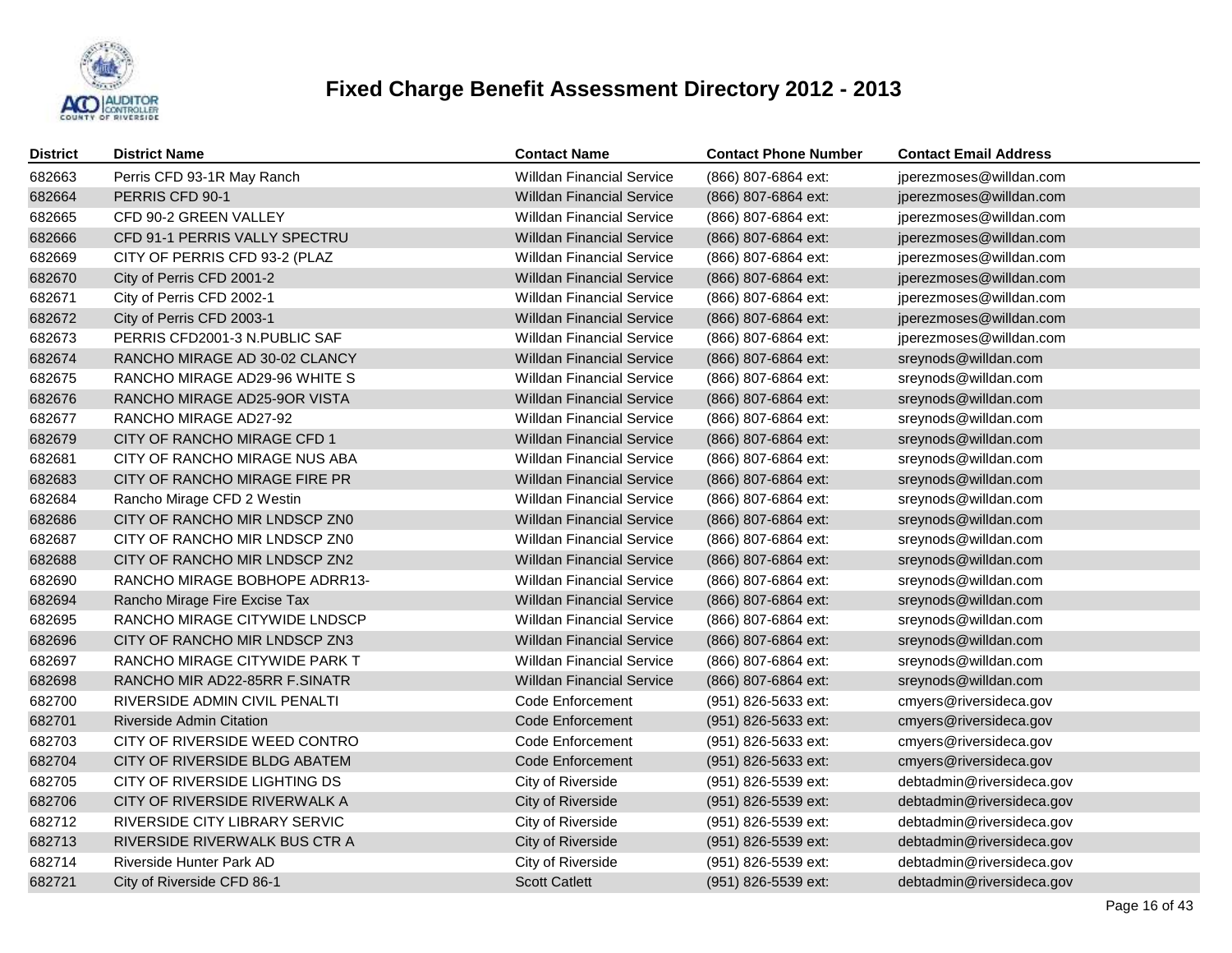

| <b>District</b> | <b>District Name</b>            | <b>Contact Name</b>              | <b>Contact Phone Number</b> | <b>Contact Email Address</b> |
|-----------------|---------------------------------|----------------------------------|-----------------------------|------------------------------|
| 682663          | Perris CFD 93-1R May Ranch      | <b>Willdan Financial Service</b> | (866) 807-6864 ext:         | jperezmoses@willdan.com      |
| 682664          | PERRIS CFD 90-1                 | <b>Willdan Financial Service</b> | (866) 807-6864 ext:         | jperezmoses@willdan.com      |
| 682665          | CFD 90-2 GREEN VALLEY           | <b>Willdan Financial Service</b> | (866) 807-6864 ext:         | jperezmoses@willdan.com      |
| 682666          | CFD 91-1 PERRIS VALLY SPECTRU   | <b>Willdan Financial Service</b> | (866) 807-6864 ext:         | jperezmoses@willdan.com      |
| 682669          | CITY OF PERRIS CFD 93-2 (PLAZ   | <b>Willdan Financial Service</b> | (866) 807-6864 ext:         | jperezmoses@willdan.com      |
| 682670          | City of Perris CFD 2001-2       | <b>Willdan Financial Service</b> | (866) 807-6864 ext:         | jperezmoses@willdan.com      |
| 682671          | City of Perris CFD 2002-1       | <b>Willdan Financial Service</b> | (866) 807-6864 ext:         | jperezmoses@willdan.com      |
| 682672          | City of Perris CFD 2003-1       | <b>Willdan Financial Service</b> | (866) 807-6864 ext:         | jperezmoses@willdan.com      |
| 682673          | PERRIS CFD2001-3 N.PUBLIC SAF   | <b>Willdan Financial Service</b> | (866) 807-6864 ext:         | jperezmoses@willdan.com      |
| 682674          | RANCHO MIRAGE AD 30-02 CLANCY   | <b>Willdan Financial Service</b> | (866) 807-6864 ext:         | sreynods@willdan.com         |
| 682675          | RANCHO MIRAGE AD29-96 WHITE S   | <b>Willdan Financial Service</b> | (866) 807-6864 ext:         | sreynods@willdan.com         |
| 682676          | RANCHO MIRAGE AD25-9OR VISTA    | <b>Willdan Financial Service</b> | (866) 807-6864 ext:         | sreynods@willdan.com         |
| 682677          | RANCHO MIRAGE AD27-92           | <b>Willdan Financial Service</b> | (866) 807-6864 ext:         | sreynods@willdan.com         |
| 682679          | CITY OF RANCHO MIRAGE CFD 1     | <b>Willdan Financial Service</b> | (866) 807-6864 ext:         | sreynods@willdan.com         |
| 682681          | CITY OF RANCHO MIRAGE NUS ABA   | <b>Willdan Financial Service</b> | (866) 807-6864 ext:         | sreynods@willdan.com         |
| 682683          | CITY OF RANCHO MIRAGE FIRE PR   | <b>Willdan Financial Service</b> | (866) 807-6864 ext:         | sreynods@willdan.com         |
| 682684          | Rancho Mirage CFD 2 Westin      | <b>Willdan Financial Service</b> | (866) 807-6864 ext:         | sreynods@willdan.com         |
| 682686          | CITY OF RANCHO MIR LNDSCP ZN0   | <b>Willdan Financial Service</b> | (866) 807-6864 ext:         | sreynods@willdan.com         |
| 682687          | CITY OF RANCHO MIR LNDSCP ZN0   | <b>Willdan Financial Service</b> | (866) 807-6864 ext:         | sreynods@willdan.com         |
| 682688          | CITY OF RANCHO MIR LNDSCP ZN2   | <b>Willdan Financial Service</b> | (866) 807-6864 ext:         | sreynods@willdan.com         |
| 682690          | RANCHO MIRAGE BOBHOPE ADRR13-   | <b>Willdan Financial Service</b> | (866) 807-6864 ext:         | sreynods@willdan.com         |
| 682694          | Rancho Mirage Fire Excise Tax   | <b>Willdan Financial Service</b> | (866) 807-6864 ext:         | sreynods@willdan.com         |
| 682695          | RANCHO MIRAGE CITYWIDE LNDSCP   | <b>Willdan Financial Service</b> | (866) 807-6864 ext:         | sreynods@willdan.com         |
| 682696          | CITY OF RANCHO MIR LNDSCP ZN3   | <b>Willdan Financial Service</b> | (866) 807-6864 ext:         | sreynods@willdan.com         |
| 682697          | RANCHO MIRAGE CITYWIDE PARK T   | <b>Willdan Financial Service</b> | (866) 807-6864 ext:         | sreynods@willdan.com         |
| 682698          | RANCHO MIR AD22-85RR F.SINATR   | <b>Willdan Financial Service</b> | (866) 807-6864 ext:         | sreynods@willdan.com         |
| 682700          | RIVERSIDE ADMIN CIVIL PENALTI   | Code Enforcement                 | (951) 826-5633 ext:         | cmyers@riversideca.gov       |
| 682701          | <b>Riverside Admin Citation</b> | Code Enforcement                 | (951) 826-5633 ext:         | cmyers@riversideca.gov       |
| 682703          | CITY OF RIVERSIDE WEED CONTRO   | Code Enforcement                 | (951) 826-5633 ext:         | cmyers@riversideca.gov       |
| 682704          | CITY OF RIVERSIDE BLDG ABATEM   | Code Enforcement                 | (951) 826-5633 ext:         | cmyers@riversideca.gov       |
| 682705          | CITY OF RIVERSIDE LIGHTING DS   | City of Riverside                | (951) 826-5539 ext:         | debtadmin@riversideca.gov    |
| 682706          | CITY OF RIVERSIDE RIVERWALK A   | City of Riverside                | (951) 826-5539 ext:         | debtadmin@riversideca.gov    |
| 682712          | RIVERSIDE CITY LIBRARY SERVIC   | City of Riverside                | (951) 826-5539 ext:         | debtadmin@riversideca.gov    |
| 682713          | RIVERSIDE RIVERWALK BUS CTR A   | City of Riverside                | (951) 826-5539 ext:         | debtadmin@riversideca.gov    |
| 682714          | Riverside Hunter Park AD        | City of Riverside                | (951) 826-5539 ext:         | debtadmin@riversideca.gov    |
| 682721          | City of Riverside CFD 86-1      | <b>Scott Catlett</b>             | (951) 826-5539 ext:         | debtadmin@riversideca.gov    |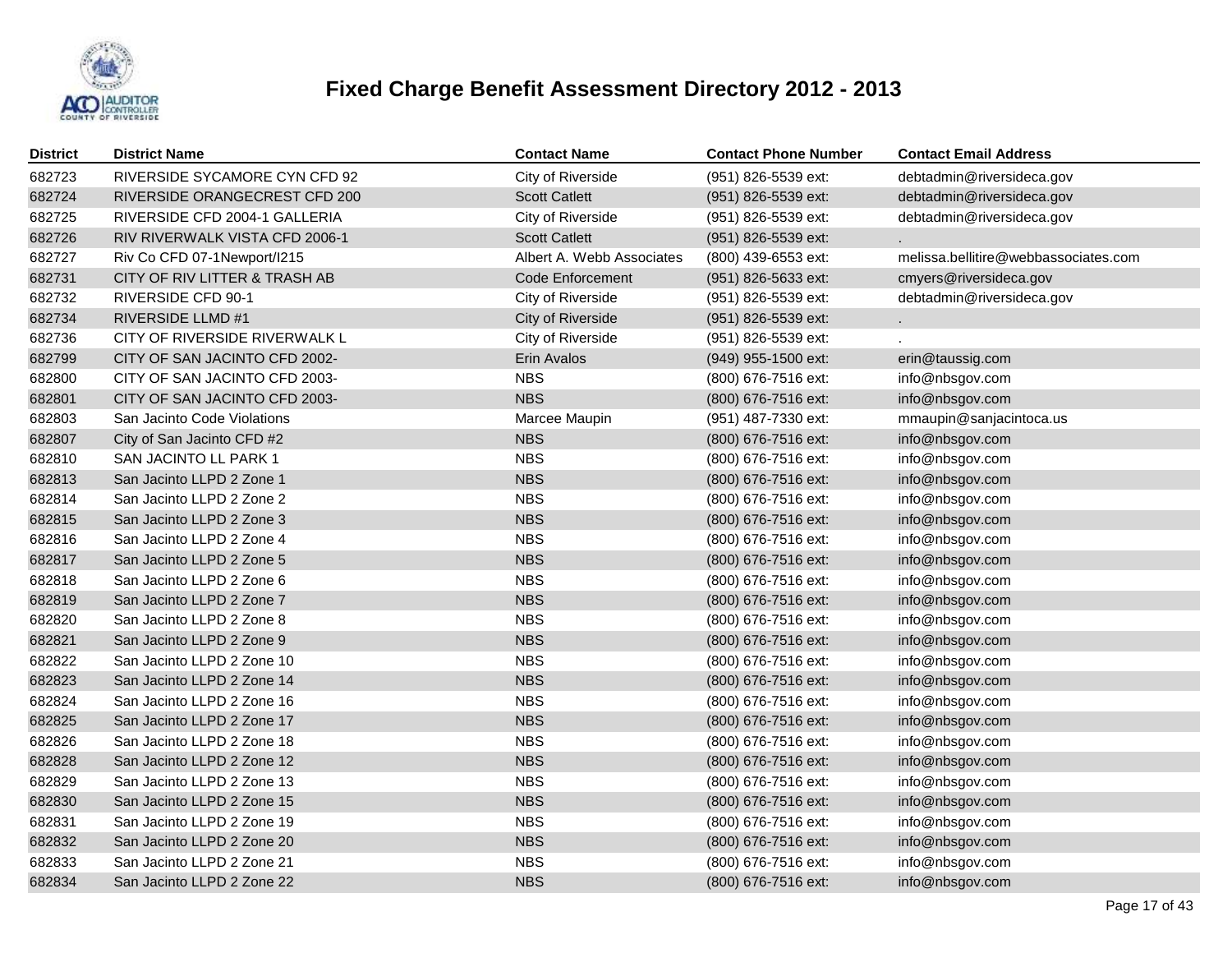

| <b>District</b> | <b>District Name</b>           | <b>Contact Name</b>       | <b>Contact Phone Number</b> | <b>Contact Email Address</b>         |
|-----------------|--------------------------------|---------------------------|-----------------------------|--------------------------------------|
| 682723          | RIVERSIDE SYCAMORE CYN CFD 92  | City of Riverside         | (951) 826-5539 ext:         | debtadmin@riversideca.gov            |
| 682724          | RIVERSIDE ORANGECREST CFD 200  | <b>Scott Catlett</b>      | (951) 826-5539 ext:         | debtadmin@riversideca.gov            |
| 682725          | RIVERSIDE CFD 2004-1 GALLERIA  | City of Riverside         | (951) 826-5539 ext:         | debtadmin@riversideca.gov            |
| 682726          | RIV RIVERWALK VISTA CFD 2006-1 | <b>Scott Catlett</b>      | (951) 826-5539 ext:         |                                      |
| 682727          | Riv Co CFD 07-1Newport/I215    | Albert A. Webb Associates | (800) 439-6553 ext:         | melissa.bellitire@webbassociates.com |
| 682731          | CITY OF RIV LITTER & TRASH AB  | Code Enforcement          | (951) 826-5633 ext:         | cmyers@riversideca.gov               |
| 682732          | <b>RIVERSIDE CFD 90-1</b>      | City of Riverside         | (951) 826-5539 ext:         | debtadmin@riversideca.gov            |
| 682734          | <b>RIVERSIDE LLMD #1</b>       | City of Riverside         | (951) 826-5539 ext:         |                                      |
| 682736          | CITY OF RIVERSIDE RIVERWALK L  | City of Riverside         | (951) 826-5539 ext:         |                                      |
| 682799          | CITY OF SAN JACINTO CFD 2002-  | Erin Avalos               | (949) 955-1500 ext:         | erin@taussig.com                     |
| 682800          | CITY OF SAN JACINTO CFD 2003-  | <b>NBS</b>                | (800) 676-7516 ext:         | info@nbsgov.com                      |
| 682801          | CITY OF SAN JACINTO CFD 2003-  | <b>NBS</b>                | (800) 676-7516 ext:         | info@nbsgov.com                      |
| 682803          | San Jacinto Code Violations    | Marcee Maupin             | (951) 487-7330 ext:         | mmaupin@sanjacintoca.us              |
| 682807          | City of San Jacinto CFD #2     | <b>NBS</b>                | (800) 676-7516 ext:         | info@nbsgov.com                      |
| 682810          | SAN JACINTO LL PARK 1          | <b>NBS</b>                | (800) 676-7516 ext:         | info@nbsgov.com                      |
| 682813          | San Jacinto LLPD 2 Zone 1      | <b>NBS</b>                | (800) 676-7516 ext:         | info@nbsgov.com                      |
| 682814          | San Jacinto LLPD 2 Zone 2      | <b>NBS</b>                | (800) 676-7516 ext:         | info@nbsgov.com                      |
| 682815          | San Jacinto LLPD 2 Zone 3      | <b>NBS</b>                | (800) 676-7516 ext:         | info@nbsgov.com                      |
| 682816          | San Jacinto LLPD 2 Zone 4      | <b>NBS</b>                | (800) 676-7516 ext:         | info@nbsgov.com                      |
| 682817          | San Jacinto LLPD 2 Zone 5      | <b>NBS</b>                | (800) 676-7516 ext:         | info@nbsgov.com                      |
| 682818          | San Jacinto LLPD 2 Zone 6      | <b>NBS</b>                | (800) 676-7516 ext:         | info@nbsgov.com                      |
| 682819          | San Jacinto LLPD 2 Zone 7      | <b>NBS</b>                | (800) 676-7516 ext:         | info@nbsgov.com                      |
| 682820          | San Jacinto LLPD 2 Zone 8      | <b>NBS</b>                | (800) 676-7516 ext:         | info@nbsgov.com                      |
| 682821          | San Jacinto LLPD 2 Zone 9      | <b>NBS</b>                | (800) 676-7516 ext:         | info@nbsgov.com                      |
| 682822          | San Jacinto LLPD 2 Zone 10     | <b>NBS</b>                | (800) 676-7516 ext:         | info@nbsgov.com                      |
| 682823          | San Jacinto LLPD 2 Zone 14     | <b>NBS</b>                | (800) 676-7516 ext:         | info@nbsgov.com                      |
| 682824          | San Jacinto LLPD 2 Zone 16     | <b>NBS</b>                | (800) 676-7516 ext:         | info@nbsgov.com                      |
| 682825          | San Jacinto LLPD 2 Zone 17     | <b>NBS</b>                | (800) 676-7516 ext:         | info@nbsgov.com                      |
| 682826          | San Jacinto LLPD 2 Zone 18     | <b>NBS</b>                | (800) 676-7516 ext:         | info@nbsgov.com                      |
| 682828          | San Jacinto LLPD 2 Zone 12     | <b>NBS</b>                | (800) 676-7516 ext:         | info@nbsgov.com                      |
| 682829          | San Jacinto LLPD 2 Zone 13     | <b>NBS</b>                | (800) 676-7516 ext:         | info@nbsgov.com                      |
| 682830          | San Jacinto LLPD 2 Zone 15     | <b>NBS</b>                | (800) 676-7516 ext:         | info@nbsgov.com                      |
| 682831          | San Jacinto LLPD 2 Zone 19     | <b>NBS</b>                | (800) 676-7516 ext:         | info@nbsgov.com                      |
| 682832          | San Jacinto LLPD 2 Zone 20     | <b>NBS</b>                | (800) 676-7516 ext:         | info@nbsgov.com                      |
| 682833          | San Jacinto LLPD 2 Zone 21     | <b>NBS</b>                | (800) 676-7516 ext:         | info@nbsgov.com                      |
| 682834          | San Jacinto LLPD 2 Zone 22     | <b>NBS</b>                | (800) 676-7516 ext:         | info@nbsgov.com                      |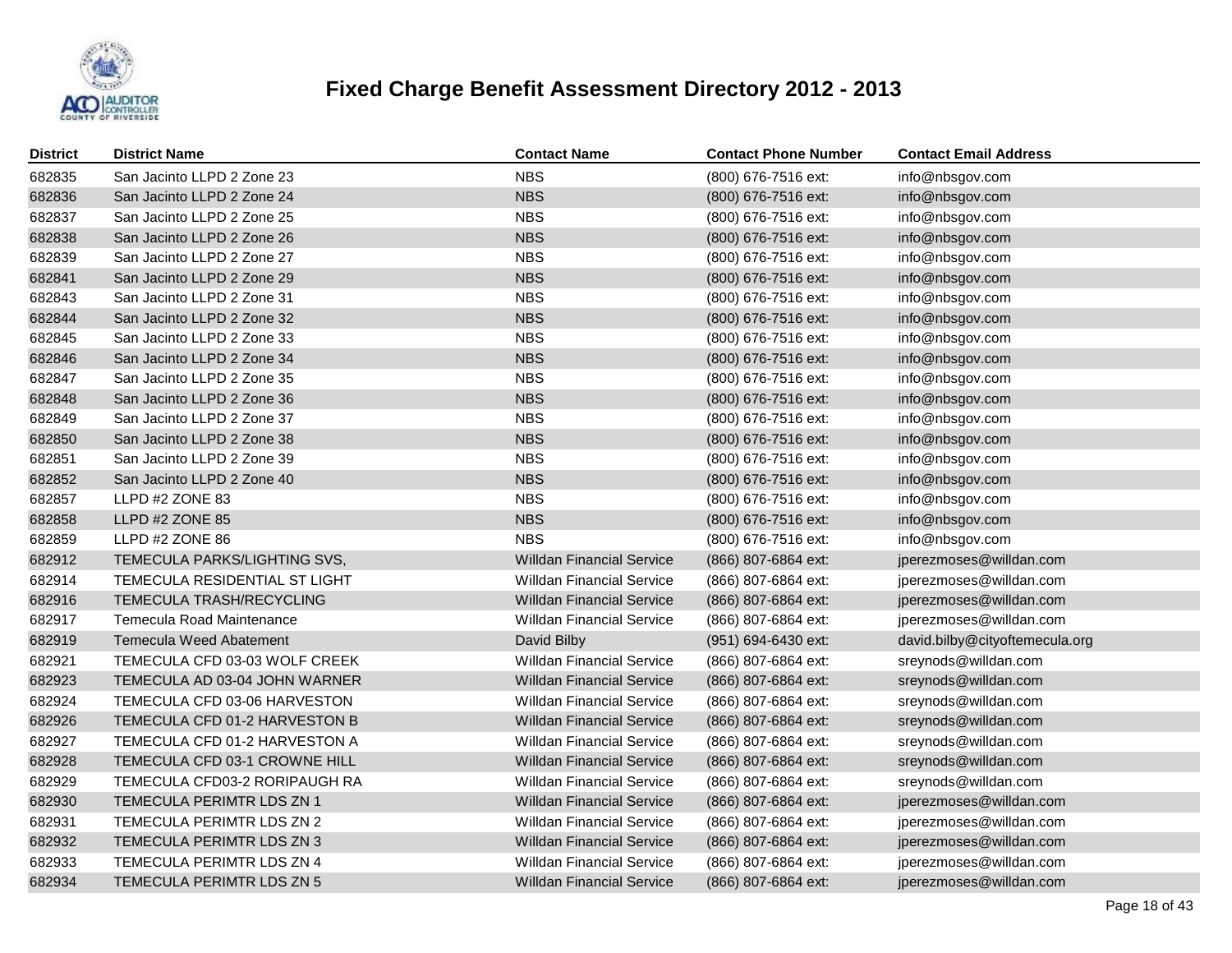

| District | <b>District Name</b>           | <b>Contact Name</b>              | <b>Contact Phone Number</b> | <b>Contact Email Address</b>   |
|----------|--------------------------------|----------------------------------|-----------------------------|--------------------------------|
| 682835   | San Jacinto LLPD 2 Zone 23     | <b>NBS</b>                       | (800) 676-7516 ext:         | info@nbsgov.com                |
| 682836   | San Jacinto LLPD 2 Zone 24     | <b>NBS</b>                       | (800) 676-7516 ext:         | info@nbsgov.com                |
| 682837   | San Jacinto LLPD 2 Zone 25     | <b>NBS</b>                       | (800) 676-7516 ext:         | info@nbsgov.com                |
| 682838   | San Jacinto LLPD 2 Zone 26     | <b>NBS</b>                       | (800) 676-7516 ext:         | info@nbsgov.com                |
| 682839   | San Jacinto LLPD 2 Zone 27     | <b>NBS</b>                       | (800) 676-7516 ext:         | info@nbsgov.com                |
| 682841   | San Jacinto LLPD 2 Zone 29     | <b>NBS</b>                       | (800) 676-7516 ext:         | info@nbsgov.com                |
| 682843   | San Jacinto LLPD 2 Zone 31     | <b>NBS</b>                       | (800) 676-7516 ext:         | info@nbsgov.com                |
| 682844   | San Jacinto LLPD 2 Zone 32     | <b>NBS</b>                       | (800) 676-7516 ext:         | info@nbsgov.com                |
| 682845   | San Jacinto LLPD 2 Zone 33     | <b>NBS</b>                       | (800) 676-7516 ext:         | info@nbsgov.com                |
| 682846   | San Jacinto LLPD 2 Zone 34     | <b>NBS</b>                       | (800) 676-7516 ext:         | info@nbsgov.com                |
| 682847   | San Jacinto LLPD 2 Zone 35     | <b>NBS</b>                       | (800) 676-7516 ext:         | info@nbsgov.com                |
| 682848   | San Jacinto LLPD 2 Zone 36     | <b>NBS</b>                       | (800) 676-7516 ext:         | info@nbsgov.com                |
| 682849   | San Jacinto LLPD 2 Zone 37     | <b>NBS</b>                       | (800) 676-7516 ext:         | info@nbsgov.com                |
| 682850   | San Jacinto LLPD 2 Zone 38     | <b>NBS</b>                       | (800) 676-7516 ext:         | info@nbsgov.com                |
| 682851   | San Jacinto LLPD 2 Zone 39     | <b>NBS</b>                       | (800) 676-7516 ext:         | info@nbsgov.com                |
| 682852   | San Jacinto LLPD 2 Zone 40     | <b>NBS</b>                       | (800) 676-7516 ext:         | info@nbsgov.com                |
| 682857   | LLPD #2 ZONE 83                | <b>NBS</b>                       | (800) 676-7516 ext:         | info@nbsgov.com                |
| 682858   | LLPD #2 ZONE 85                | <b>NBS</b>                       | (800) 676-7516 ext:         | info@nbsgov.com                |
| 682859   | LLPD #2 ZONE 86                | <b>NBS</b>                       | (800) 676-7516 ext:         | info@nbsgov.com                |
| 682912   | TEMECULA PARKS/LIGHTING SVS,   | <b>Willdan Financial Service</b> | (866) 807-6864 ext:         | jperezmoses@willdan.com        |
| 682914   | TEMECULA RESIDENTIAL ST LIGHT  | <b>Willdan Financial Service</b> | (866) 807-6864 ext:         | jperezmoses@willdan.com        |
| 682916   | TEMECULA TRASH/RECYCLING       | <b>Willdan Financial Service</b> | (866) 807-6864 ext:         | jperezmoses@willdan.com        |
| 682917   | Temecula Road Maintenance      | Willdan Financial Service        | (866) 807-6864 ext:         | jperezmoses@willdan.com        |
| 682919   | <b>Temecula Weed Abatement</b> | David Bilby                      | (951) 694-6430 ext:         | david.bilby@cityoftemecula.org |
| 682921   | TEMECULA CFD 03-03 WOLF CREEK  | <b>Willdan Financial Service</b> | (866) 807-6864 ext:         | sreynods@willdan.com           |
| 682923   | TEMECULA AD 03-04 JOHN WARNER  | <b>Willdan Financial Service</b> | (866) 807-6864 ext:         | sreynods@willdan.com           |
| 682924   | TEMECULA CFD 03-06 HARVESTON   | <b>Willdan Financial Service</b> | (866) 807-6864 ext:         | sreynods@willdan.com           |
| 682926   | TEMECULA CFD 01-2 HARVESTON B  | <b>Willdan Financial Service</b> | (866) 807-6864 ext:         | sreynods@willdan.com           |
| 682927   | TEMECULA CFD 01-2 HARVESTON A  | <b>Willdan Financial Service</b> | (866) 807-6864 ext:         | sreynods@willdan.com           |
| 682928   | TEMECULA CFD 03-1 CROWNE HILL  | <b>Willdan Financial Service</b> | (866) 807-6864 ext:         | sreynods@willdan.com           |
| 682929   | TEMECULA CFD03-2 RORIPAUGH RA  | <b>Willdan Financial Service</b> | (866) 807-6864 ext:         | sreynods@willdan.com           |
| 682930   | TEMECULA PERIMTR LDS ZN 1      | <b>Willdan Financial Service</b> | (866) 807-6864 ext:         | jperezmoses@willdan.com        |
| 682931   | TEMECULA PERIMTR LDS ZN 2      | <b>Willdan Financial Service</b> | (866) 807-6864 ext:         | jperezmoses@willdan.com        |
| 682932   | TEMECULA PERIMTR LDS ZN 3      | <b>Willdan Financial Service</b> | (866) 807-6864 ext:         | jperezmoses@willdan.com        |
| 682933   | TEMECULA PERIMTR LDS ZN 4      | <b>Willdan Financial Service</b> | (866) 807-6864 ext:         | jperezmoses@willdan.com        |
| 682934   | TEMECULA PERIMTR LDS ZN 5      | <b>Willdan Financial Service</b> | (866) 807-6864 ext:         | jperezmoses@willdan.com        |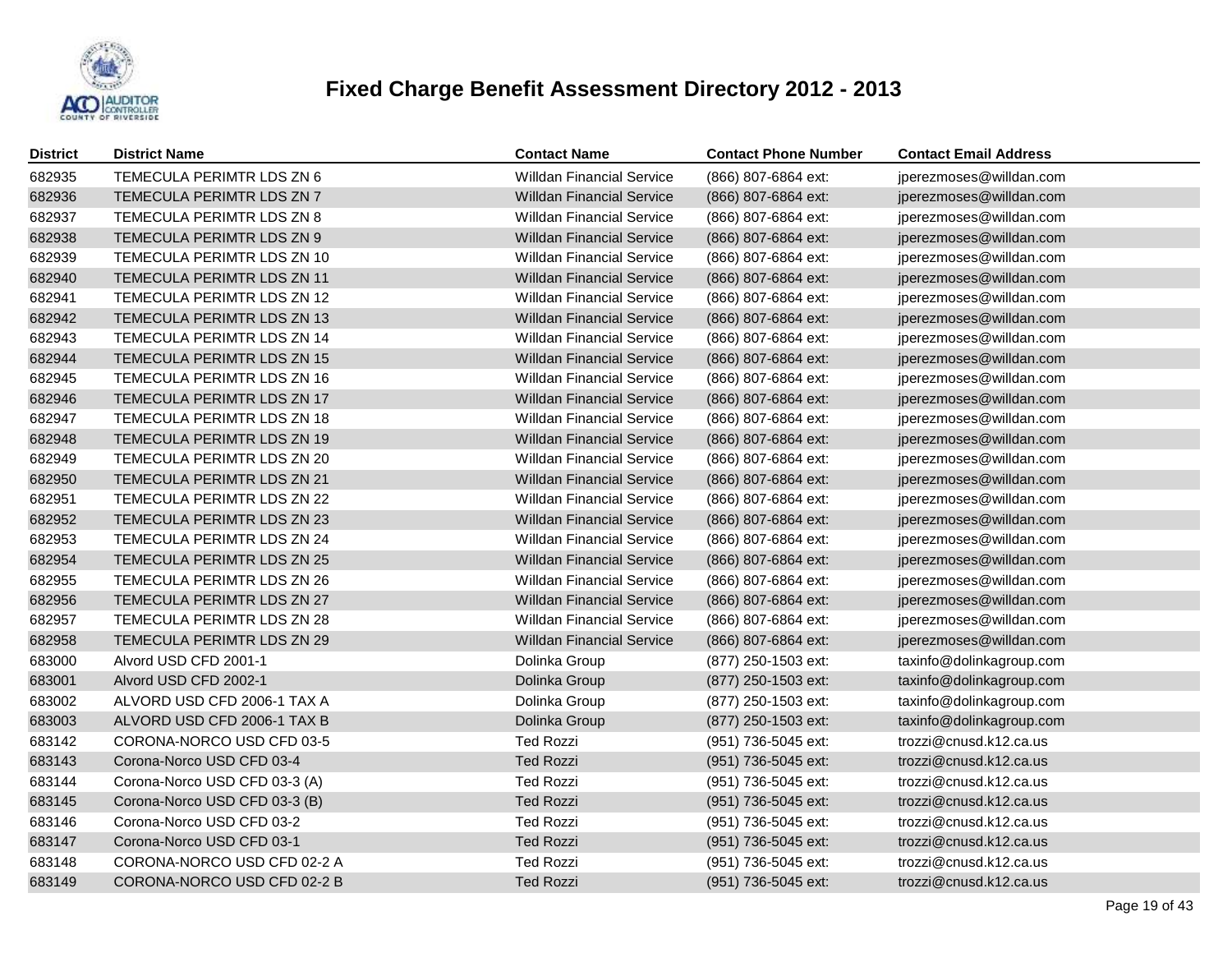

| <b>District</b> | <b>District Name</b>          | <b>Contact Name</b>              | <b>Contact Phone Number</b> | <b>Contact Email Address</b> |
|-----------------|-------------------------------|----------------------------------|-----------------------------|------------------------------|
| 682935          | TEMECULA PERIMTR LDS ZN 6     | <b>Willdan Financial Service</b> | (866) 807-6864 ext:         | jperezmoses@willdan.com      |
| 682936          | TEMECULA PERIMTR LDS ZN 7     | <b>Willdan Financial Service</b> | (866) 807-6864 ext:         | jperezmoses@willdan.com      |
| 682937          | TEMECULA PERIMTR LDS ZN 8     | <b>Willdan Financial Service</b> | (866) 807-6864 ext:         | jperezmoses@willdan.com      |
| 682938          | TEMECULA PERIMTR LDS ZN 9     | <b>Willdan Financial Service</b> | (866) 807-6864 ext:         | jperezmoses@willdan.com      |
| 682939          | TEMECULA PERIMTR LDS ZN 10    | <b>Willdan Financial Service</b> | (866) 807-6864 ext:         | jperezmoses@willdan.com      |
| 682940          | TEMECULA PERIMTR LDS ZN 11    | <b>Willdan Financial Service</b> | (866) 807-6864 ext:         | jperezmoses@willdan.com      |
| 682941          | TEMECULA PERIMTR LDS ZN 12    | <b>Willdan Financial Service</b> | (866) 807-6864 ext:         | jperezmoses@willdan.com      |
| 682942          | TEMECULA PERIMTR LDS ZN 13    | <b>Willdan Financial Service</b> | (866) 807-6864 ext:         | jperezmoses@willdan.com      |
| 682943          | TEMECULA PERIMTR LDS ZN 14    | <b>Willdan Financial Service</b> | (866) 807-6864 ext:         | jperezmoses@willdan.com      |
| 682944          | TEMECULA PERIMTR LDS ZN 15    | <b>Willdan Financial Service</b> | (866) 807-6864 ext:         | jperezmoses@willdan.com      |
| 682945          | TEMECULA PERIMTR LDS ZN 16    | <b>Willdan Financial Service</b> | (866) 807-6864 ext:         | jperezmoses@willdan.com      |
| 682946          | TEMECULA PERIMTR LDS ZN 17    | <b>Willdan Financial Service</b> | (866) 807-6864 ext:         | jperezmoses@willdan.com      |
| 682947          | TEMECULA PERIMTR LDS ZN 18    | <b>Willdan Financial Service</b> | (866) 807-6864 ext:         | jperezmoses@willdan.com      |
| 682948          | TEMECULA PERIMTR LDS ZN 19    | <b>Willdan Financial Service</b> | (866) 807-6864 ext:         | jperezmoses@willdan.com      |
| 682949          | TEMECULA PERIMTR LDS ZN 20    | <b>Willdan Financial Service</b> | (866) 807-6864 ext:         | jperezmoses@willdan.com      |
| 682950          | TEMECULA PERIMTR LDS ZN 21    | <b>Willdan Financial Service</b> | (866) 807-6864 ext:         | jperezmoses@willdan.com      |
| 682951          | TEMECULA PERIMTR LDS ZN 22    | <b>Willdan Financial Service</b> | (866) 807-6864 ext:         | jperezmoses@willdan.com      |
| 682952          | TEMECULA PERIMTR LDS ZN 23    | <b>Willdan Financial Service</b> | (866) 807-6864 ext:         | jperezmoses@willdan.com      |
| 682953          | TEMECULA PERIMTR LDS ZN 24    | <b>Willdan Financial Service</b> | (866) 807-6864 ext:         | jperezmoses@willdan.com      |
| 682954          | TEMECULA PERIMTR LDS ZN 25    | <b>Willdan Financial Service</b> | (866) 807-6864 ext:         | jperezmoses@willdan.com      |
| 682955          | TEMECULA PERIMTR LDS ZN 26    | <b>Willdan Financial Service</b> | (866) 807-6864 ext:         | jperezmoses@willdan.com      |
| 682956          | TEMECULA PERIMTR LDS ZN 27    | <b>Willdan Financial Service</b> | (866) 807-6864 ext:         | jperezmoses@willdan.com      |
| 682957          | TEMECULA PERIMTR LDS ZN 28    | <b>Willdan Financial Service</b> | (866) 807-6864 ext:         | jperezmoses@willdan.com      |
| 682958          | TEMECULA PERIMTR LDS ZN 29    | <b>Willdan Financial Service</b> | (866) 807-6864 ext:         | jperezmoses@willdan.com      |
| 683000          | Alvord USD CFD 2001-1         | Dolinka Group                    | (877) 250-1503 ext:         | taxinfo@dolinkagroup.com     |
| 683001          | Alvord USD CFD 2002-1         | Dolinka Group                    | (877) 250-1503 ext:         | taxinfo@dolinkagroup.com     |
| 683002          | ALVORD USD CFD 2006-1 TAX A   | Dolinka Group                    | (877) 250-1503 ext:         | taxinfo@dolinkagroup.com     |
| 683003          | ALVORD USD CFD 2006-1 TAX B   | Dolinka Group                    | (877) 250-1503 ext:         | taxinfo@dolinkagroup.com     |
| 683142          | CORONA-NORCO USD CFD 03-5     | <b>Ted Rozzi</b>                 | (951) 736-5045 ext:         | trozzi@cnusd.k12.ca.us       |
| 683143          | Corona-Norco USD CFD 03-4     | <b>Ted Rozzi</b>                 | (951) 736-5045 ext:         | trozzi@cnusd.k12.ca.us       |
| 683144          | Corona-Norco USD CFD 03-3 (A) | <b>Ted Rozzi</b>                 | (951) 736-5045 ext:         | trozzi@cnusd.k12.ca.us       |
| 683145          | Corona-Norco USD CFD 03-3 (B) | <b>Ted Rozzi</b>                 | (951) 736-5045 ext:         | trozzi@cnusd.k12.ca.us       |
| 683146          | Corona-Norco USD CFD 03-2     | <b>Ted Rozzi</b>                 | (951) 736-5045 ext:         | trozzi@cnusd.k12.ca.us       |
| 683147          | Corona-Norco USD CFD 03-1     | <b>Ted Rozzi</b>                 | (951) 736-5045 ext:         | trozzi@cnusd.k12.ca.us       |
| 683148          | CORONA-NORCO USD CFD 02-2 A   | <b>Ted Rozzi</b>                 | (951) 736-5045 ext:         | trozzi@cnusd.k12.ca.us       |
| 683149          | CORONA-NORCO USD CFD 02-2 B   | <b>Ted Rozzi</b>                 | (951) 736-5045 ext:         | trozzi@cnusd.k12.ca.us       |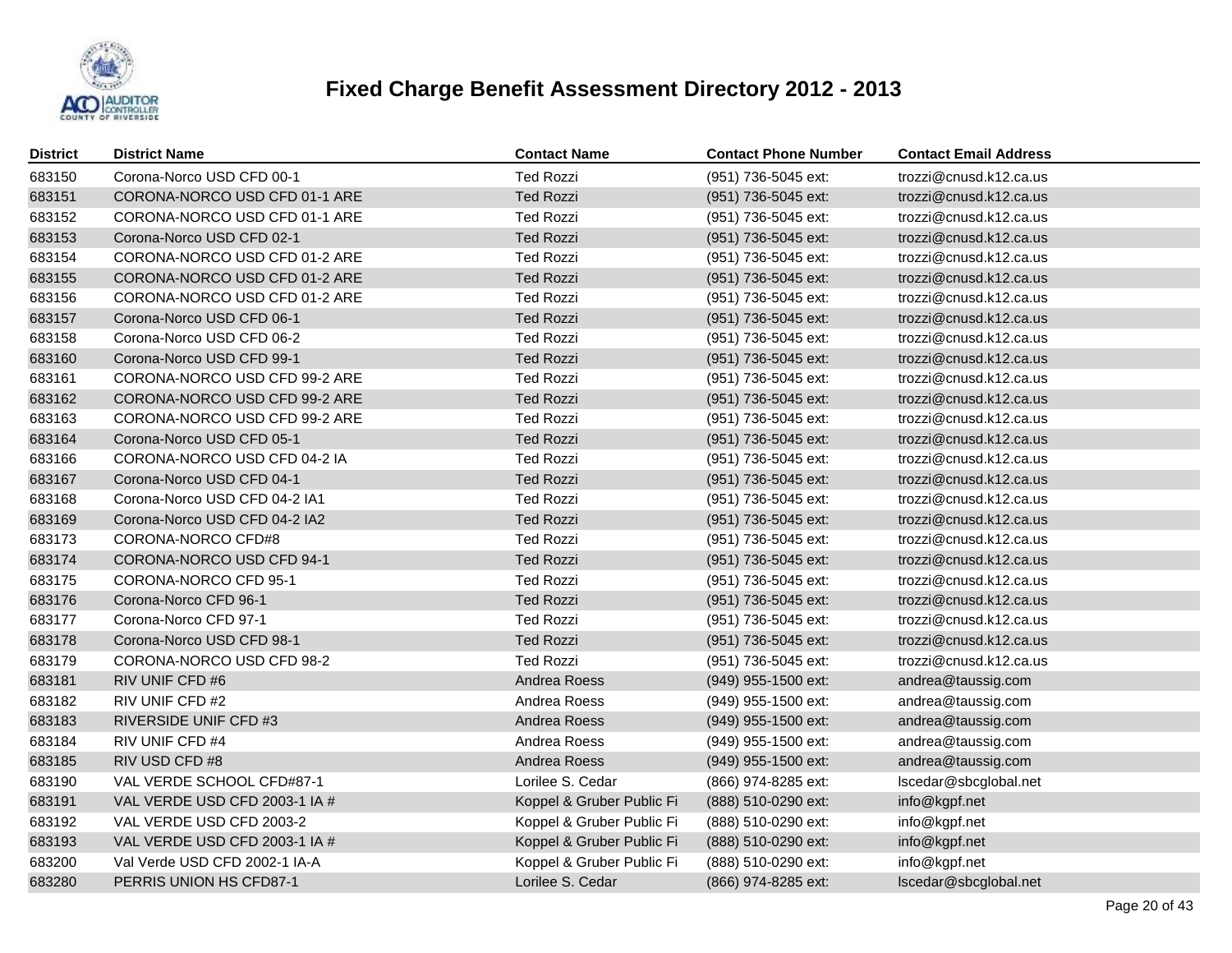

| <b>District</b> | <b>District Name</b>          | <b>Contact Name</b>       | <b>Contact Phone Number</b> | <b>Contact Email Address</b> |
|-----------------|-------------------------------|---------------------------|-----------------------------|------------------------------|
| 683150          | Corona-Norco USD CFD 00-1     | <b>Ted Rozzi</b>          | (951) 736-5045 ext:         | trozzi@cnusd.k12.ca.us       |
| 683151          | CORONA-NORCO USD CFD 01-1 ARE | <b>Ted Rozzi</b>          | (951) 736-5045 ext:         | trozzi@cnusd.k12.ca.us       |
| 683152          | CORONA-NORCO USD CFD 01-1 ARE | <b>Ted Rozzi</b>          | (951) 736-5045 ext:         | trozzi@cnusd.k12.ca.us       |
| 683153          | Corona-Norco USD CFD 02-1     | <b>Ted Rozzi</b>          | (951) 736-5045 ext:         | trozzi@cnusd.k12.ca.us       |
| 683154          | CORONA-NORCO USD CFD 01-2 ARE | <b>Ted Rozzi</b>          | (951) 736-5045 ext:         | trozzi@cnusd.k12.ca.us       |
| 683155          | CORONA-NORCO USD CFD 01-2 ARE | <b>Ted Rozzi</b>          | (951) 736-5045 ext:         | trozzi@cnusd.k12.ca.us       |
| 683156          | CORONA-NORCO USD CFD 01-2 ARE | <b>Ted Rozzi</b>          | (951) 736-5045 ext:         | trozzi@cnusd.k12.ca.us       |
| 683157          | Corona-Norco USD CFD 06-1     | <b>Ted Rozzi</b>          | (951) 736-5045 ext:         | trozzi@cnusd.k12.ca.us       |
| 683158          | Corona-Norco USD CFD 06-2     | <b>Ted Rozzi</b>          | (951) 736-5045 ext:         | trozzi@cnusd.k12.ca.us       |
| 683160          | Corona-Norco USD CFD 99-1     | <b>Ted Rozzi</b>          | (951) 736-5045 ext:         | trozzi@cnusd.k12.ca.us       |
| 683161          | CORONA-NORCO USD CFD 99-2 ARE | <b>Ted Rozzi</b>          | (951) 736-5045 ext:         | trozzi@cnusd.k12.ca.us       |
| 683162          | CORONA-NORCO USD CFD 99-2 ARE | <b>Ted Rozzi</b>          | (951) 736-5045 ext:         | trozzi@cnusd.k12.ca.us       |
| 683163          | CORONA-NORCO USD CFD 99-2 ARE | <b>Ted Rozzi</b>          | (951) 736-5045 ext:         | trozzi@cnusd.k12.ca.us       |
| 683164          | Corona-Norco USD CFD 05-1     | <b>Ted Rozzi</b>          | (951) 736-5045 ext:         | trozzi@cnusd.k12.ca.us       |
| 683166          | CORONA-NORCO USD CFD 04-2 IA  | <b>Ted Rozzi</b>          | (951) 736-5045 ext:         | trozzi@cnusd.k12.ca.us       |
| 683167          | Corona-Norco USD CFD 04-1     | <b>Ted Rozzi</b>          | (951) 736-5045 ext:         | trozzi@cnusd.k12.ca.us       |
| 683168          | Corona-Norco USD CFD 04-2 IA1 | <b>Ted Rozzi</b>          | (951) 736-5045 ext:         | trozzi@cnusd.k12.ca.us       |
| 683169          | Corona-Norco USD CFD 04-2 IA2 | <b>Ted Rozzi</b>          | (951) 736-5045 ext:         | trozzi@cnusd.k12.ca.us       |
| 683173          | CORONA-NORCO CFD#8            | <b>Ted Rozzi</b>          | (951) 736-5045 ext:         | trozzi@cnusd.k12.ca.us       |
| 683174          | CORONA-NORCO USD CFD 94-1     | <b>Ted Rozzi</b>          | (951) 736-5045 ext:         | trozzi@cnusd.k12.ca.us       |
| 683175          | CORONA-NORCO CFD 95-1         | <b>Ted Rozzi</b>          | (951) 736-5045 ext:         | trozzi@cnusd.k12.ca.us       |
| 683176          | Corona-Norco CFD 96-1         | <b>Ted Rozzi</b>          | (951) 736-5045 ext:         | trozzi@cnusd.k12.ca.us       |
| 683177          | Corona-Norco CFD 97-1         | <b>Ted Rozzi</b>          | (951) 736-5045 ext:         | trozzi@cnusd.k12.ca.us       |
| 683178          | Corona-Norco USD CFD 98-1     | <b>Ted Rozzi</b>          | (951) 736-5045 ext:         | trozzi@cnusd.k12.ca.us       |
| 683179          | CORONA-NORCO USD CFD 98-2     | <b>Ted Rozzi</b>          | (951) 736-5045 ext:         | trozzi@cnusd.k12.ca.us       |
| 683181          | RIV UNIF CFD #6               | Andrea Roess              | (949) 955-1500 ext:         | andrea@taussig.com           |
| 683182          | RIV UNIF CFD #2               | Andrea Roess              | (949) 955-1500 ext:         | andrea@taussig.com           |
| 683183          | <b>RIVERSIDE UNIF CFD #3</b>  | Andrea Roess              | (949) 955-1500 ext:         | andrea@taussig.com           |
| 683184          | RIV UNIF CFD #4               | Andrea Roess              | (949) 955-1500 ext:         | andrea@taussig.com           |
| 683185          | RIV USD CFD #8                | Andrea Roess              | (949) 955-1500 ext:         | andrea@taussig.com           |
| 683190          | VAL VERDE SCHOOL CFD#87-1     | Lorilee S. Cedar          | (866) 974-8285 ext:         | Iscedar@sbcglobal.net        |
| 683191          | VAL VERDE USD CFD 2003-1 IA # | Koppel & Gruber Public Fi | (888) 510-0290 ext:         | info@kgpf.net                |
| 683192          | VAL VERDE USD CFD 2003-2      | Koppel & Gruber Public Fi | (888) 510-0290 ext:         | info@kgpf.net                |
| 683193          | VAL VERDE USD CFD 2003-1 IA # | Koppel & Gruber Public Fi | (888) 510-0290 ext:         | info@kgpf.net                |
| 683200          | Val Verde USD CFD 2002-1 IA-A | Koppel & Gruber Public Fi | (888) 510-0290 ext:         | info@kgpf.net                |
| 683280          | PERRIS UNION HS CFD87-1       | Lorilee S. Cedar          | (866) 974-8285 ext:         | Iscedar@sbcglobal.net        |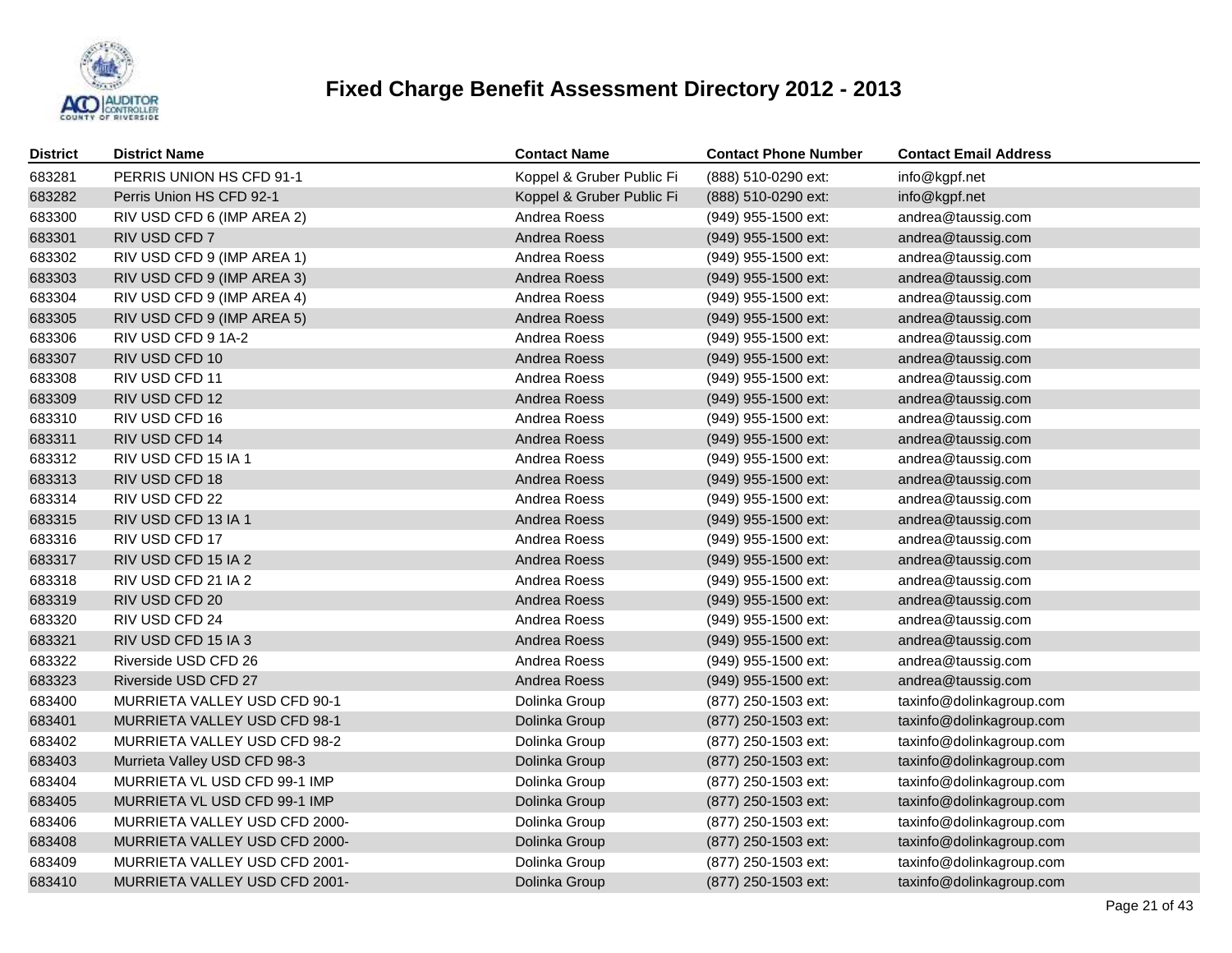

| District | <b>District Name</b>          | <b>Contact Name</b>       | <b>Contact Phone Number</b> | <b>Contact Email Address</b> |
|----------|-------------------------------|---------------------------|-----------------------------|------------------------------|
| 683281   | PERRIS UNION HS CFD 91-1      | Koppel & Gruber Public Fi | (888) 510-0290 ext:         | info@kgpf.net                |
| 683282   | Perris Union HS CFD 92-1      | Koppel & Gruber Public Fi | (888) 510-0290 ext:         | info@kgpf.net                |
| 683300   | RIV USD CFD 6 (IMP AREA 2)    | Andrea Roess              | (949) 955-1500 ext:         | andrea@taussig.com           |
| 683301   | RIV USD CFD 7                 | Andrea Roess              | (949) 955-1500 ext:         | andrea@taussig.com           |
| 683302   | RIV USD CFD 9 (IMP AREA 1)    | Andrea Roess              | (949) 955-1500 ext:         | andrea@taussig.com           |
| 683303   | RIV USD CFD 9 (IMP AREA 3)    | Andrea Roess              | (949) 955-1500 ext:         | andrea@taussig.com           |
| 683304   | RIV USD CFD 9 (IMP AREA 4)    | Andrea Roess              | (949) 955-1500 ext:         | andrea@taussig.com           |
| 683305   | RIV USD CFD 9 (IMP AREA 5)    | Andrea Roess              | (949) 955-1500 ext:         | andrea@taussig.com           |
| 683306   | RIV USD CFD 9 1A-2            | Andrea Roess              | (949) 955-1500 ext:         | andrea@taussig.com           |
| 683307   | RIV USD CFD 10                | Andrea Roess              | (949) 955-1500 ext:         | andrea@taussig.com           |
| 683308   | RIV USD CFD 11                | Andrea Roess              | (949) 955-1500 ext:         | andrea@taussig.com           |
| 683309   | RIV USD CFD 12                | Andrea Roess              | (949) 955-1500 ext:         | andrea@taussig.com           |
| 683310   | RIV USD CFD 16                | Andrea Roess              | (949) 955-1500 ext:         | andrea@taussig.com           |
| 683311   | RIV USD CFD 14                | Andrea Roess              | (949) 955-1500 ext:         | andrea@taussig.com           |
| 683312   | RIV USD CFD 15 IA 1           | Andrea Roess              | (949) 955-1500 ext:         | andrea@taussig.com           |
| 683313   | RIV USD CFD 18                | Andrea Roess              | (949) 955-1500 ext:         | andrea@taussig.com           |
| 683314   | RIV USD CFD 22                | Andrea Roess              | (949) 955-1500 ext:         | andrea@taussig.com           |
| 683315   | RIV USD CFD 13 IA 1           | Andrea Roess              | (949) 955-1500 ext:         | andrea@taussig.com           |
| 683316   | RIV USD CFD 17                | Andrea Roess              | (949) 955-1500 ext:         | andrea@taussig.com           |
| 683317   | RIV USD CFD 15 IA 2           | Andrea Roess              | (949) 955-1500 ext:         | andrea@taussig.com           |
| 683318   | RIV USD CFD 21 IA 2           | Andrea Roess              | (949) 955-1500 ext:         | andrea@taussig.com           |
| 683319   | RIV USD CFD 20                | Andrea Roess              | (949) 955-1500 ext:         | andrea@taussig.com           |
| 683320   | RIV USD CFD 24                | Andrea Roess              | (949) 955-1500 ext:         | andrea@taussig.com           |
| 683321   | RIV USD CFD 15 IA 3           | Andrea Roess              | (949) 955-1500 ext:         | andrea@taussig.com           |
| 683322   | Riverside USD CFD 26          | Andrea Roess              | (949) 955-1500 ext:         | andrea@taussig.com           |
| 683323   | Riverside USD CFD 27          | Andrea Roess              | (949) 955-1500 ext:         | andrea@taussig.com           |
| 683400   | MURRIETA VALLEY USD CFD 90-1  | Dolinka Group             | (877) 250-1503 ext:         | taxinfo@dolinkagroup.com     |
| 683401   | MURRIETA VALLEY USD CFD 98-1  | Dolinka Group             | (877) 250-1503 ext:         | taxinfo@dolinkagroup.com     |
| 683402   | MURRIETA VALLEY USD CFD 98-2  | Dolinka Group             | (877) 250-1503 ext:         | taxinfo@dolinkagroup.com     |
| 683403   | Murrieta Valley USD CFD 98-3  | Dolinka Group             | (877) 250-1503 ext:         | taxinfo@dolinkagroup.com     |
| 683404   | MURRIETA VL USD CFD 99-1 IMP  | Dolinka Group             | (877) 250-1503 ext:         | taxinfo@dolinkagroup.com     |
| 683405   | MURRIETA VL USD CFD 99-1 IMP  | Dolinka Group             | (877) 250-1503 ext:         | taxinfo@dolinkagroup.com     |
| 683406   | MURRIETA VALLEY USD CFD 2000- | Dolinka Group             | (877) 250-1503 ext:         | taxinfo@dolinkagroup.com     |
| 683408   | MURRIETA VALLEY USD CFD 2000- | Dolinka Group             | (877) 250-1503 ext:         | taxinfo@dolinkagroup.com     |
| 683409   | MURRIETA VALLEY USD CFD 2001- | Dolinka Group             | (877) 250-1503 ext:         | taxinfo@dolinkagroup.com     |
| 683410   | MURRIETA VALLEY USD CFD 2001- | Dolinka Group             | (877) 250-1503 ext:         | taxinfo@dolinkagroup.com     |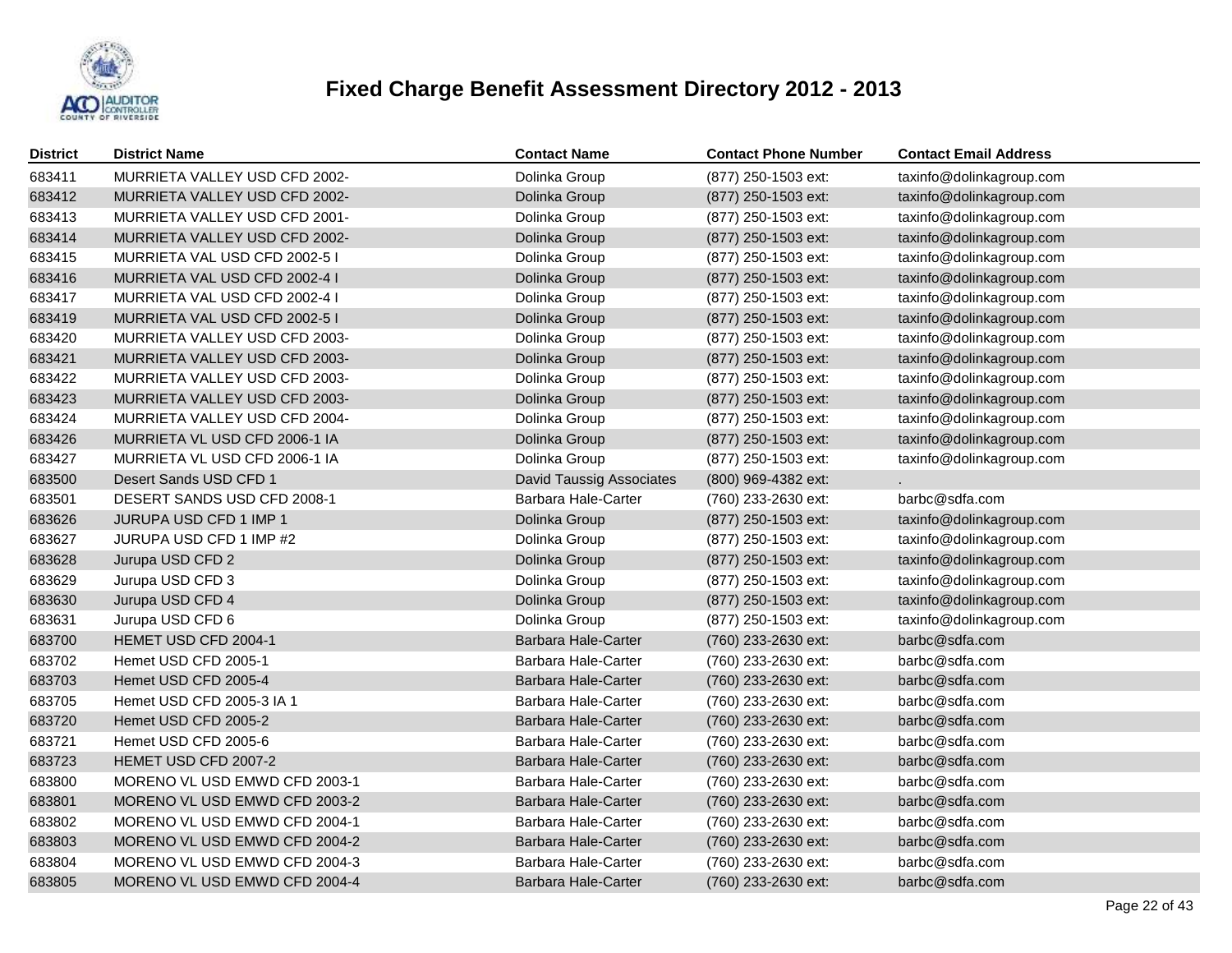

| District | <b>District Name</b>          | <b>Contact Name</b>             | <b>Contact Phone Number</b> | <b>Contact Email Address</b> |
|----------|-------------------------------|---------------------------------|-----------------------------|------------------------------|
| 683411   | MURRIETA VALLEY USD CFD 2002- | Dolinka Group                   | (877) 250-1503 ext:         | taxinfo@dolinkagroup.com     |
| 683412   | MURRIETA VALLEY USD CFD 2002- | Dolinka Group                   | (877) 250-1503 ext:         | taxinfo@dolinkagroup.com     |
| 683413   | MURRIETA VALLEY USD CFD 2001- | Dolinka Group                   | (877) 250-1503 ext:         | taxinfo@dolinkagroup.com     |
| 683414   | MURRIETA VALLEY USD CFD 2002- | Dolinka Group                   | (877) 250-1503 ext:         | taxinfo@dolinkagroup.com     |
| 683415   | MURRIETA VAL USD CFD 2002-51  | Dolinka Group                   | (877) 250-1503 ext:         | taxinfo@dolinkagroup.com     |
| 683416   | MURRIETA VAL USD CFD 2002-4 I | Dolinka Group                   | (877) 250-1503 ext:         | taxinfo@dolinkagroup.com     |
| 683417   | MURRIETA VAL USD CFD 2002-4 I | Dolinka Group                   | (877) 250-1503 ext:         | taxinfo@dolinkagroup.com     |
| 683419   | MURRIETA VAL USD CFD 2002-51  | Dolinka Group                   | (877) 250-1503 ext:         | taxinfo@dolinkagroup.com     |
| 683420   | MURRIETA VALLEY USD CFD 2003- | Dolinka Group                   | (877) 250-1503 ext:         | taxinfo@dolinkagroup.com     |
| 683421   | MURRIETA VALLEY USD CFD 2003- | Dolinka Group                   | (877) 250-1503 ext:         | taxinfo@dolinkagroup.com     |
| 683422   | MURRIETA VALLEY USD CFD 2003- | Dolinka Group                   | (877) 250-1503 ext:         | taxinfo@dolinkagroup.com     |
| 683423   | MURRIETA VALLEY USD CFD 2003- | Dolinka Group                   | (877) 250-1503 ext:         | taxinfo@dolinkagroup.com     |
| 683424   | MURRIETA VALLEY USD CFD 2004- | Dolinka Group                   | (877) 250-1503 ext:         | taxinfo@dolinkagroup.com     |
| 683426   | MURRIETA VL USD CFD 2006-1 IA | Dolinka Group                   | (877) 250-1503 ext:         | taxinfo@dolinkagroup.com     |
| 683427   | MURRIETA VL USD CFD 2006-1 IA | Dolinka Group                   | (877) 250-1503 ext:         | taxinfo@dolinkagroup.com     |
| 683500   | Desert Sands USD CFD 1        | <b>David Taussig Associates</b> | (800) 969-4382 ext:         |                              |
| 683501   | DESERT SANDS USD CFD 2008-1   | <b>Barbara Hale-Carter</b>      | (760) 233-2630 ext:         | barbc@sdfa.com               |
| 683626   | JURUPA USD CFD 1 IMP 1        | Dolinka Group                   | (877) 250-1503 ext:         | taxinfo@dolinkagroup.com     |
| 683627   | JURUPA USD CFD 1 IMP #2       | Dolinka Group                   | (877) 250-1503 ext:         | taxinfo@dolinkagroup.com     |
| 683628   | Jurupa USD CFD 2              | Dolinka Group                   | (877) 250-1503 ext:         | taxinfo@dolinkagroup.com     |
| 683629   | Jurupa USD CFD 3              | Dolinka Group                   | (877) 250-1503 ext:         | taxinfo@dolinkagroup.com     |
| 683630   | Jurupa USD CFD 4              | Dolinka Group                   | (877) 250-1503 ext:         | taxinfo@dolinkagroup.com     |
| 683631   | Jurupa USD CFD 6              | Dolinka Group                   | (877) 250-1503 ext:         | taxinfo@dolinkagroup.com     |
| 683700   | HEMET USD CFD 2004-1          | <b>Barbara Hale-Carter</b>      | (760) 233-2630 ext:         | barbc@sdfa.com               |
| 683702   | Hemet USD CFD 2005-1          | Barbara Hale-Carter             | (760) 233-2630 ext:         | barbc@sdfa.com               |
| 683703   | Hemet USD CFD 2005-4          | <b>Barbara Hale-Carter</b>      | (760) 233-2630 ext:         | barbc@sdfa.com               |
| 683705   | Hemet USD CFD 2005-3 IA 1     | Barbara Hale-Carter             | (760) 233-2630 ext:         | barbc@sdfa.com               |
| 683720   | Hemet USD CFD 2005-2          | Barbara Hale-Carter             | (760) 233-2630 ext:         | barbc@sdfa.com               |
| 683721   | Hemet USD CFD 2005-6          | <b>Barbara Hale-Carter</b>      | (760) 233-2630 ext:         | barbc@sdfa.com               |
| 683723   | HEMET USD CFD 2007-2          | <b>Barbara Hale-Carter</b>      | (760) 233-2630 ext:         | barbc@sdfa.com               |
| 683800   | MORENO VL USD EMWD CFD 2003-1 | <b>Barbara Hale-Carter</b>      | (760) 233-2630 ext:         | barbc@sdfa.com               |
| 683801   | MORENO VL USD EMWD CFD 2003-2 | <b>Barbara Hale-Carter</b>      | (760) 233-2630 ext:         | barbc@sdfa.com               |
| 683802   | MORENO VL USD EMWD CFD 2004-1 | Barbara Hale-Carter             | (760) 233-2630 ext:         | barbc@sdfa.com               |
| 683803   | MORENO VL USD EMWD CFD 2004-2 | Barbara Hale-Carter             | (760) 233-2630 ext:         | barbc@sdfa.com               |
| 683804   | MORENO VL USD EMWD CFD 2004-3 | Barbara Hale-Carter             | (760) 233-2630 ext:         | barbc@sdfa.com               |
| 683805   | MORENO VL USD EMWD CFD 2004-4 | <b>Barbara Hale-Carter</b>      | (760) 233-2630 ext:         | barbc@sdfa.com               |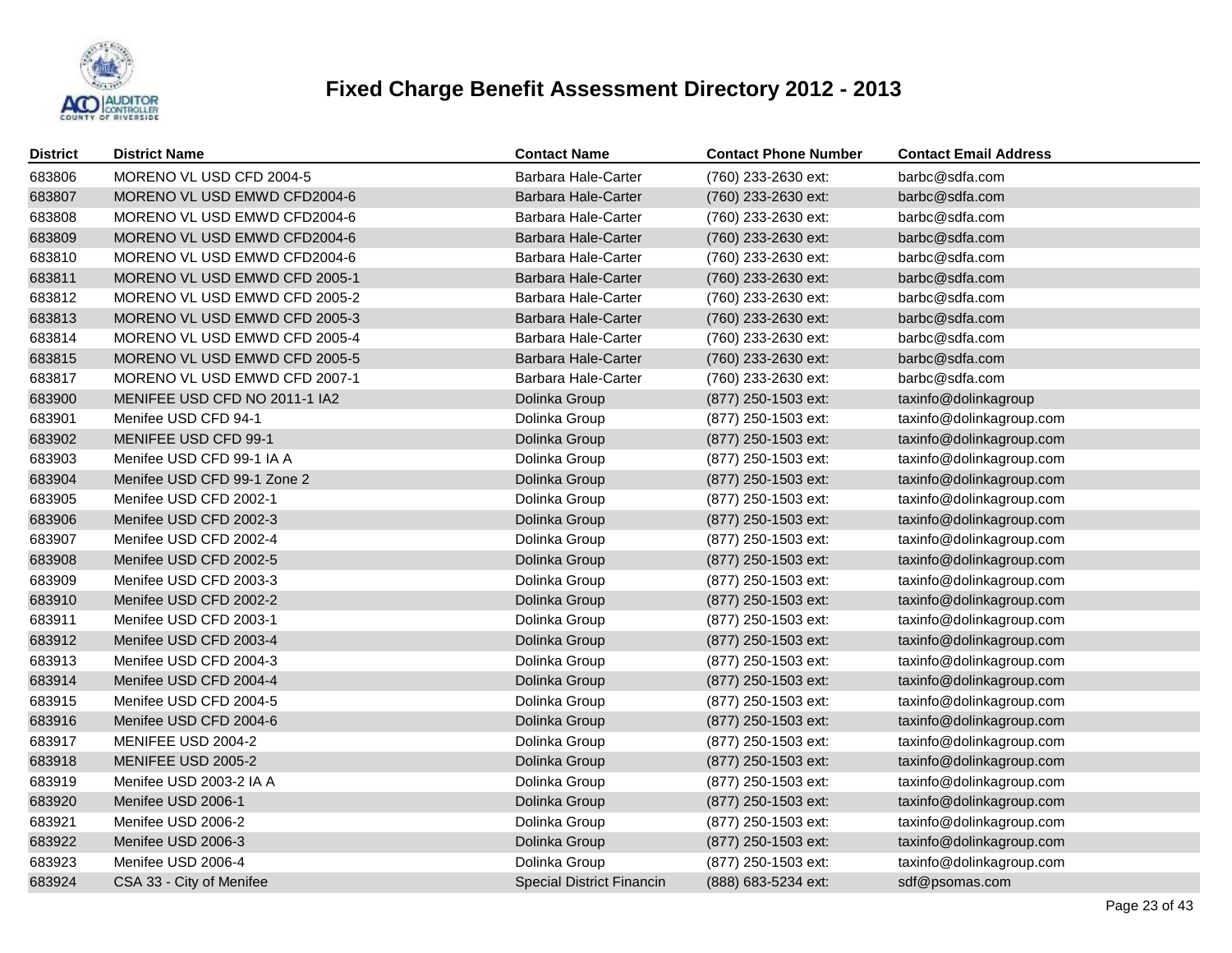

| <b>District</b> | <b>District Name</b>          | <b>Contact Name</b>              | <b>Contact Phone Number</b> | <b>Contact Email Address</b> |
|-----------------|-------------------------------|----------------------------------|-----------------------------|------------------------------|
| 683806          | MORENO VL USD CFD 2004-5      | Barbara Hale-Carter              | (760) 233-2630 ext:         | barbc@sdfa.com               |
| 683807          | MORENO VL USD EMWD CFD2004-6  | Barbara Hale-Carter              | (760) 233-2630 ext:         | barbc@sdfa.com               |
| 683808          | MORENO VL USD EMWD CFD2004-6  | Barbara Hale-Carter              | (760) 233-2630 ext:         | barbc@sdfa.com               |
| 683809          | MORENO VL USD EMWD CFD2004-6  | Barbara Hale-Carter              | (760) 233-2630 ext:         | barbc@sdfa.com               |
| 683810          | MORENO VL USD EMWD CFD2004-6  | Barbara Hale-Carter              | (760) 233-2630 ext:         | barbc@sdfa.com               |
| 683811          | MORENO VL USD EMWD CFD 2005-1 | <b>Barbara Hale-Carter</b>       | (760) 233-2630 ext:         | barbc@sdfa.com               |
| 683812          | MORENO VL USD EMWD CFD 2005-2 | Barbara Hale-Carter              | (760) 233-2630 ext:         | barbc@sdfa.com               |
| 683813          | MORENO VL USD EMWD CFD 2005-3 | <b>Barbara Hale-Carter</b>       | (760) 233-2630 ext:         | barbc@sdfa.com               |
| 683814          | MORENO VL USD EMWD CFD 2005-4 | Barbara Hale-Carter              | (760) 233-2630 ext:         | barbc@sdfa.com               |
| 683815          | MORENO VL USD EMWD CFD 2005-5 | Barbara Hale-Carter              | (760) 233-2630 ext:         | barbc@sdfa.com               |
| 683817          | MORENO VL USD EMWD CFD 2007-1 | Barbara Hale-Carter              | (760) 233-2630 ext:         | barbc@sdfa.com               |
| 683900          | MENIFEE USD CFD NO 2011-1 IA2 | Dolinka Group                    | (877) 250-1503 ext:         | taxinfo@dolinkagroup         |
| 683901          | Menifee USD CFD 94-1          | Dolinka Group                    | (877) 250-1503 ext:         | taxinfo@dolinkagroup.com     |
| 683902          | MENIFEE USD CFD 99-1          | Dolinka Group                    | (877) 250-1503 ext:         | taxinfo@dolinkagroup.com     |
| 683903          | Menifee USD CFD 99-1 IA A     | Dolinka Group                    | (877) 250-1503 ext:         | taxinfo@dolinkagroup.com     |
| 683904          | Menifee USD CFD 99-1 Zone 2   | Dolinka Group                    | (877) 250-1503 ext:         | taxinfo@dolinkagroup.com     |
| 683905          | Menifee USD CFD 2002-1        | Dolinka Group                    | (877) 250-1503 ext:         | taxinfo@dolinkagroup.com     |
| 683906          | Menifee USD CFD 2002-3        | Dolinka Group                    | (877) 250-1503 ext:         | taxinfo@dolinkagroup.com     |
| 683907          | Menifee USD CFD 2002-4        | Dolinka Group                    | (877) 250-1503 ext:         | taxinfo@dolinkagroup.com     |
| 683908          | Menifee USD CFD 2002-5        | Dolinka Group                    | (877) 250-1503 ext:         | taxinfo@dolinkagroup.com     |
| 683909          | Menifee USD CFD 2003-3        | Dolinka Group                    | (877) 250-1503 ext:         | taxinfo@dolinkagroup.com     |
| 683910          | Menifee USD CFD 2002-2        | Dolinka Group                    | (877) 250-1503 ext:         | taxinfo@dolinkagroup.com     |
| 683911          | Menifee USD CFD 2003-1        | Dolinka Group                    | (877) 250-1503 ext:         | taxinfo@dolinkagroup.com     |
| 683912          | Menifee USD CFD 2003-4        | Dolinka Group                    | (877) 250-1503 ext:         | taxinfo@dolinkagroup.com     |
| 683913          | Menifee USD CFD 2004-3        | Dolinka Group                    | (877) 250-1503 ext:         | taxinfo@dolinkagroup.com     |
| 683914          | Menifee USD CFD 2004-4        | Dolinka Group                    | (877) 250-1503 ext:         | taxinfo@dolinkagroup.com     |
| 683915          | Menifee USD CFD 2004-5        | Dolinka Group                    | (877) 250-1503 ext:         | taxinfo@dolinkagroup.com     |
| 683916          | Menifee USD CFD 2004-6        | Dolinka Group                    | (877) 250-1503 ext:         | taxinfo@dolinkagroup.com     |
| 683917          | MENIFEE USD 2004-2            | Dolinka Group                    | (877) 250-1503 ext:         | taxinfo@dolinkagroup.com     |
| 683918          | MENIFEE USD 2005-2            | Dolinka Group                    | (877) 250-1503 ext:         | taxinfo@dolinkagroup.com     |
| 683919          | Menifee USD 2003-2 IA A       | Dolinka Group                    | (877) 250-1503 ext:         | taxinfo@dolinkagroup.com     |
| 683920          | Menifee USD 2006-1            | Dolinka Group                    | (877) 250-1503 ext:         | taxinfo@dolinkagroup.com     |
| 683921          | Menifee USD 2006-2            | Dolinka Group                    | (877) 250-1503 ext:         | taxinfo@dolinkagroup.com     |
| 683922          | Menifee USD 2006-3            | Dolinka Group                    | (877) 250-1503 ext:         | taxinfo@dolinkagroup.com     |
| 683923          | Menifee USD 2006-4            | Dolinka Group                    | (877) 250-1503 ext:         | taxinfo@dolinkagroup.com     |
| 683924          | CSA 33 - City of Menifee      | <b>Special District Financin</b> | (888) 683-5234 ext:         | sdf@psomas.com               |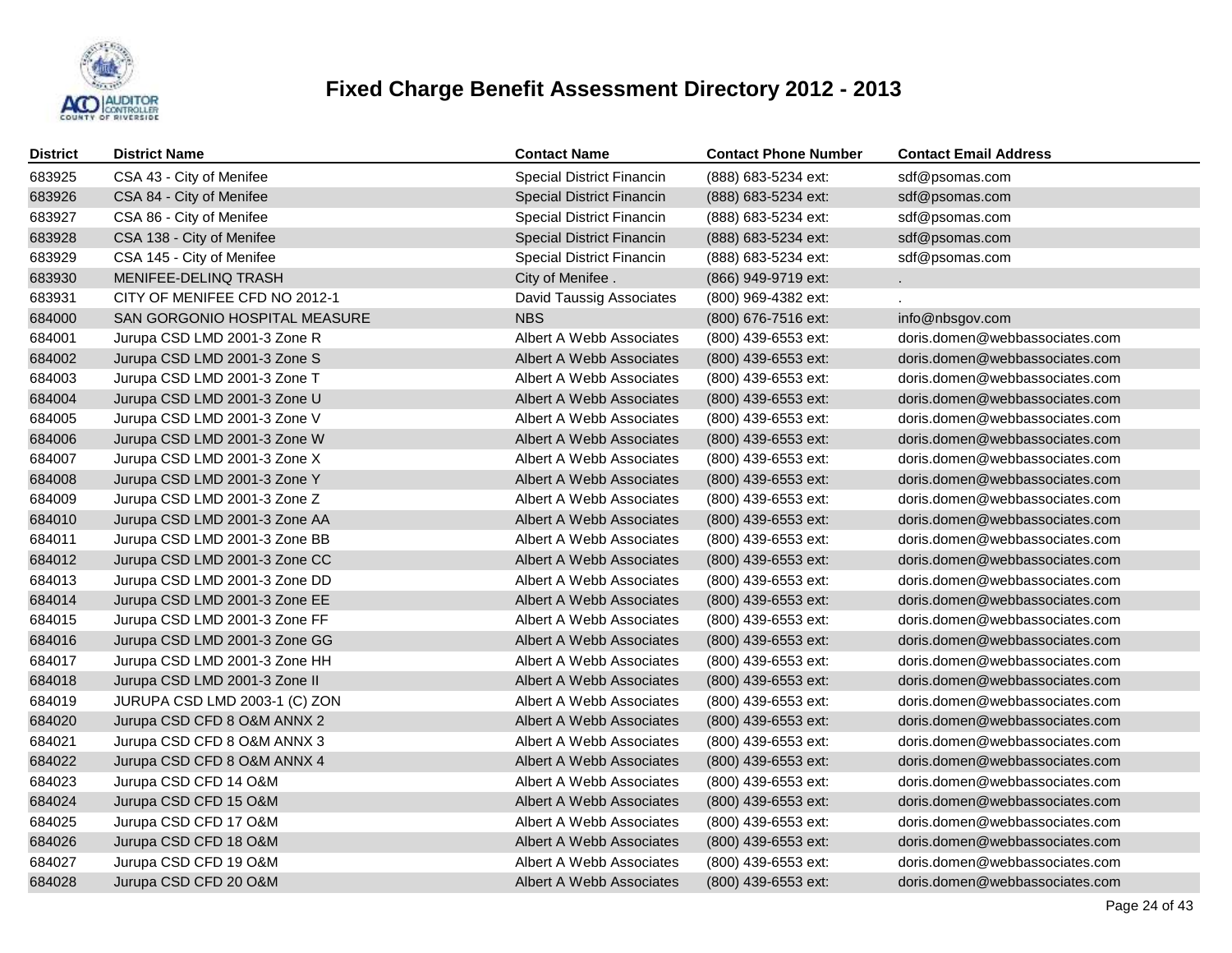

| District | <b>District Name</b>          | <b>Contact Name</b>              | <b>Contact Phone Number</b> | <b>Contact Email Address</b>   |
|----------|-------------------------------|----------------------------------|-----------------------------|--------------------------------|
| 683925   | CSA 43 - City of Menifee      | <b>Special District Financin</b> | (888) 683-5234 ext:         | sdf@psomas.com                 |
| 683926   | CSA 84 - City of Menifee      | Special District Financin        | (888) 683-5234 ext:         | sdf@psomas.com                 |
| 683927   | CSA 86 - City of Menifee      | <b>Special District Financin</b> | (888) 683-5234 ext:         | sdf@psomas.com                 |
| 683928   | CSA 138 - City of Menifee     | <b>Special District Financin</b> | (888) 683-5234 ext:         | sdf@psomas.com                 |
| 683929   | CSA 145 - City of Menifee     | Special District Financin        | (888) 683-5234 ext:         | sdf@psomas.com                 |
| 683930   | MENIFEE-DELINQ TRASH          | City of Menifee.                 | (866) 949-9719 ext:         |                                |
| 683931   | CITY OF MENIFEE CFD NO 2012-1 | <b>David Taussig Associates</b>  | (800) 969-4382 ext:         |                                |
| 684000   | SAN GORGONIO HOSPITAL MEASURE | <b>NBS</b>                       | (800) 676-7516 ext:         | info@nbsgov.com                |
| 684001   | Jurupa CSD LMD 2001-3 Zone R  | Albert A Webb Associates         | (800) 439-6553 ext:         | doris.domen@webbassociates.com |
| 684002   | Jurupa CSD LMD 2001-3 Zone S  | Albert A Webb Associates         | (800) 439-6553 ext:         | doris.domen@webbassociates.com |
| 684003   | Jurupa CSD LMD 2001-3 Zone T  | Albert A Webb Associates         | (800) 439-6553 ext:         | doris.domen@webbassociates.com |
| 684004   | Jurupa CSD LMD 2001-3 Zone U  | Albert A Webb Associates         | (800) 439-6553 ext:         | doris.domen@webbassociates.com |
| 684005   | Jurupa CSD LMD 2001-3 Zone V  | Albert A Webb Associates         | (800) 439-6553 ext:         | doris.domen@webbassociates.com |
| 684006   | Jurupa CSD LMD 2001-3 Zone W  | Albert A Webb Associates         | (800) 439-6553 ext:         | doris.domen@webbassociates.com |
| 684007   | Jurupa CSD LMD 2001-3 Zone X  | Albert A Webb Associates         | (800) 439-6553 ext:         | doris.domen@webbassociates.com |
| 684008   | Jurupa CSD LMD 2001-3 Zone Y  | Albert A Webb Associates         | (800) 439-6553 ext:         | doris.domen@webbassociates.com |
| 684009   | Jurupa CSD LMD 2001-3 Zone Z  | Albert A Webb Associates         | (800) 439-6553 ext:         | doris.domen@webbassociates.com |
| 684010   | Jurupa CSD LMD 2001-3 Zone AA | Albert A Webb Associates         | (800) 439-6553 ext:         | doris.domen@webbassociates.com |
| 684011   | Jurupa CSD LMD 2001-3 Zone BB | Albert A Webb Associates         | (800) 439-6553 ext:         | doris.domen@webbassociates.com |
| 684012   | Jurupa CSD LMD 2001-3 Zone CC | Albert A Webb Associates         | (800) 439-6553 ext:         | doris.domen@webbassociates.com |
| 684013   | Jurupa CSD LMD 2001-3 Zone DD | Albert A Webb Associates         | (800) 439-6553 ext:         | doris.domen@webbassociates.com |
| 684014   | Jurupa CSD LMD 2001-3 Zone EE | Albert A Webb Associates         | (800) 439-6553 ext:         | doris.domen@webbassociates.com |
| 684015   | Jurupa CSD LMD 2001-3 Zone FF | Albert A Webb Associates         | (800) 439-6553 ext:         | doris.domen@webbassociates.com |
| 684016   | Jurupa CSD LMD 2001-3 Zone GG | Albert A Webb Associates         | (800) 439-6553 ext:         | doris.domen@webbassociates.com |
| 684017   | Jurupa CSD LMD 2001-3 Zone HH | Albert A Webb Associates         | (800) 439-6553 ext:         | doris.domen@webbassociates.com |
| 684018   | Jurupa CSD LMD 2001-3 Zone II | Albert A Webb Associates         | (800) 439-6553 ext:         | doris.domen@webbassociates.com |
| 684019   | JURUPA CSD LMD 2003-1 (C) ZON | Albert A Webb Associates         | (800) 439-6553 ext:         | doris.domen@webbassociates.com |
| 684020   | Jurupa CSD CFD 8 O&M ANNX 2   | Albert A Webb Associates         | (800) 439-6553 ext:         | doris.domen@webbassociates.com |
| 684021   | Jurupa CSD CFD 8 O&M ANNX 3   | Albert A Webb Associates         | (800) 439-6553 ext:         | doris.domen@webbassociates.com |
| 684022   | Jurupa CSD CFD 8 O&M ANNX 4   | Albert A Webb Associates         | (800) 439-6553 ext:         | doris.domen@webbassociates.com |
| 684023   | Jurupa CSD CFD 14 O&M         | Albert A Webb Associates         | (800) 439-6553 ext:         | doris.domen@webbassociates.com |
| 684024   | Jurupa CSD CFD 15 O&M         | Albert A Webb Associates         | (800) 439-6553 ext:         | doris.domen@webbassociates.com |
| 684025   | Jurupa CSD CFD 17 O&M         | Albert A Webb Associates         | (800) 439-6553 ext:         | doris.domen@webbassociates.com |
| 684026   | Jurupa CSD CFD 18 O&M         | Albert A Webb Associates         | (800) 439-6553 ext:         | doris.domen@webbassociates.com |
| 684027   | Jurupa CSD CFD 19 O&M         | Albert A Webb Associates         | (800) 439-6553 ext:         | doris.domen@webbassociates.com |
| 684028   | Jurupa CSD CFD 20 O&M         | Albert A Webb Associates         | (800) 439-6553 ext:         | doris.domen@webbassociates.com |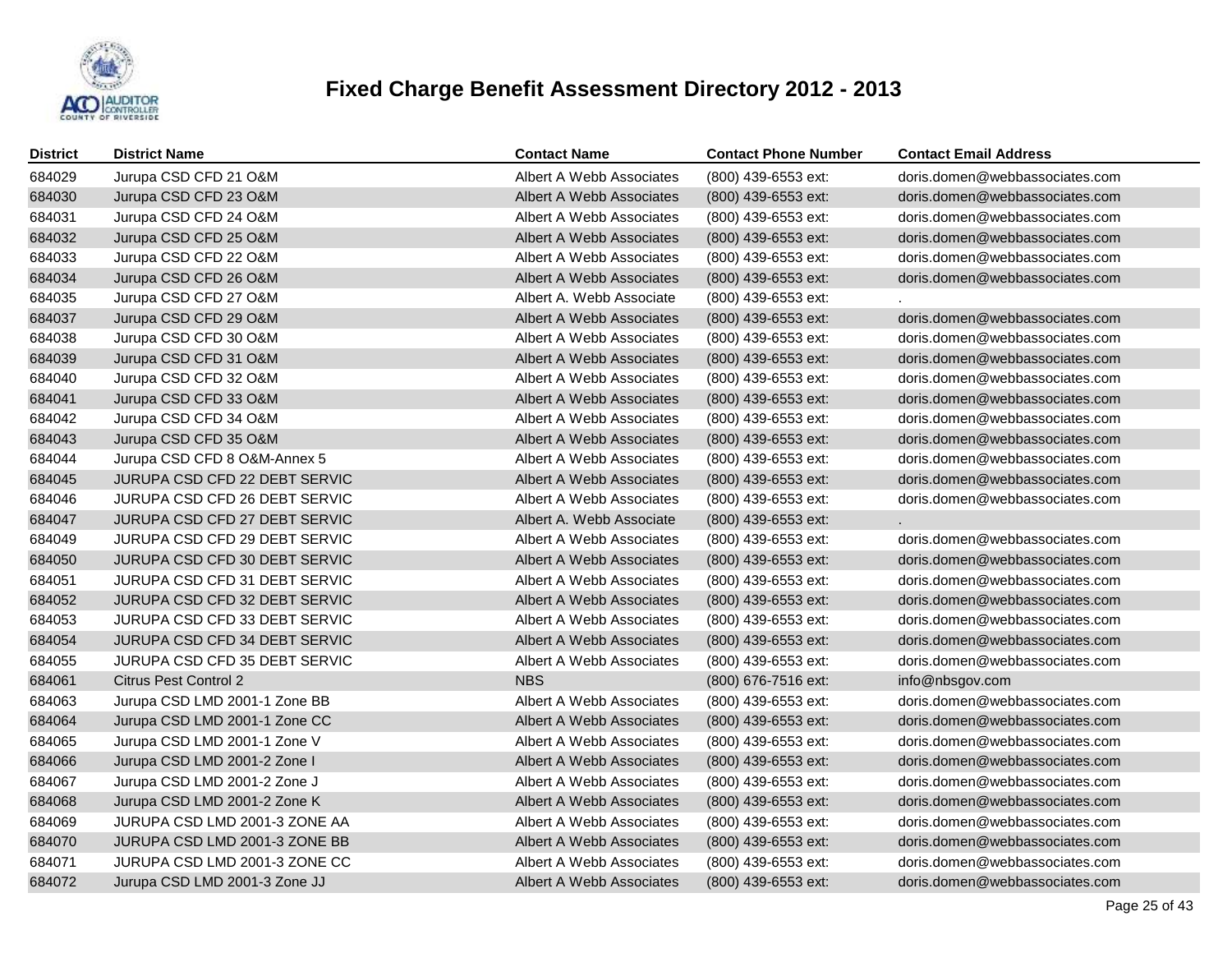

| <b>District</b> | <b>District Name</b>          | <b>Contact Name</b>             | <b>Contact Phone Number</b> | <b>Contact Email Address</b>   |
|-----------------|-------------------------------|---------------------------------|-----------------------------|--------------------------------|
| 684029          | Jurupa CSD CFD 21 O&M         | Albert A Webb Associates        | (800) 439-6553 ext:         | doris.domen@webbassociates.com |
| 684030          | Jurupa CSD CFD 23 O&M         | <b>Albert A Webb Associates</b> | (800) 439-6553 ext:         | doris.domen@webbassociates.com |
| 684031          | Jurupa CSD CFD 24 O&M         | Albert A Webb Associates        | (800) 439-6553 ext:         | doris.domen@webbassociates.com |
| 684032          | Jurupa CSD CFD 25 O&M         | Albert A Webb Associates        | (800) 439-6553 ext:         | doris.domen@webbassociates.com |
| 684033          | Jurupa CSD CFD 22 O&M         | Albert A Webb Associates        | (800) 439-6553 ext:         | doris.domen@webbassociates.com |
| 684034          | Jurupa CSD CFD 26 O&M         | Albert A Webb Associates        | (800) 439-6553 ext:         | doris.domen@webbassociates.com |
| 684035          | Jurupa CSD CFD 27 O&M         | Albert A. Webb Associate        | (800) 439-6553 ext:         |                                |
| 684037          | Jurupa CSD CFD 29 O&M         | Albert A Webb Associates        | $(800)$ 439-6553 ext:       | doris.domen@webbassociates.com |
| 684038          | Jurupa CSD CFD 30 O&M         | Albert A Webb Associates        | (800) 439-6553 ext:         | doris.domen@webbassociates.com |
| 684039          | Jurupa CSD CFD 31 O&M         | Albert A Webb Associates        | (800) 439-6553 ext:         | doris.domen@webbassociates.com |
| 684040          | Jurupa CSD CFD 32 O&M         | Albert A Webb Associates        | (800) 439-6553 ext:         | doris.domen@webbassociates.com |
| 684041          | Jurupa CSD CFD 33 O&M         | Albert A Webb Associates        | (800) 439-6553 ext:         | doris.domen@webbassociates.com |
| 684042          | Jurupa CSD CFD 34 O&M         | Albert A Webb Associates        | (800) 439-6553 ext:         | doris.domen@webbassociates.com |
| 684043          | Jurupa CSD CFD 35 O&M         | Albert A Webb Associates        | (800) 439-6553 ext:         | doris.domen@webbassociates.com |
| 684044          | Jurupa CSD CFD 8 O&M-Annex 5  | Albert A Webb Associates        | (800) 439-6553 ext:         | doris.domen@webbassociates.com |
| 684045          | JURUPA CSD CFD 22 DEBT SERVIC | Albert A Webb Associates        | (800) 439-6553 ext:         | doris.domen@webbassociates.com |
| 684046          | JURUPA CSD CFD 26 DEBT SERVIC | Albert A Webb Associates        | (800) 439-6553 ext:         | doris.domen@webbassociates.com |
| 684047          | JURUPA CSD CFD 27 DEBT SERVIC | Albert A. Webb Associate        | (800) 439-6553 ext:         |                                |
| 684049          | JURUPA CSD CFD 29 DEBT SERVIC | Albert A Webb Associates        | (800) 439-6553 ext:         | doris.domen@webbassociates.com |
| 684050          | JURUPA CSD CFD 30 DEBT SERVIC | Albert A Webb Associates        | (800) 439-6553 ext:         | doris.domen@webbassociates.com |
| 684051          | JURUPA CSD CFD 31 DEBT SERVIC | Albert A Webb Associates        | (800) 439-6553 ext:         | doris.domen@webbassociates.com |
| 684052          | JURUPA CSD CFD 32 DEBT SERVIC | Albert A Webb Associates        | (800) 439-6553 ext:         | doris.domen@webbassociates.com |
| 684053          | JURUPA CSD CFD 33 DEBT SERVIC | Albert A Webb Associates        | (800) 439-6553 ext:         | doris.domen@webbassociates.com |
| 684054          | JURUPA CSD CFD 34 DEBT SERVIC | Albert A Webb Associates        | (800) 439-6553 ext:         | doris.domen@webbassociates.com |
| 684055          | JURUPA CSD CFD 35 DEBT SERVIC | Albert A Webb Associates        | (800) 439-6553 ext:         | doris.domen@webbassociates.com |
| 684061          | <b>Citrus Pest Control 2</b>  | <b>NBS</b>                      | (800) 676-7516 ext:         | info@nbsgov.com                |
| 684063          | Jurupa CSD LMD 2001-1 Zone BB | Albert A Webb Associates        | (800) 439-6553 ext:         | doris.domen@webbassociates.com |
| 684064          | Jurupa CSD LMD 2001-1 Zone CC | Albert A Webb Associates        | (800) 439-6553 ext:         | doris.domen@webbassociates.com |
| 684065          | Jurupa CSD LMD 2001-1 Zone V  | Albert A Webb Associates        | (800) 439-6553 ext:         | doris.domen@webbassociates.com |
| 684066          | Jurupa CSD LMD 2001-2 Zone I  | Albert A Webb Associates        | (800) 439-6553 ext:         | doris.domen@webbassociates.com |
| 684067          | Jurupa CSD LMD 2001-2 Zone J  | Albert A Webb Associates        | (800) 439-6553 ext:         | doris.domen@webbassociates.com |
| 684068          | Jurupa CSD LMD 2001-2 Zone K  | Albert A Webb Associates        | (800) 439-6553 ext:         | doris.domen@webbassociates.com |
| 684069          | JURUPA CSD LMD 2001-3 ZONE AA | Albert A Webb Associates        | (800) 439-6553 ext:         | doris.domen@webbassociates.com |
| 684070          | JURUPA CSD LMD 2001-3 ZONE BB | Albert A Webb Associates        | (800) 439-6553 ext:         | doris.domen@webbassociates.com |
| 684071          | JURUPA CSD LMD 2001-3 ZONE CC | Albert A Webb Associates        | (800) 439-6553 ext:         | doris.domen@webbassociates.com |
| 684072          | Jurupa CSD LMD 2001-3 Zone JJ | Albert A Webb Associates        | (800) 439-6553 ext:         | doris.domen@webbassociates.com |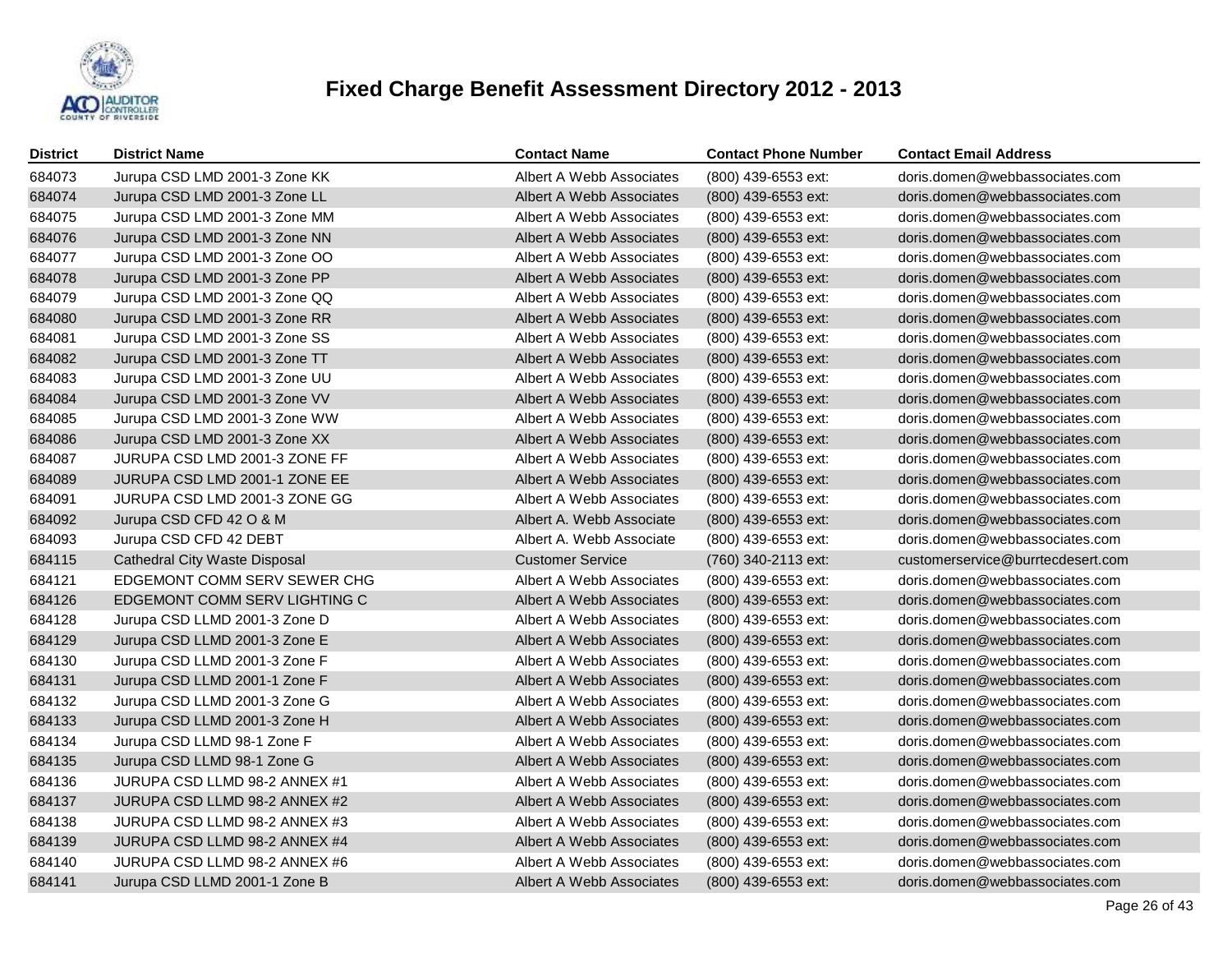

| <b>District</b> | <b>District Name</b>          | <b>Contact Name</b>             | <b>Contact Phone Number</b> | <b>Contact Email Address</b>      |
|-----------------|-------------------------------|---------------------------------|-----------------------------|-----------------------------------|
| 684073          | Jurupa CSD LMD 2001-3 Zone KK | Albert A Webb Associates        | (800) 439-6553 ext:         | doris.domen@webbassociates.com    |
| 684074          | Jurupa CSD LMD 2001-3 Zone LL | <b>Albert A Webb Associates</b> | (800) 439-6553 ext:         | doris.domen@webbassociates.com    |
| 684075          | Jurupa CSD LMD 2001-3 Zone MM | Albert A Webb Associates        | (800) 439-6553 ext:         | doris.domen@webbassociates.com    |
| 684076          | Jurupa CSD LMD 2001-3 Zone NN | Albert A Webb Associates        | (800) 439-6553 ext:         | doris.domen@webbassociates.com    |
| 684077          | Jurupa CSD LMD 2001-3 Zone OO | Albert A Webb Associates        | (800) 439-6553 ext:         | doris.domen@webbassociates.com    |
| 684078          | Jurupa CSD LMD 2001-3 Zone PP | Albert A Webb Associates        | (800) 439-6553 ext:         | doris.domen@webbassociates.com    |
| 684079          | Jurupa CSD LMD 2001-3 Zone QQ | Albert A Webb Associates        | (800) 439-6553 ext:         | doris.domen@webbassociates.com    |
| 684080          | Jurupa CSD LMD 2001-3 Zone RR | Albert A Webb Associates        | $(800)$ 439-6553 ext:       | doris.domen@webbassociates.com    |
| 684081          | Jurupa CSD LMD 2001-3 Zone SS | Albert A Webb Associates        | (800) 439-6553 ext:         | doris.domen@webbassociates.com    |
| 684082          | Jurupa CSD LMD 2001-3 Zone TT | Albert A Webb Associates        | $(800)$ 439-6553 ext:       | doris.domen@webbassociates.com    |
| 684083          | Jurupa CSD LMD 2001-3 Zone UU | Albert A Webb Associates        | (800) 439-6553 ext:         | doris.domen@webbassociates.com    |
| 684084          | Jurupa CSD LMD 2001-3 Zone VV | Albert A Webb Associates        | (800) 439-6553 ext:         | doris.domen@webbassociates.com    |
| 684085          | Jurupa CSD LMD 2001-3 Zone WW | Albert A Webb Associates        | (800) 439-6553 ext:         | doris.domen@webbassociates.com    |
| 684086          | Jurupa CSD LMD 2001-3 Zone XX | Albert A Webb Associates        | $(800)$ 439-6553 ext:       | doris.domen@webbassociates.com    |
| 684087          | JURUPA CSD LMD 2001-3 ZONE FF | Albert A Webb Associates        | (800) 439-6553 ext:         | doris.domen@webbassociates.com    |
| 684089          | JURUPA CSD LMD 2001-1 ZONE EE | Albert A Webb Associates        | $(800)$ 439-6553 ext:       | doris.domen@webbassociates.com    |
| 684091          | JURUPA CSD LMD 2001-3 ZONE GG | Albert A Webb Associates        | $(800)$ 439-6553 ext:       | doris.domen@webbassociates.com    |
| 684092          | Jurupa CSD CFD 42 O & M       | Albert A. Webb Associate        | $(800)$ 439-6553 ext:       | doris.domen@webbassociates.com    |
| 684093          | Jurupa CSD CFD 42 DEBT        | Albert A. Webb Associate        | $(800)$ 439-6553 ext:       | doris.domen@webbassociates.com    |
| 684115          | Cathedral City Waste Disposal | <b>Customer Service</b>         | (760) 340-2113 ext:         | customerservice@burrtecdesert.com |
| 684121          | EDGEMONT COMM SERV SEWER CHG  | Albert A Webb Associates        | (800) 439-6553 ext:         | doris.domen@webbassociates.com    |
| 684126          | EDGEMONT COMM SERV LIGHTING C | Albert A Webb Associates        | $(800)$ 439-6553 ext:       | doris.domen@webbassociates.com    |
| 684128          | Jurupa CSD LLMD 2001-3 Zone D | Albert A Webb Associates        | (800) 439-6553 ext:         | doris.domen@webbassociates.com    |
| 684129          | Jurupa CSD LLMD 2001-3 Zone E | Albert A Webb Associates        | $(800)$ 439-6553 ext:       | doris.domen@webbassociates.com    |
| 684130          | Jurupa CSD LLMD 2001-3 Zone F | Albert A Webb Associates        | (800) 439-6553 ext:         | doris.domen@webbassociates.com    |
| 684131          | Jurupa CSD LLMD 2001-1 Zone F | Albert A Webb Associates        | $(800)$ 439-6553 ext:       | doris.domen@webbassociates.com    |
| 684132          | Jurupa CSD LLMD 2001-3 Zone G | Albert A Webb Associates        | (800) 439-6553 ext:         | doris.domen@webbassociates.com    |
| 684133          | Jurupa CSD LLMD 2001-3 Zone H | Albert A Webb Associates        | (800) 439-6553 ext:         | doris.domen@webbassociates.com    |
| 684134          | Jurupa CSD LLMD 98-1 Zone F   | Albert A Webb Associates        | (800) 439-6553 ext:         | doris.domen@webbassociates.com    |
| 684135          | Jurupa CSD LLMD 98-1 Zone G   | Albert A Webb Associates        | $(800)$ 439-6553 ext:       | doris.domen@webbassociates.com    |
| 684136          | JURUPA CSD LLMD 98-2 ANNEX #1 | Albert A Webb Associates        | (800) 439-6553 ext:         | doris.domen@webbassociates.com    |
| 684137          | JURUPA CSD LLMD 98-2 ANNEX #2 | Albert A Webb Associates        | $(800)$ 439-6553 ext:       | doris.domen@webbassociates.com    |
| 684138          | JURUPA CSD LLMD 98-2 ANNEX #3 | Albert A Webb Associates        | (800) 439-6553 ext:         | doris.domen@webbassociates.com    |
| 684139          | JURUPA CSD LLMD 98-2 ANNEX #4 | Albert A Webb Associates        | $(800)$ 439-6553 ext:       | doris.domen@webbassociates.com    |
| 684140          | JURUPA CSD LLMD 98-2 ANNEX #6 | Albert A Webb Associates        | (800) 439-6553 ext:         | doris.domen@webbassociates.com    |
| 684141          | Jurupa CSD LLMD 2001-1 Zone B | Albert A Webb Associates        | (800) 439-6553 ext:         | doris.domen@webbassociates.com    |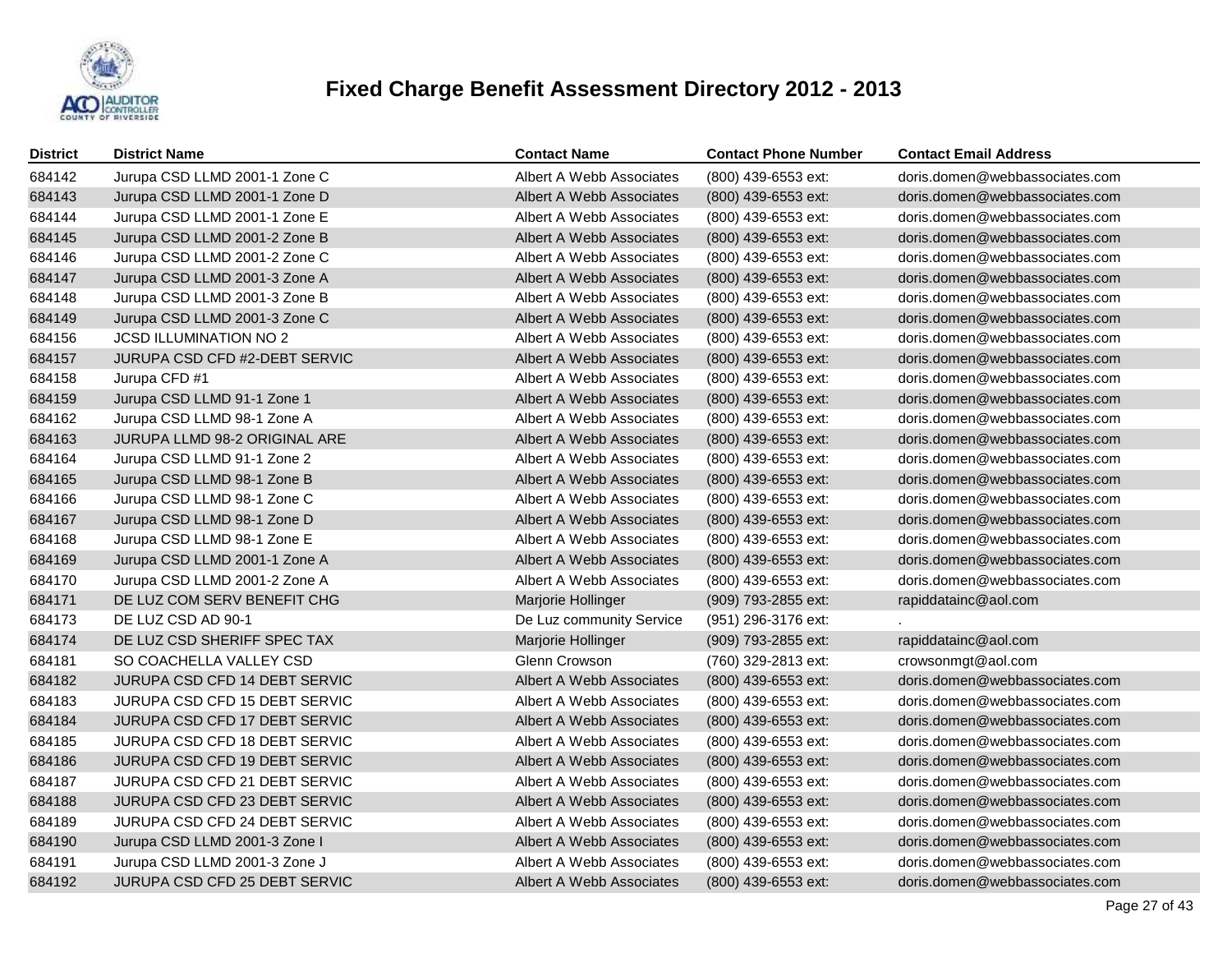

| <b>District</b> | <b>District Name</b>          | <b>Contact Name</b>      | <b>Contact Phone Number</b> | <b>Contact Email Address</b>   |
|-----------------|-------------------------------|--------------------------|-----------------------------|--------------------------------|
| 684142          | Jurupa CSD LLMD 2001-1 Zone C | Albert A Webb Associates | (800) 439-6553 ext:         | doris.domen@webbassociates.com |
| 684143          | Jurupa CSD LLMD 2001-1 Zone D | Albert A Webb Associates | (800) 439-6553 ext:         | doris.domen@webbassociates.com |
| 684144          | Jurupa CSD LLMD 2001-1 Zone E | Albert A Webb Associates | (800) 439-6553 ext:         | doris.domen@webbassociates.com |
| 684145          | Jurupa CSD LLMD 2001-2 Zone B | Albert A Webb Associates | (800) 439-6553 ext:         | doris.domen@webbassociates.com |
| 684146          | Jurupa CSD LLMD 2001-2 Zone C | Albert A Webb Associates | (800) 439-6553 ext:         | doris.domen@webbassociates.com |
| 684147          | Jurupa CSD LLMD 2001-3 Zone A | Albert A Webb Associates | (800) 439-6553 ext:         | doris.domen@webbassociates.com |
| 684148          | Jurupa CSD LLMD 2001-3 Zone B | Albert A Webb Associates | (800) 439-6553 ext:         | doris.domen@webbassociates.com |
| 684149          | Jurupa CSD LLMD 2001-3 Zone C | Albert A Webb Associates | $(800)$ 439-6553 ext:       | doris.domen@webbassociates.com |
| 684156          | <b>JCSD ILLUMINATION NO 2</b> | Albert A Webb Associates | (800) 439-6553 ext:         | doris.domen@webbassociates.com |
| 684157          | JURUPA CSD CFD #2-DEBT SERVIC | Albert A Webb Associates | (800) 439-6553 ext:         | doris.domen@webbassociates.com |
| 684158          | Jurupa CFD #1                 | Albert A Webb Associates | (800) 439-6553 ext:         | doris.domen@webbassociates.com |
| 684159          | Jurupa CSD LLMD 91-1 Zone 1   | Albert A Webb Associates | $(800)$ 439-6553 ext:       | doris.domen@webbassociates.com |
| 684162          | Jurupa CSD LLMD 98-1 Zone A   | Albert A Webb Associates | (800) 439-6553 ext:         | doris.domen@webbassociates.com |
| 684163          | JURUPA LLMD 98-2 ORIGINAL ARE | Albert A Webb Associates | $(800)$ 439-6553 ext:       | doris.domen@webbassociates.com |
| 684164          | Jurupa CSD LLMD 91-1 Zone 2   | Albert A Webb Associates | (800) 439-6553 ext:         | doris.domen@webbassociates.com |
| 684165          | Jurupa CSD LLMD 98-1 Zone B   | Albert A Webb Associates | (800) 439-6553 ext:         | doris.domen@webbassociates.com |
| 684166          | Jurupa CSD LLMD 98-1 Zone C   | Albert A Webb Associates | (800) 439-6553 ext:         | doris.domen@webbassociates.com |
| 684167          | Jurupa CSD LLMD 98-1 Zone D   | Albert A Webb Associates | (800) 439-6553 ext:         | doris.domen@webbassociates.com |
| 684168          | Jurupa CSD LLMD 98-1 Zone E   | Albert A Webb Associates | (800) 439-6553 ext:         | doris.domen@webbassociates.com |
| 684169          | Jurupa CSD LLMD 2001-1 Zone A | Albert A Webb Associates | (800) 439-6553 ext:         | doris.domen@webbassociates.com |
| 684170          | Jurupa CSD LLMD 2001-2 Zone A | Albert A Webb Associates | (800) 439-6553 ext:         | doris.domen@webbassociates.com |
| 684171          | DE LUZ COM SERV BENEFIT CHG   | Marjorie Hollinger       | (909) 793-2855 ext:         | rapiddatainc@aol.com           |
| 684173          | DE LUZ CSD AD 90-1            | De Luz community Service | (951) 296-3176 ext:         |                                |
| 684174          | DE LUZ CSD SHERIFF SPEC TAX   | Marjorie Hollinger       | (909) 793-2855 ext:         | rapiddatainc@aol.com           |
| 684181          | SO COACHELLA VALLEY CSD       | Glenn Crowson            | (760) 329-2813 ext:         | crowsonmgt@aol.com             |
| 684182          | JURUPA CSD CFD 14 DEBT SERVIC | Albert A Webb Associates | (800) 439-6553 ext:         | doris.domen@webbassociates.com |
| 684183          | JURUPA CSD CFD 15 DEBT SERVIC | Albert A Webb Associates | (800) 439-6553 ext:         | doris.domen@webbassociates.com |
| 684184          | JURUPA CSD CFD 17 DEBT SERVIC | Albert A Webb Associates | (800) 439-6553 ext:         | doris.domen@webbassociates.com |
| 684185          | JURUPA CSD CFD 18 DEBT SERVIC | Albert A Webb Associates | (800) 439-6553 ext:         | doris.domen@webbassociates.com |
| 684186          | JURUPA CSD CFD 19 DEBT SERVIC | Albert A Webb Associates | (800) 439-6553 ext:         | doris.domen@webbassociates.com |
| 684187          | JURUPA CSD CFD 21 DEBT SERVIC | Albert A Webb Associates | (800) 439-6553 ext:         | doris.domen@webbassociates.com |
| 684188          | JURUPA CSD CFD 23 DEBT SERVIC | Albert A Webb Associates | (800) 439-6553 ext:         | doris.domen@webbassociates.com |
| 684189          | JURUPA CSD CFD 24 DEBT SERVIC | Albert A Webb Associates | (800) 439-6553 ext:         | doris.domen@webbassociates.com |
| 684190          | Jurupa CSD LLMD 2001-3 Zone I | Albert A Webb Associates | (800) 439-6553 ext:         | doris.domen@webbassociates.com |
| 684191          | Jurupa CSD LLMD 2001-3 Zone J | Albert A Webb Associates | (800) 439-6553 ext:         | doris.domen@webbassociates.com |
| 684192          | JURUPA CSD CFD 25 DEBT SERVIC | Albert A Webb Associates | (800) 439-6553 ext:         | doris.domen@webbassociates.com |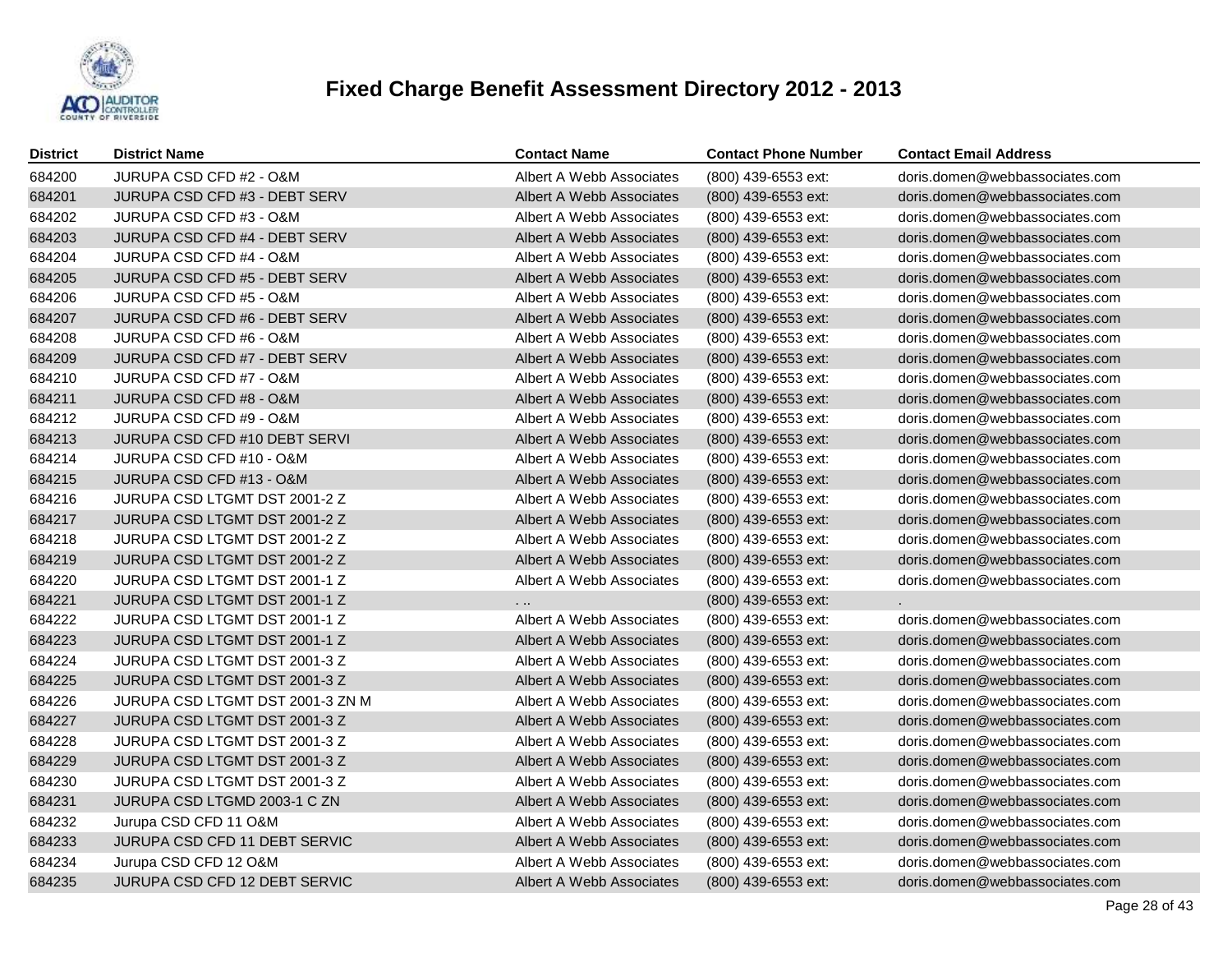

| <b>District</b> | <b>District Name</b>             | <b>Contact Name</b>      | <b>Contact Phone Number</b> | <b>Contact Email Address</b>   |
|-----------------|----------------------------------|--------------------------|-----------------------------|--------------------------------|
| 684200          | JURUPA CSD CFD #2 - O&M          | Albert A Webb Associates | (800) 439-6553 ext:         | doris.domen@webbassociates.com |
| 684201          | JURUPA CSD CFD #3 - DEBT SERV    | Albert A Webb Associates | (800) 439-6553 ext:         | doris.domen@webbassociates.com |
| 684202          | JURUPA CSD CFD #3 - O&M          | Albert A Webb Associates | (800) 439-6553 ext:         | doris.domen@webbassociates.com |
| 684203          | JURUPA CSD CFD #4 - DEBT SERV    | Albert A Webb Associates | (800) 439-6553 ext:         | doris.domen@webbassociates.com |
| 684204          | JURUPA CSD CFD #4 - O&M          | Albert A Webb Associates | (800) 439-6553 ext:         | doris.domen@webbassociates.com |
| 684205          | JURUPA CSD CFD #5 - DEBT SERV    | Albert A Webb Associates | (800) 439-6553 ext:         | doris.domen@webbassociates.com |
| 684206          | JURUPA CSD CFD #5 - O&M          | Albert A Webb Associates | (800) 439-6553 ext:         | doris.domen@webbassociates.com |
| 684207          | JURUPA CSD CFD #6 - DEBT SERV    | Albert A Webb Associates | (800) 439-6553 ext:         | doris.domen@webbassociates.com |
| 684208          | JURUPA CSD CFD #6 - O&M          | Albert A Webb Associates | (800) 439-6553 ext:         | doris.domen@webbassociates.com |
| 684209          | JURUPA CSD CFD #7 - DEBT SERV    | Albert A Webb Associates | (800) 439-6553 ext:         | doris.domen@webbassociates.com |
| 684210          | JURUPA CSD CFD #7 - O&M          | Albert A Webb Associates | (800) 439-6553 ext:         | doris.domen@webbassociates.com |
| 684211          | JURUPA CSD CFD #8 - O&M          | Albert A Webb Associates | (800) 439-6553 ext:         | doris.domen@webbassociates.com |
| 684212          | JURUPA CSD CFD #9 - O&M          | Albert A Webb Associates | (800) 439-6553 ext:         | doris.domen@webbassociates.com |
| 684213          | JURUPA CSD CFD #10 DEBT SERVI    | Albert A Webb Associates | (800) 439-6553 ext:         | doris.domen@webbassociates.com |
| 684214          | JURUPA CSD CFD #10 - O&M         | Albert A Webb Associates | (800) 439-6553 ext:         | doris.domen@webbassociates.com |
| 684215          | JURUPA CSD CFD #13 - O&M         | Albert A Webb Associates | (800) 439-6553 ext:         | doris.domen@webbassociates.com |
| 684216          | JURUPA CSD LTGMT DST 2001-2 Z    | Albert A Webb Associates | (800) 439-6553 ext:         | doris.domen@webbassociates.com |
| 684217          | JURUPA CSD LTGMT DST 2001-2 Z    | Albert A Webb Associates | (800) 439-6553 ext:         | doris.domen@webbassociates.com |
| 684218          | JURUPA CSD LTGMT DST 2001-2 Z    | Albert A Webb Associates | (800) 439-6553 ext:         | doris.domen@webbassociates.com |
| 684219          | JURUPA CSD LTGMT DST 2001-2 Z    | Albert A Webb Associates | (800) 439-6553 ext:         | doris.domen@webbassociates.com |
| 684220          | JURUPA CSD LTGMT DST 2001-1 Z    | Albert A Webb Associates | (800) 439-6553 ext:         | doris.domen@webbassociates.com |
| 684221          | JURUPA CSD LTGMT DST 2001-1 Z    | $\cdots$                 | (800) 439-6553 ext:         |                                |
| 684222          | JURUPA CSD LTGMT DST 2001-1 Z    | Albert A Webb Associates | (800) 439-6553 ext:         | doris.domen@webbassociates.com |
| 684223          | JURUPA CSD LTGMT DST 2001-1 Z    | Albert A Webb Associates | (800) 439-6553 ext:         | doris.domen@webbassociates.com |
| 684224          | JURUPA CSD LTGMT DST 2001-3 Z    | Albert A Webb Associates | (800) 439-6553 ext:         | doris.domen@webbassociates.com |
| 684225          | JURUPA CSD LTGMT DST 2001-3 Z    | Albert A Webb Associates | (800) 439-6553 ext:         | doris.domen@webbassociates.com |
| 684226          | JURUPA CSD LTGMT DST 2001-3 ZN M | Albert A Webb Associates | (800) 439-6553 ext:         | doris.domen@webbassociates.com |
| 684227          | JURUPA CSD LTGMT DST 2001-3 Z    | Albert A Webb Associates | (800) 439-6553 ext:         | doris.domen@webbassociates.com |
| 684228          | JURUPA CSD LTGMT DST 2001-3 Z    | Albert A Webb Associates | (800) 439-6553 ext:         | doris.domen@webbassociates.com |
| 684229          | JURUPA CSD LTGMT DST 2001-3 Z    | Albert A Webb Associates | (800) 439-6553 ext:         | doris.domen@webbassociates.com |
| 684230          | JURUPA CSD LTGMT DST 2001-3 Z    | Albert A Webb Associates | (800) 439-6553 ext:         | doris.domen@webbassociates.com |
| 684231          | JURUPA CSD LTGMD 2003-1 C ZN     | Albert A Webb Associates | (800) 439-6553 ext:         | doris.domen@webbassociates.com |
| 684232          | Jurupa CSD CFD 11 O&M            | Albert A Webb Associates | (800) 439-6553 ext:         | doris.domen@webbassociates.com |
| 684233          | JURUPA CSD CFD 11 DEBT SERVIC    | Albert A Webb Associates | (800) 439-6553 ext:         | doris.domen@webbassociates.com |
| 684234          | Jurupa CSD CFD 12 O&M            | Albert A Webb Associates | (800) 439-6553 ext:         | doris.domen@webbassociates.com |
| 684235          | JURUPA CSD CFD 12 DEBT SERVIC    | Albert A Webb Associates | (800) 439-6553 ext:         | doris.domen@webbassociates.com |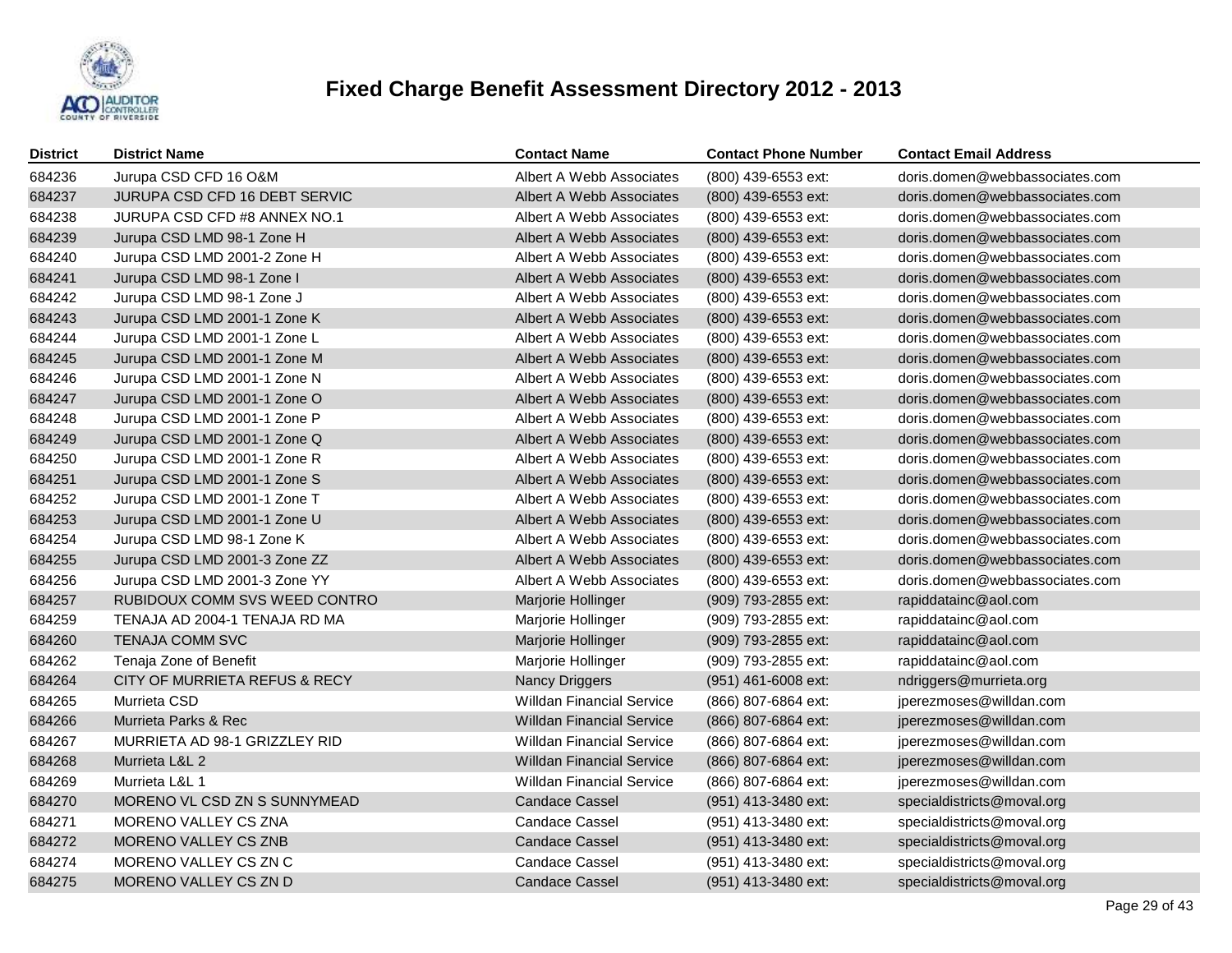

| <b>District</b> | <b>District Name</b>          | <b>Contact Name</b>              | <b>Contact Phone Number</b> | <b>Contact Email Address</b>   |
|-----------------|-------------------------------|----------------------------------|-----------------------------|--------------------------------|
| 684236          | Jurupa CSD CFD 16 O&M         | Albert A Webb Associates         | (800) 439-6553 ext:         | doris.domen@webbassociates.com |
| 684237          | JURUPA CSD CFD 16 DEBT SERVIC | Albert A Webb Associates         | (800) 439-6553 ext:         | doris.domen@webbassociates.com |
| 684238          | JURUPA CSD CFD #8 ANNEX NO.1  | Albert A Webb Associates         | (800) 439-6553 ext:         | doris.domen@webbassociates.com |
| 684239          | Jurupa CSD LMD 98-1 Zone H    | Albert A Webb Associates         | (800) 439-6553 ext:         | doris.domen@webbassociates.com |
| 684240          | Jurupa CSD LMD 2001-2 Zone H  | Albert A Webb Associates         | (800) 439-6553 ext:         | doris.domen@webbassociates.com |
| 684241          | Jurupa CSD LMD 98-1 Zone I    | Albert A Webb Associates         | (800) 439-6553 ext:         | doris.domen@webbassociates.com |
| 684242          | Jurupa CSD LMD 98-1 Zone J    | Albert A Webb Associates         | (800) 439-6553 ext:         | doris.domen@webbassociates.com |
| 684243          | Jurupa CSD LMD 2001-1 Zone K  | Albert A Webb Associates         | (800) 439-6553 ext:         | doris.domen@webbassociates.com |
| 684244          | Jurupa CSD LMD 2001-1 Zone L  | Albert A Webb Associates         | (800) 439-6553 ext:         | doris.domen@webbassociates.com |
| 684245          | Jurupa CSD LMD 2001-1 Zone M  | Albert A Webb Associates         | (800) 439-6553 ext:         | doris.domen@webbassociates.com |
| 684246          | Jurupa CSD LMD 2001-1 Zone N  | Albert A Webb Associates         | (800) 439-6553 ext:         | doris.domen@webbassociates.com |
| 684247          | Jurupa CSD LMD 2001-1 Zone O  | Albert A Webb Associates         | (800) 439-6553 ext:         | doris.domen@webbassociates.com |
| 684248          | Jurupa CSD LMD 2001-1 Zone P  | Albert A Webb Associates         | (800) 439-6553 ext:         | doris.domen@webbassociates.com |
| 684249          | Jurupa CSD LMD 2001-1 Zone Q  | Albert A Webb Associates         | $(800)$ 439-6553 ext:       | doris.domen@webbassociates.com |
| 684250          | Jurupa CSD LMD 2001-1 Zone R  | Albert A Webb Associates         | (800) 439-6553 ext:         | doris.domen@webbassociates.com |
| 684251          | Jurupa CSD LMD 2001-1 Zone S  | Albert A Webb Associates         | (800) 439-6553 ext:         | doris.domen@webbassociates.com |
| 684252          | Jurupa CSD LMD 2001-1 Zone T  | Albert A Webb Associates         | (800) 439-6553 ext:         | doris.domen@webbassociates.com |
| 684253          | Jurupa CSD LMD 2001-1 Zone U  | Albert A Webb Associates         | (800) 439-6553 ext:         | doris.domen@webbassociates.com |
| 684254          | Jurupa CSD LMD 98-1 Zone K    | Albert A Webb Associates         | (800) 439-6553 ext:         | doris.domen@webbassociates.com |
| 684255          | Jurupa CSD LMD 2001-3 Zone ZZ | Albert A Webb Associates         | (800) 439-6553 ext:         | doris.domen@webbassociates.com |
| 684256          | Jurupa CSD LMD 2001-3 Zone YY | Albert A Webb Associates         | (800) 439-6553 ext:         | doris.domen@webbassociates.com |
| 684257          | RUBIDOUX COMM SVS WEED CONTRO | Marjorie Hollinger               | (909) 793-2855 ext:         | rapiddatainc@aol.com           |
| 684259          | TENAJA AD 2004-1 TENAJA RD MA | Marjorie Hollinger               | (909) 793-2855 ext:         | rapiddatainc@aol.com           |
| 684260          | <b>TENAJA COMM SVC</b>        | Marjorie Hollinger               | (909) 793-2855 ext:         | rapiddatainc@aol.com           |
| 684262          | Tenaja Zone of Benefit        | Marjorie Hollinger               | (909) 793-2855 ext:         | rapiddatainc@aol.com           |
| 684264          | CITY OF MURRIETA REFUS & RECY | <b>Nancy Driggers</b>            | (951) 461-6008 ext:         | ndriggers@murrieta.org         |
| 684265          | Murrieta CSD                  | <b>Willdan Financial Service</b> | (866) 807-6864 ext:         | jperezmoses@willdan.com        |
| 684266          | Murrieta Parks & Rec          | <b>Willdan Financial Service</b> | (866) 807-6864 ext:         | jperezmoses@willdan.com        |
| 684267          | MURRIETA AD 98-1 GRIZZLEY RID | <b>Willdan Financial Service</b> | (866) 807-6864 ext:         | jperezmoses@willdan.com        |
| 684268          | Murrieta L&L 2                | <b>Willdan Financial Service</b> | (866) 807-6864 ext:         | jperezmoses@willdan.com        |
| 684269          | Murrieta L&L 1                | <b>Willdan Financial Service</b> | (866) 807-6864 ext:         | jperezmoses@willdan.com        |
| 684270          | MORENO VL CSD ZN S SUNNYMEAD  | <b>Candace Cassel</b>            | (951) 413-3480 ext:         | specialdistricts@moval.org     |
| 684271          | MORENO VALLEY CS ZNA          | <b>Candace Cassel</b>            | (951) 413-3480 ext:         | specialdistricts@moval.org     |
| 684272          | MORENO VALLEY CS ZNB          | <b>Candace Cassel</b>            | (951) 413-3480 ext:         | specialdistricts@moval.org     |
| 684274          | MORENO VALLEY CS ZN C         | Candace Cassel                   | (951) 413-3480 ext:         | specialdistricts@moval.org     |
| 684275          | MORENO VALLEY CS ZN D         | <b>Candace Cassel</b>            | (951) 413-3480 ext:         | specialdistricts@moval.org     |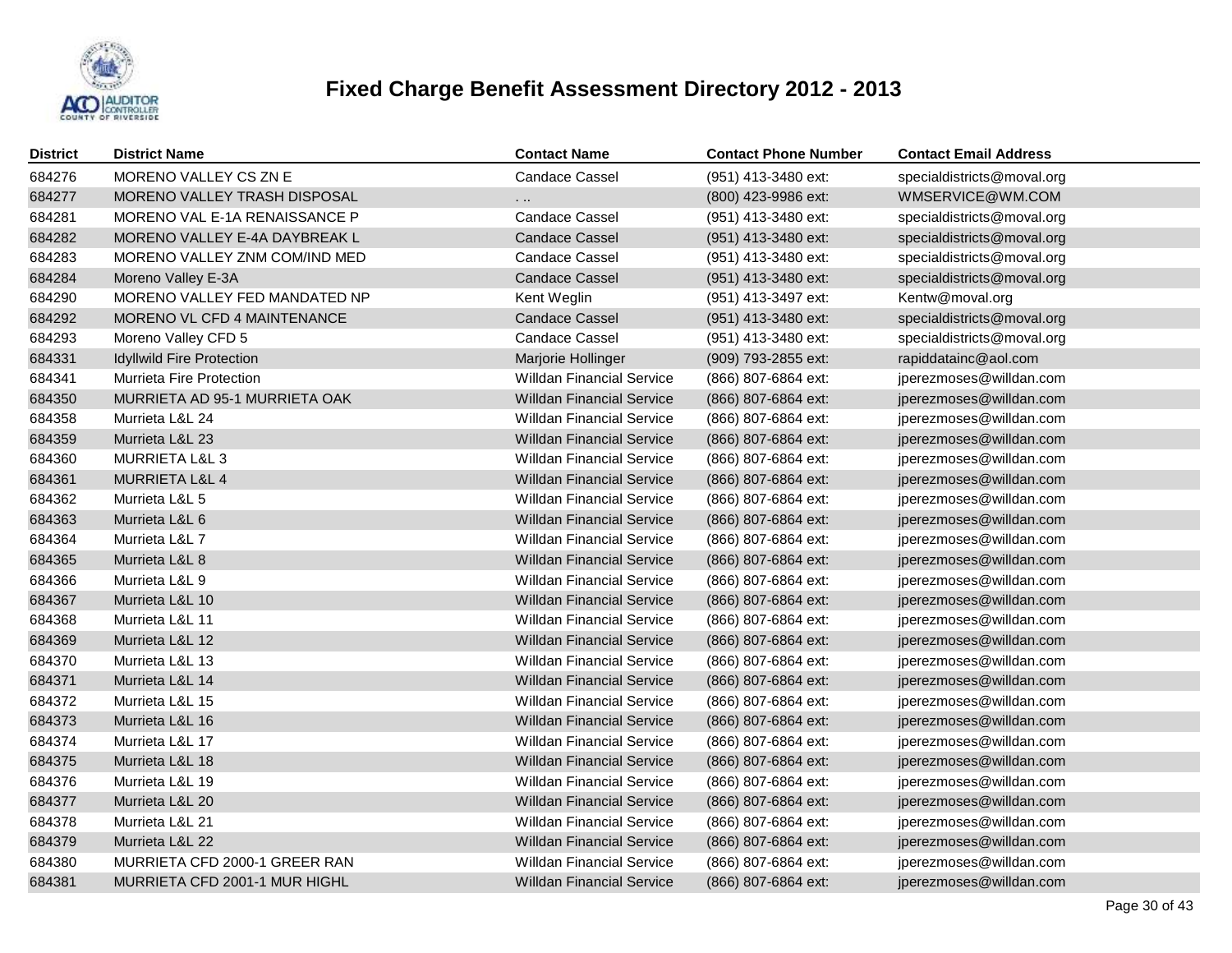

| <b>District</b> | <b>District Name</b>             | <b>Contact Name</b>              | <b>Contact Phone Number</b> | <b>Contact Email Address</b> |
|-----------------|----------------------------------|----------------------------------|-----------------------------|------------------------------|
| 684276          | MORENO VALLEY CS ZN E            | <b>Candace Cassel</b>            | (951) 413-3480 ext:         | specialdistricts@moval.org   |
| 684277          | MORENO VALLEY TRASH DISPOSAL     | .                                | (800) 423-9986 ext:         | WMSERVICE@WM.COM             |
| 684281          | MORENO VAL E-1A RENAISSANCE P    | <b>Candace Cassel</b>            | (951) 413-3480 ext:         | specialdistricts@moval.org   |
| 684282          | MORENO VALLEY E-4A DAYBREAK L    | <b>Candace Cassel</b>            | (951) 413-3480 ext:         | specialdistricts@moval.org   |
| 684283          | MORENO VALLEY ZNM COM/IND MED    | <b>Candace Cassel</b>            | (951) 413-3480 ext:         | specialdistricts@moval.org   |
| 684284          | Moreno Valley E-3A               | <b>Candace Cassel</b>            | (951) 413-3480 ext:         | specialdistricts@moval.org   |
| 684290          | MORENO VALLEY FED MANDATED NP    | Kent Weglin                      | (951) 413-3497 ext:         | Kentw@moval.org              |
| 684292          | MORENO VL CFD 4 MAINTENANCE      | <b>Candace Cassel</b>            | (951) 413-3480 ext:         | specialdistricts@moval.org   |
| 684293          | Moreno Valley CFD 5              | <b>Candace Cassel</b>            | (951) 413-3480 ext:         | specialdistricts@moval.org   |
| 684331          | <b>Idyllwild Fire Protection</b> | Marjorie Hollinger               | (909) 793-2855 ext:         | rapiddatainc@aol.com         |
| 684341          | Murrieta Fire Protection         | <b>Willdan Financial Service</b> | (866) 807-6864 ext:         | jperezmoses@willdan.com      |
| 684350          | MURRIETA AD 95-1 MURRIETA OAK    | <b>Willdan Financial Service</b> | (866) 807-6864 ext:         | jperezmoses@willdan.com      |
| 684358          | Murrieta L&L 24                  | <b>Willdan Financial Service</b> | (866) 807-6864 ext:         | jperezmoses@willdan.com      |
| 684359          | Murrieta L&L 23                  | <b>Willdan Financial Service</b> | (866) 807-6864 ext:         | jperezmoses@willdan.com      |
| 684360          | MURRIETA L&L 3                   | <b>Willdan Financial Service</b> | (866) 807-6864 ext:         | jperezmoses@willdan.com      |
| 684361          | <b>MURRIETA L&amp;L 4</b>        | <b>Willdan Financial Service</b> | (866) 807-6864 ext:         | jperezmoses@willdan.com      |
| 684362          | Murrieta L&L 5                   | <b>Willdan Financial Service</b> | (866) 807-6864 ext:         | jperezmoses@willdan.com      |
| 684363          | Murrieta L&L 6                   | <b>Willdan Financial Service</b> | (866) 807-6864 ext:         | jperezmoses@willdan.com      |
| 684364          | Murrieta L&L 7                   | <b>Willdan Financial Service</b> | (866) 807-6864 ext:         | jperezmoses@willdan.com      |
| 684365          | Murrieta L&L 8                   | <b>Willdan Financial Service</b> | (866) 807-6864 ext:         | jperezmoses@willdan.com      |
| 684366          | Murrieta L&L 9                   | <b>Willdan Financial Service</b> | (866) 807-6864 ext:         | jperezmoses@willdan.com      |
| 684367          | Murrieta L&L 10                  | <b>Willdan Financial Service</b> | (866) 807-6864 ext:         | jperezmoses@willdan.com      |
| 684368          | Murrieta L&L 11                  | <b>Willdan Financial Service</b> | (866) 807-6864 ext:         | jperezmoses@willdan.com      |
| 684369          | Murrieta L&L 12                  | <b>Willdan Financial Service</b> | (866) 807-6864 ext:         | jperezmoses@willdan.com      |
| 684370          | Murrieta L&L 13                  | <b>Willdan Financial Service</b> | (866) 807-6864 ext:         | jperezmoses@willdan.com      |
| 684371          | Murrieta L&L 14                  | <b>Willdan Financial Service</b> | (866) 807-6864 ext:         | jperezmoses@willdan.com      |
| 684372          | Murrieta L&L 15                  | <b>Willdan Financial Service</b> | (866) 807-6864 ext:         | jperezmoses@willdan.com      |
| 684373          | Murrieta L&L 16                  | <b>Willdan Financial Service</b> | (866) 807-6864 ext:         | jperezmoses@willdan.com      |
| 684374          | Murrieta L&L 17                  | <b>Willdan Financial Service</b> | (866) 807-6864 ext:         | jperezmoses@willdan.com      |
| 684375          | Murrieta L&L 18                  | <b>Willdan Financial Service</b> | (866) 807-6864 ext:         | jperezmoses@willdan.com      |
| 684376          | Murrieta L&L 19                  | <b>Willdan Financial Service</b> | (866) 807-6864 ext:         | jperezmoses@willdan.com      |
| 684377          | Murrieta L&L 20                  | <b>Willdan Financial Service</b> | (866) 807-6864 ext:         | jperezmoses@willdan.com      |
| 684378          | Murrieta L&L 21                  | <b>Willdan Financial Service</b> | (866) 807-6864 ext:         | jperezmoses@willdan.com      |
| 684379          | Murrieta L&L 22                  | <b>Willdan Financial Service</b> | (866) 807-6864 ext:         | jperezmoses@willdan.com      |
| 684380          | MURRIETA CFD 2000-1 GREER RAN    | <b>Willdan Financial Service</b> | (866) 807-6864 ext:         | jperezmoses@willdan.com      |
| 684381          | MURRIETA CFD 2001-1 MUR HIGHL    | <b>Willdan Financial Service</b> | (866) 807-6864 ext:         | jperezmoses@willdan.com      |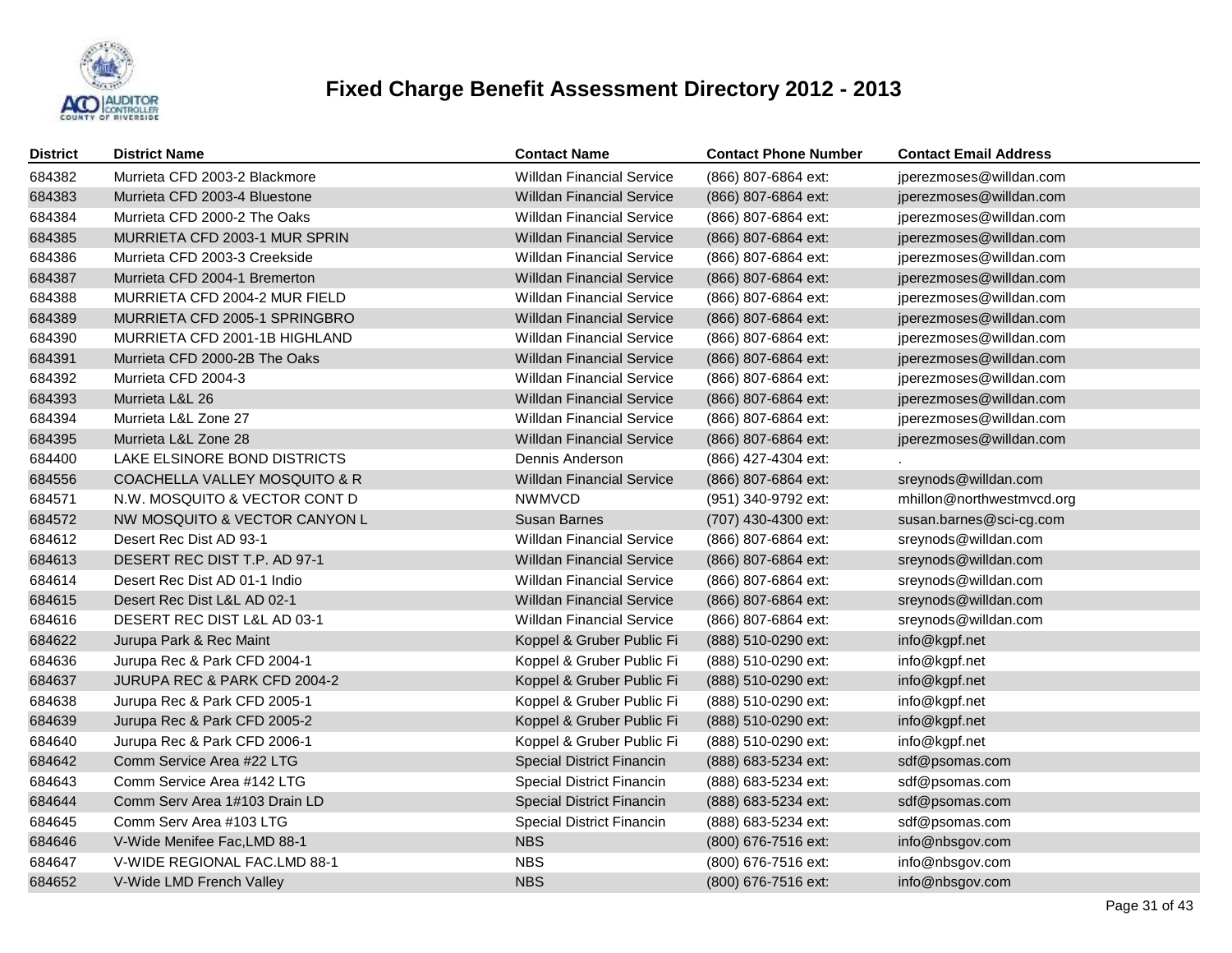

| <b>District</b> | <b>District Name</b>          | <b>Contact Name</b>              | <b>Contact Phone Number</b> | <b>Contact Email Address</b> |
|-----------------|-------------------------------|----------------------------------|-----------------------------|------------------------------|
| 684382          | Murrieta CFD 2003-2 Blackmore | <b>Willdan Financial Service</b> | (866) 807-6864 ext:         | jperezmoses@willdan.com      |
| 684383          | Murrieta CFD 2003-4 Bluestone | <b>Willdan Financial Service</b> | (866) 807-6864 ext:         | jperezmoses@willdan.com      |
| 684384          | Murrieta CFD 2000-2 The Oaks  | <b>Willdan Financial Service</b> | (866) 807-6864 ext:         | jperezmoses@willdan.com      |
| 684385          | MURRIETA CFD 2003-1 MUR SPRIN | <b>Willdan Financial Service</b> | (866) 807-6864 ext:         | jperezmoses@willdan.com      |
| 684386          | Murrieta CFD 2003-3 Creekside | <b>Willdan Financial Service</b> | (866) 807-6864 ext:         | jperezmoses@willdan.com      |
| 684387          | Murrieta CFD 2004-1 Bremerton | <b>Willdan Financial Service</b> | (866) 807-6864 ext:         | jperezmoses@willdan.com      |
| 684388          | MURRIETA CFD 2004-2 MUR FIELD | <b>Willdan Financial Service</b> | (866) 807-6864 ext:         | jperezmoses@willdan.com      |
| 684389          | MURRIETA CFD 2005-1 SPRINGBRO | <b>Willdan Financial Service</b> | (866) 807-6864 ext:         | jperezmoses@willdan.com      |
| 684390          | MURRIETA CFD 2001-1B HIGHLAND | <b>Willdan Financial Service</b> | (866) 807-6864 ext:         | jperezmoses@willdan.com      |
| 684391          | Murrieta CFD 2000-2B The Oaks | <b>Willdan Financial Service</b> | (866) 807-6864 ext:         | jperezmoses@willdan.com      |
| 684392          | Murrieta CFD 2004-3           | <b>Willdan Financial Service</b> | (866) 807-6864 ext:         | jperezmoses@willdan.com      |
| 684393          | Murrieta L&L 26               | <b>Willdan Financial Service</b> | (866) 807-6864 ext:         | jperezmoses@willdan.com      |
| 684394          | Murrieta L&L Zone 27          | <b>Willdan Financial Service</b> | (866) 807-6864 ext:         | jperezmoses@willdan.com      |
| 684395          | Murrieta L&L Zone 28          | <b>Willdan Financial Service</b> | (866) 807-6864 ext:         | jperezmoses@willdan.com      |
| 684400          | LAKE ELSINORE BOND DISTRICTS  | Dennis Anderson                  | (866) 427-4304 ext:         |                              |
| 684556          | COACHELLA VALLEY MOSQUITO & R | <b>Willdan Financial Service</b> | (866) 807-6864 ext:         | sreynods@willdan.com         |
| 684571          | N.W. MOSQUITO & VECTOR CONT D | <b>NWMVCD</b>                    | (951) 340-9792 ext:         | mhillon@northwestmvcd.org    |
| 684572          | NW MOSQUITO & VECTOR CANYON L | Susan Barnes                     | (707) 430-4300 ext:         | susan.barnes@sci-cg.com      |
| 684612          | Desert Rec Dist AD 93-1       | <b>Willdan Financial Service</b> | (866) 807-6864 ext:         | sreynods@willdan.com         |
| 684613          | DESERT REC DIST T.P. AD 97-1  | <b>Willdan Financial Service</b> | (866) 807-6864 ext:         | sreynods@willdan.com         |
| 684614          | Desert Rec Dist AD 01-1 Indio | <b>Willdan Financial Service</b> | (866) 807-6864 ext:         | sreynods@willdan.com         |
| 684615          | Desert Rec Dist L&L AD 02-1   | <b>Willdan Financial Service</b> | (866) 807-6864 ext:         | sreynods@willdan.com         |
| 684616          | DESERT REC DIST L&L AD 03-1   | <b>Willdan Financial Service</b> | (866) 807-6864 ext:         | sreynods@willdan.com         |
| 684622          | Jurupa Park & Rec Maint       | Koppel & Gruber Public Fi        | (888) 510-0290 ext:         | info@kgpf.net                |
| 684636          | Jurupa Rec & Park CFD 2004-1  | Koppel & Gruber Public Fi        | (888) 510-0290 ext:         | info@kgpf.net                |
| 684637          | JURUPA REC & PARK CFD 2004-2  | Koppel & Gruber Public Fi        | (888) 510-0290 ext:         | info@kgpf.net                |
| 684638          | Jurupa Rec & Park CFD 2005-1  | Koppel & Gruber Public Fi        | (888) 510-0290 ext:         | info@kgpf.net                |
| 684639          | Jurupa Rec & Park CFD 2005-2  | Koppel & Gruber Public Fi        | (888) 510-0290 ext:         | info@kgpf.net                |
| 684640          | Jurupa Rec & Park CFD 2006-1  | Koppel & Gruber Public Fi        | (888) 510-0290 ext:         | info@kgpf.net                |
| 684642          | Comm Service Area #22 LTG     | <b>Special District Financin</b> | (888) 683-5234 ext:         | sdf@psomas.com               |
| 684643          | Comm Service Area #142 LTG    | Special District Financin        | (888) 683-5234 ext:         | sdf@psomas.com               |
| 684644          | Comm Serv Area 1#103 Drain LD | <b>Special District Financin</b> | (888) 683-5234 ext:         | sdf@psomas.com               |
| 684645          | Comm Serv Area #103 LTG       | Special District Financin        | (888) 683-5234 ext:         | sdf@psomas.com               |
| 684646          | V-Wide Menifee Fac, LMD 88-1  | <b>NBS</b>                       | (800) 676-7516 ext:         | info@nbsgov.com              |
| 684647          | V-WIDE REGIONAL FAC.LMD 88-1  | <b>NBS</b>                       | (800) 676-7516 ext:         | info@nbsgov.com              |
| 684652          | V-Wide LMD French Valley      | <b>NBS</b>                       | (800) 676-7516 ext:         | info@nbsgov.com              |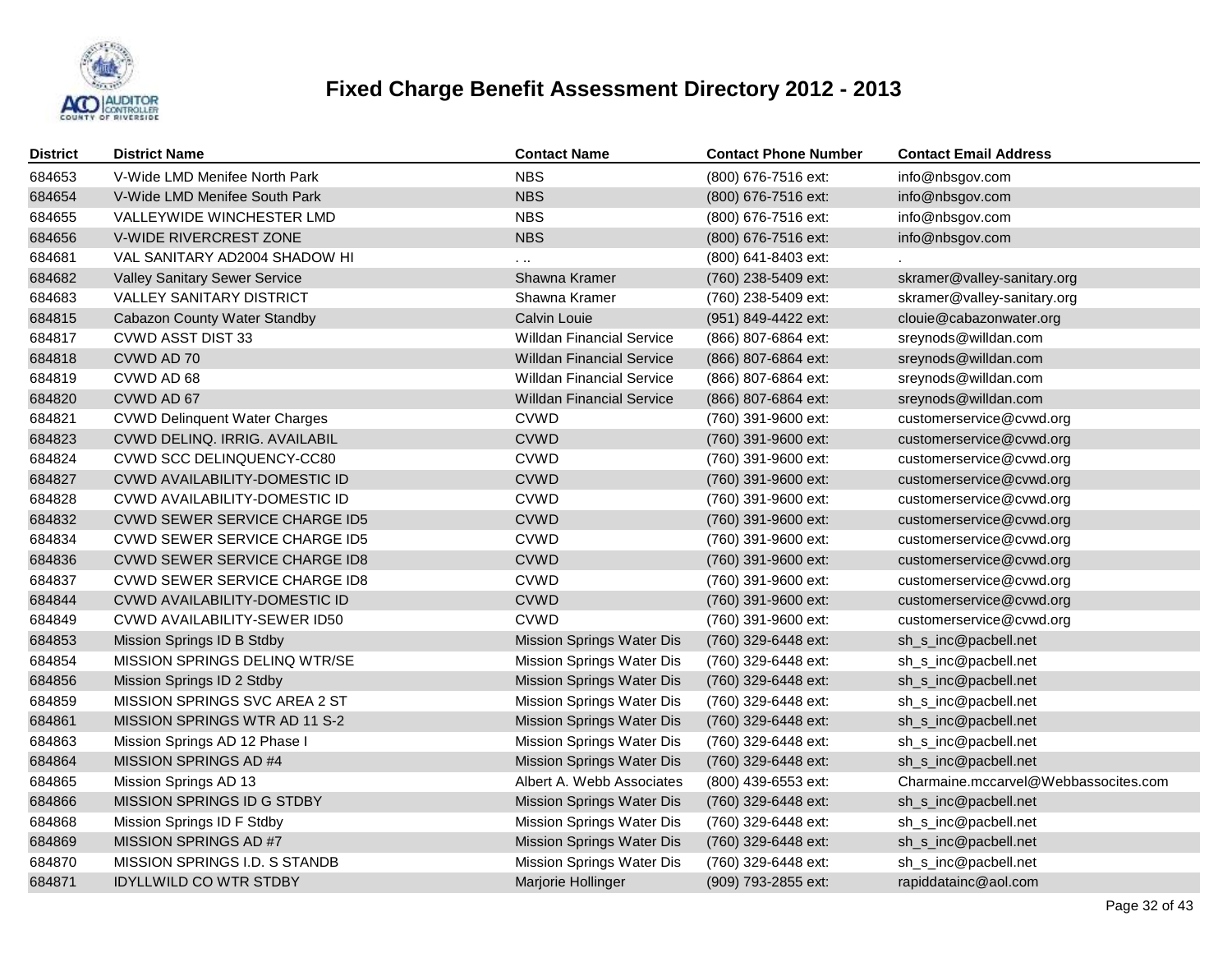

| <b>District</b> | <b>District Name</b>                 | <b>Contact Name</b>              | <b>Contact Phone Number</b> | <b>Contact Email Address</b>         |
|-----------------|--------------------------------------|----------------------------------|-----------------------------|--------------------------------------|
| 684653          | V-Wide LMD Menifee North Park        | <b>NBS</b>                       | (800) 676-7516 ext:         | info@nbsgov.com                      |
| 684654          | V-Wide LMD Menifee South Park        | <b>NBS</b>                       | (800) 676-7516 ext:         | info@nbsgov.com                      |
| 684655          | VALLEYWIDE WINCHESTER LMD            | <b>NBS</b>                       | (800) 676-7516 ext:         | info@nbsgov.com                      |
| 684656          | V-WIDE RIVERCREST ZONE               | <b>NBS</b>                       | (800) 676-7516 ext:         | info@nbsgov.com                      |
| 684681          | VAL SANITARY AD2004 SHADOW HI        | .                                | (800) 641-8403 ext:         |                                      |
| 684682          | <b>Valley Sanitary Sewer Service</b> | Shawna Kramer                    | (760) 238-5409 ext:         | skramer@valley-sanitary.org          |
| 684683          | <b>VALLEY SANITARY DISTRICT</b>      | Shawna Kramer                    | (760) 238-5409 ext:         | skramer@valley-sanitary.org          |
| 684815          | Cabazon County Water Standby         | Calvin Louie                     | (951) 849-4422 ext:         | clouie@cabazonwater.org              |
| 684817          | <b>CVWD ASST DIST 33</b>             | <b>Willdan Financial Service</b> | (866) 807-6864 ext:         | sreynods@willdan.com                 |
| 684818          | CVWD AD 70                           | <b>Willdan Financial Service</b> | (866) 807-6864 ext:         | sreynods@willdan.com                 |
| 684819          | CVWD AD 68                           | <b>Willdan Financial Service</b> | (866) 807-6864 ext:         | sreynods@willdan.com                 |
| 684820          | CVWD AD 67                           | Willdan Financial Service        | (866) 807-6864 ext:         | sreynods@willdan.com                 |
| 684821          | <b>CVWD Delinquent Water Charges</b> | CVWD                             | (760) 391-9600 ext:         | customerservice@cvwd.org             |
| 684823          | CVWD DELINQ. IRRIG. AVAILABIL        | <b>CVWD</b>                      | (760) 391-9600 ext:         | customerservice@cvwd.org             |
| 684824          | CVWD SCC DELINQUENCY-CC80            | <b>CVWD</b>                      | (760) 391-9600 ext:         | customerservice@cvwd.org             |
| 684827          | CVWD AVAILABILITY-DOMESTIC ID        | <b>CVWD</b>                      | (760) 391-9600 ext:         | customerservice@cvwd.org             |
| 684828          | CVWD AVAILABILITY-DOMESTIC ID        | <b>CVWD</b>                      | (760) 391-9600 ext:         | customerservice@cvwd.org             |
| 684832          | CVWD SEWER SERVICE CHARGE ID5        | <b>CVWD</b>                      | (760) 391-9600 ext:         | customerservice@cvwd.org             |
| 684834          | <b>CVWD SEWER SERVICE CHARGE ID5</b> | <b>CVWD</b>                      | (760) 391-9600 ext:         | customerservice@cvwd.org             |
| 684836          | CVWD SEWER SERVICE CHARGE ID8        | <b>CVWD</b>                      | (760) 391-9600 ext:         | customerservice@cvwd.org             |
| 684837          | <b>CVWD SEWER SERVICE CHARGE ID8</b> | <b>CVWD</b>                      | (760) 391-9600 ext:         | customerservice@cvwd.org             |
| 684844          | CVWD AVAILABILITY-DOMESTIC ID        | <b>CVWD</b>                      | (760) 391-9600 ext:         | customerservice@cvwd.org             |
| 684849          | CVWD AVAILABILITY-SEWER ID50         | <b>CVWD</b>                      | (760) 391-9600 ext:         | customerservice@cvwd.org             |
| 684853          | Mission Springs ID B Stdby           | <b>Mission Springs Water Dis</b> | (760) 329-6448 ext:         | sh_s_inc@pacbell.net                 |
| 684854          | MISSION SPRINGS DELINQ WTR/SE        | Mission Springs Water Dis        | (760) 329-6448 ext:         | sh_s_inc@pacbell.net                 |
| 684856          | Mission Springs ID 2 Stdby           | Mission Springs Water Dis        | (760) 329-6448 ext:         | sh_s_inc@pacbell.net                 |
| 684859          | MISSION SPRINGS SVC AREA 2 ST        | Mission Springs Water Dis        | (760) 329-6448 ext:         | sh_s_inc@pacbell.net                 |
| 684861          | MISSION SPRINGS WTR AD 11 S-2        | <b>Mission Springs Water Dis</b> | (760) 329-6448 ext:         | sh_s_inc@pacbell.net                 |
| 684863          | Mission Springs AD 12 Phase I        | Mission Springs Water Dis        | (760) 329-6448 ext:         | sh_s_inc@pacbell.net                 |
| 684864          | MISSION SPRINGS AD #4                | Mission Springs Water Dis        | (760) 329-6448 ext:         | sh_s_inc@pacbell.net                 |
| 684865          | Mission Springs AD 13                | Albert A. Webb Associates        | (800) 439-6553 ext:         | Charmaine.mccarvel@Webbassocites.com |
| 684866          | MISSION SPRINGS ID G STDBY           | <b>Mission Springs Water Dis</b> | (760) 329-6448 ext:         | sh_s_inc@pacbell.net                 |
| 684868          | Mission Springs ID F Stdby           | Mission Springs Water Dis        | (760) 329-6448 ext:         | sh_s_inc@pacbell.net                 |
| 684869          | MISSION SPRINGS AD #7                | <b>Mission Springs Water Dis</b> | (760) 329-6448 ext:         | sh_s_inc@pacbell.net                 |
| 684870          | MISSION SPRINGS I.D. S STANDB        | Mission Springs Water Dis        | (760) 329-6448 ext:         | sh_s_inc@pacbell.net                 |
| 684871          | <b>IDYLLWILD CO WTR STDBY</b>        | Marjorie Hollinger               | (909) 793-2855 ext:         | rapiddatainc@aol.com                 |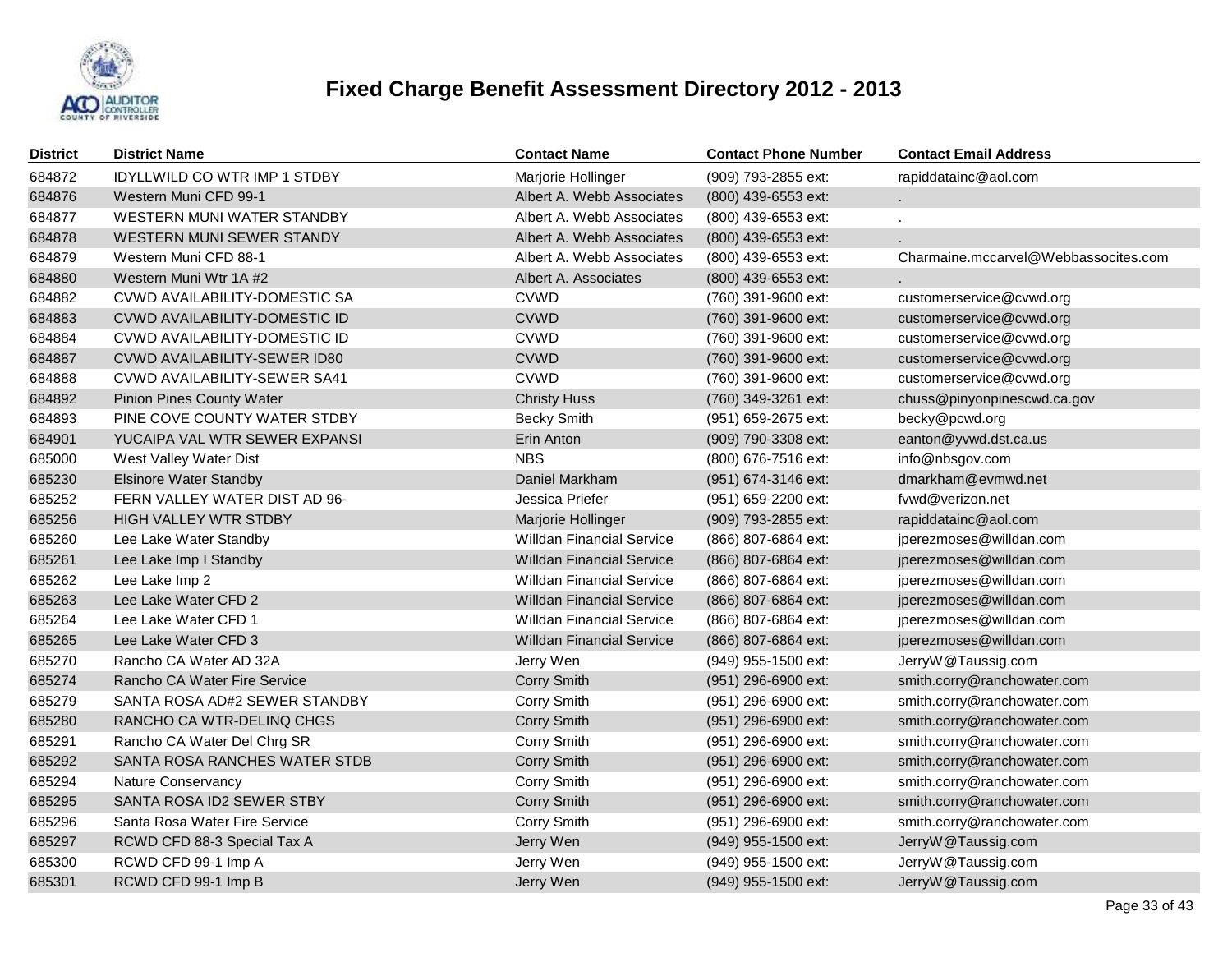

| <b>District</b> | <b>District Name</b>                | <b>Contact Name</b>              | <b>Contact Phone Number</b> | <b>Contact Email Address</b>         |
|-----------------|-------------------------------------|----------------------------------|-----------------------------|--------------------------------------|
| 684872          | <b>IDYLLWILD CO WTR IMP 1 STDBY</b> | Marjorie Hollinger               | (909) 793-2855 ext:         | rapiddatainc@aol.com                 |
| 684876          | Western Muni CFD 99-1               | Albert A. Webb Associates        | (800) 439-6553 ext:         |                                      |
| 684877          | WESTERN MUNI WATER STANDBY          | Albert A. Webb Associates        | (800) 439-6553 ext:         |                                      |
| 684878          | WESTERN MUNI SEWER STANDY           | Albert A. Webb Associates        | (800) 439-6553 ext:         |                                      |
| 684879          | Western Muni CFD 88-1               | Albert A. Webb Associates        | (800) 439-6553 ext:         | Charmaine.mccarvel@Webbassocites.com |
| 684880          | Western Muni Wtr 1A #2              | Albert A. Associates             | (800) 439-6553 ext:         |                                      |
| 684882          | CVWD AVAILABILITY-DOMESTIC SA       | <b>CVWD</b>                      | (760) 391-9600 ext:         | customerservice@cvwd.org             |
| 684883          | CVWD AVAILABILITY-DOMESTIC ID       | <b>CVWD</b>                      | (760) 391-9600 ext:         | customerservice@cvwd.org             |
| 684884          | CVWD AVAILABILITY-DOMESTIC ID       | <b>CVWD</b>                      | (760) 391-9600 ext:         | customerservice@cvwd.org             |
| 684887          | CVWD AVAILABILITY-SEWER ID80        | <b>CVWD</b>                      | (760) 391-9600 ext:         | customerservice@cvwd.org             |
| 684888          | <b>CVWD AVAILABILITY-SEWER SA41</b> | <b>CVWD</b>                      | (760) 391-9600 ext:         | customerservice@cvwd.org             |
| 684892          | <b>Pinion Pines County Water</b>    | <b>Christy Huss</b>              | (760) 349-3261 ext:         | chuss@pinyonpinescwd.ca.gov          |
| 684893          | PINE COVE COUNTY WATER STDBY        | <b>Becky Smith</b>               | (951) 659-2675 ext:         | becky@pcwd.org                       |
| 684901          | YUCAIPA VAL WTR SEWER EXPANSI       | Erin Anton                       | (909) 790-3308 ext:         | eanton@yvwd.dst.ca.us                |
| 685000          | West Valley Water Dist              | <b>NBS</b>                       | (800) 676-7516 ext:         | info@nbsgov.com                      |
| 685230          | <b>Elsinore Water Standby</b>       | Daniel Markham                   | (951) 674-3146 ext:         | dmarkham@evmwd.net                   |
| 685252          | FERN VALLEY WATER DIST AD 96-       | Jessica Priefer                  | (951) 659-2200 ext:         | fvwd@verizon.net                     |
| 685256          | <b>HIGH VALLEY WTR STDBY</b>        | Marjorie Hollinger               | (909) 793-2855 ext:         | rapiddatainc@aol.com                 |
| 685260          | Lee Lake Water Standby              | <b>Willdan Financial Service</b> | (866) 807-6864 ext:         | jperezmoses@willdan.com              |
| 685261          | Lee Lake Imp I Standby              | <b>Willdan Financial Service</b> | (866) 807-6864 ext:         | jperezmoses@willdan.com              |
| 685262          | Lee Lake Imp 2                      | <b>Willdan Financial Service</b> | (866) 807-6864 ext:         | jperezmoses@willdan.com              |
| 685263          | Lee Lake Water CFD 2                | <b>Willdan Financial Service</b> | (866) 807-6864 ext:         | jperezmoses@willdan.com              |
| 685264          | Lee Lake Water CFD 1                | <b>Willdan Financial Service</b> | (866) 807-6864 ext:         | jperezmoses@willdan.com              |
| 685265          | Lee Lake Water CFD 3                | <b>Willdan Financial Service</b> | (866) 807-6864 ext:         | jperezmoses@willdan.com              |
| 685270          | Rancho CA Water AD 32A              | Jerry Wen                        | (949) 955-1500 ext:         | JerryW@Taussig.com                   |
| 685274          | Rancho CA Water Fire Service        | <b>Corry Smith</b>               | (951) 296-6900 ext:         | smith.corry@ranchowater.com          |
| 685279          | SANTA ROSA AD#2 SEWER STANDBY       | Corry Smith                      | $(951)$ 296-6900 ext:       | smith.corry@ranchowater.com          |
| 685280          | RANCHO CA WTR-DELINQ CHGS           | <b>Corry Smith</b>               | (951) 296-6900 ext:         | smith.corry@ranchowater.com          |
| 685291          | Rancho CA Water Del Chrg SR         | Corry Smith                      | (951) 296-6900 ext:         | smith.corry@ranchowater.com          |
| 685292          | SANTA ROSA RANCHES WATER STDB       | <b>Corry Smith</b>               | (951) 296-6900 ext:         | smith.corry@ranchowater.com          |
| 685294          | <b>Nature Conservancy</b>           | Corry Smith                      | (951) 296-6900 ext:         | smith.corry@ranchowater.com          |
| 685295          | SANTA ROSA ID2 SEWER STBY           | <b>Corry Smith</b>               | (951) 296-6900 ext:         | smith.corry@ranchowater.com          |
| 685296          | Santa Rosa Water Fire Service       | Corry Smith                      | (951) 296-6900 ext:         | smith.corry@ranchowater.com          |
| 685297          | RCWD CFD 88-3 Special Tax A         | Jerry Wen                        | (949) 955-1500 ext:         | JerryW@Taussig.com                   |
| 685300          | RCWD CFD 99-1 Imp A                 | Jerry Wen                        | (949) 955-1500 ext:         | JerryW@Taussig.com                   |
| 685301          | RCWD CFD 99-1 Imp B                 | Jerry Wen                        | (949) 955-1500 ext:         | JerryW@Taussig.com                   |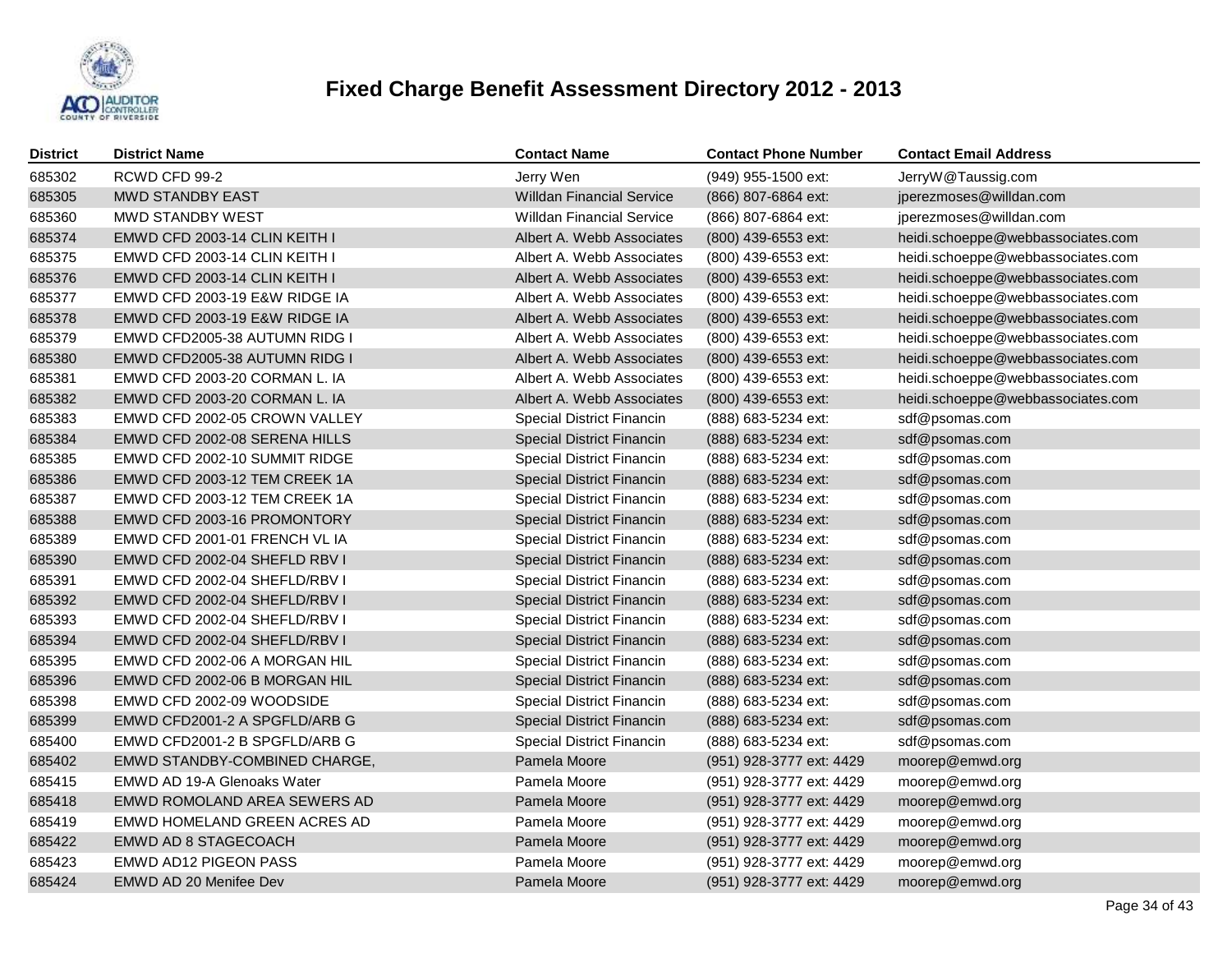

| <b>District</b> | <b>District Name</b>          | <b>Contact Name</b>              | <b>Contact Phone Number</b> | <b>Contact Email Address</b>      |
|-----------------|-------------------------------|----------------------------------|-----------------------------|-----------------------------------|
| 685302          | RCWD CFD 99-2                 | Jerry Wen                        | (949) 955-1500 ext:         | JerryW@Taussig.com                |
| 685305          | <b>MWD STANDBY EAST</b>       | <b>Willdan Financial Service</b> | (866) 807-6864 ext:         | jperezmoses@willdan.com           |
| 685360          | <b>MWD STANDBY WEST</b>       | <b>Willdan Financial Service</b> | (866) 807-6864 ext:         | jperezmoses@willdan.com           |
| 685374          | EMWD CFD 2003-14 CLIN KEITH I | Albert A. Webb Associates        | (800) 439-6553 ext:         | heidi.schoeppe@webbassociates.com |
| 685375          | EMWD CFD 2003-14 CLIN KEITH I | Albert A. Webb Associates        | (800) 439-6553 ext:         | heidi.schoeppe@webbassociates.com |
| 685376          | EMWD CFD 2003-14 CLIN KEITH I | Albert A. Webb Associates        | (800) 439-6553 ext:         | heidi.schoeppe@webbassociates.com |
| 685377          | EMWD CFD 2003-19 E&W RIDGE IA | Albert A. Webb Associates        | (800) 439-6553 ext:         | heidi.schoeppe@webbassociates.com |
| 685378          | EMWD CFD 2003-19 E&W RIDGE IA | Albert A. Webb Associates        | (800) 439-6553 ext:         | heidi.schoeppe@webbassociates.com |
| 685379          | EMWD CFD2005-38 AUTUMN RIDG I | Albert A. Webb Associates        | (800) 439-6553 ext:         | heidi.schoeppe@webbassociates.com |
| 685380          | EMWD CFD2005-38 AUTUMN RIDG I | Albert A. Webb Associates        | (800) 439-6553 ext:         | heidi.schoeppe@webbassociates.com |
| 685381          | EMWD CFD 2003-20 CORMAN L. IA | Albert A. Webb Associates        | (800) 439-6553 ext:         | heidi.schoeppe@webbassociates.com |
| 685382          | EMWD CFD 2003-20 CORMAN L. IA | Albert A. Webb Associates        | (800) 439-6553 ext:         | heidi.schoeppe@webbassociates.com |
| 685383          | EMWD CFD 2002-05 CROWN VALLEY | <b>Special District Financin</b> | (888) 683-5234 ext:         | sdf@psomas.com                    |
| 685384          | EMWD CFD 2002-08 SERENA HILLS | <b>Special District Financin</b> | (888) 683-5234 ext:         | sdf@psomas.com                    |
| 685385          | EMWD CFD 2002-10 SUMMIT RIDGE | Special District Financin        | (888) 683-5234 ext:         | sdf@psomas.com                    |
| 685386          | EMWD CFD 2003-12 TEM CREEK 1A | <b>Special District Financin</b> | (888) 683-5234 ext:         | sdf@psomas.com                    |
| 685387          | EMWD CFD 2003-12 TEM CREEK 1A | <b>Special District Financin</b> | (888) 683-5234 ext:         | sdf@psomas.com                    |
| 685388          | EMWD CFD 2003-16 PROMONTORY   | <b>Special District Financin</b> | (888) 683-5234 ext:         | sdf@psomas.com                    |
| 685389          | EMWD CFD 2001-01 FRENCH VL IA | <b>Special District Financin</b> | (888) 683-5234 ext:         | sdf@psomas.com                    |
| 685390          | EMWD CFD 2002-04 SHEFLD RBV I | <b>Special District Financin</b> | (888) 683-5234 ext:         | sdf@psomas.com                    |
| 685391          | EMWD CFD 2002-04 SHEFLD/RBV I | <b>Special District Financin</b> | (888) 683-5234 ext:         | sdf@psomas.com                    |
| 685392          | EMWD CFD 2002-04 SHEFLD/RBV I | <b>Special District Financin</b> | (888) 683-5234 ext:         | sdf@psomas.com                    |
| 685393          | EMWD CFD 2002-04 SHEFLD/RBV I | <b>Special District Financin</b> | (888) 683-5234 ext:         | sdf@psomas.com                    |
| 685394          | EMWD CFD 2002-04 SHEFLD/RBV I | <b>Special District Financin</b> | (888) 683-5234 ext:         | sdf@psomas.com                    |
| 685395          | EMWD CFD 2002-06 A MORGAN HIL | Special District Financin        | (888) 683-5234 ext:         | sdf@psomas.com                    |
| 685396          | EMWD CFD 2002-06 B MORGAN HIL | <b>Special District Financin</b> | (888) 683-5234 ext:         | sdf@psomas.com                    |
| 685398          | EMWD CFD 2002-09 WOODSIDE     | Special District Financin        | (888) 683-5234 ext:         | sdf@psomas.com                    |
| 685399          | EMWD CFD2001-2 A SPGFLD/ARB G | <b>Special District Financin</b> | (888) 683-5234 ext:         | sdf@psomas.com                    |
| 685400          | EMWD CFD2001-2 B SPGFLD/ARB G | <b>Special District Financin</b> | (888) 683-5234 ext:         | sdf@psomas.com                    |
| 685402          | EMWD STANDBY-COMBINED CHARGE, | Pamela Moore                     | (951) 928-3777 ext: 4429    | moorep@emwd.org                   |
| 685415          | EMWD AD 19-A Glenoaks Water   | Pamela Moore                     | (951) 928-3777 ext: 4429    | moorep@emwd.org                   |
| 685418          | EMWD ROMOLAND AREA SEWERS AD  | Pamela Moore                     | (951) 928-3777 ext: 4429    | moorep@emwd.org                   |
| 685419          | EMWD HOMELAND GREEN ACRES AD  | Pamela Moore                     | (951) 928-3777 ext: 4429    | moorep@emwd.org                   |
| 685422          | EMWD AD 8 STAGECOACH          | Pamela Moore                     | (951) 928-3777 ext: 4429    | moorep@emwd.org                   |
| 685423          | EMWD AD12 PIGEON PASS         | Pamela Moore                     | (951) 928-3777 ext: 4429    | moorep@emwd.org                   |
| 685424          | <b>EMWD AD 20 Menifee Dev</b> | Pamela Moore                     | (951) 928-3777 ext: 4429    | moorep@emwd.org                   |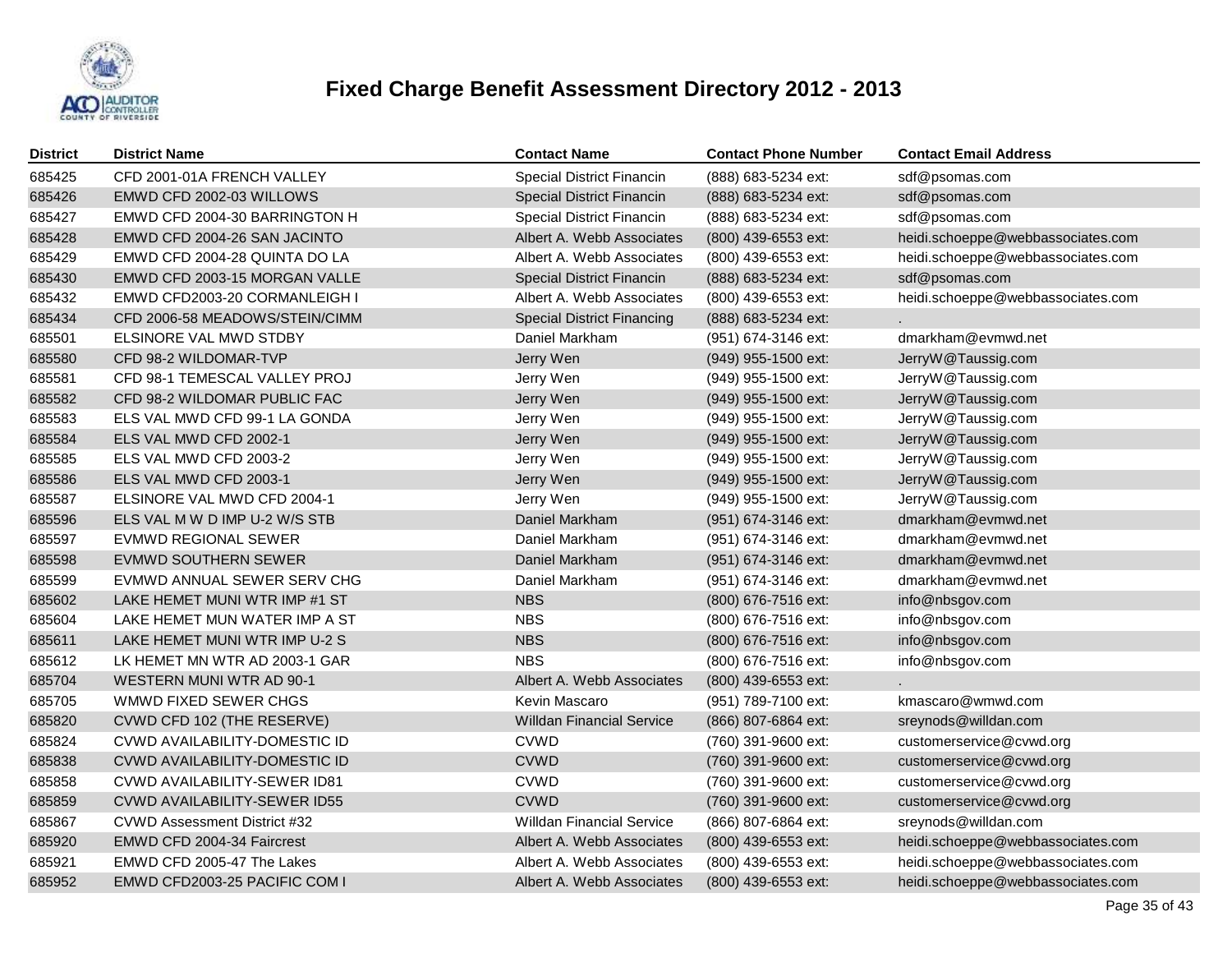

| <b>District</b> | <b>District Name</b>                | <b>Contact Name</b>               | <b>Contact Phone Number</b> | <b>Contact Email Address</b>      |
|-----------------|-------------------------------------|-----------------------------------|-----------------------------|-----------------------------------|
| 685425          | CFD 2001-01A FRENCH VALLEY          | Special District Financin         | (888) 683-5234 ext:         | sdf@psomas.com                    |
| 685426          | EMWD CFD 2002-03 WILLOWS            | <b>Special District Financin</b>  | (888) 683-5234 ext:         | sdf@psomas.com                    |
| 685427          | EMWD CFD 2004-30 BARRINGTON H       | Special District Financin         | (888) 683-5234 ext:         | sdf@psomas.com                    |
| 685428          | EMWD CFD 2004-26 SAN JACINTO        | Albert A. Webb Associates         | (800) 439-6553 ext:         | heidi.schoeppe@webbassociates.com |
| 685429          | EMWD CFD 2004-28 QUINTA DO LA       | Albert A. Webb Associates         | (800) 439-6553 ext:         | heidi.schoeppe@webbassociates.com |
| 685430          | EMWD CFD 2003-15 MORGAN VALLE       | Special District Financin         | (888) 683-5234 ext:         | sdf@psomas.com                    |
| 685432          | EMWD CFD2003-20 CORMANLEIGH I       | Albert A. Webb Associates         | (800) 439-6553 ext:         | heidi.schoeppe@webbassociates.com |
| 685434          | CFD 2006-58 MEADOWS/STEIN/CIMM      | <b>Special District Financing</b> | (888) 683-5234 ext:         |                                   |
| 685501          | ELSINORE VAL MWD STDBY              | Daniel Markham                    | (951) 674-3146 ext:         | dmarkham@evmwd.net                |
| 685580          | CFD 98-2 WILDOMAR-TVP               | Jerry Wen                         | (949) 955-1500 ext:         | JerryW@Taussig.com                |
| 685581          | CFD 98-1 TEMESCAL VALLEY PROJ       | Jerry Wen                         | (949) 955-1500 ext:         | JerryW@Taussig.com                |
| 685582          | CFD 98-2 WILDOMAR PUBLIC FAC        | Jerry Wen                         | (949) 955-1500 ext:         | JerryW@Taussig.com                |
| 685583          | ELS VAL MWD CFD 99-1 LA GONDA       | Jerry Wen                         | (949) 955-1500 ext:         | JerryW@Taussig.com                |
| 685584          | ELS VAL MWD CFD 2002-1              | Jerry Wen                         | (949) 955-1500 ext:         | JerryW@Taussig.com                |
| 685585          | ELS VAL MWD CFD 2003-2              | Jerry Wen                         | (949) 955-1500 ext:         | JerryW@Taussig.com                |
| 685586          | ELS VAL MWD CFD 2003-1              | Jerry Wen                         | (949) 955-1500 ext:         | JerryW@Taussig.com                |
| 685587          | ELSINORE VAL MWD CFD 2004-1         | Jerry Wen                         | (949) 955-1500 ext:         | JerryW@Taussig.com                |
| 685596          | ELS VAL M W D IMP U-2 W/S STB       | Daniel Markham                    | (951) 674-3146 ext:         | dmarkham@evmwd.net                |
| 685597          | <b>EVMWD REGIONAL SEWER</b>         | Daniel Markham                    | (951) 674-3146 ext:         | dmarkham@evmwd.net                |
| 685598          | EVMWD SOUTHERN SEWER                | Daniel Markham                    | (951) 674-3146 ext:         | dmarkham@evmwd.net                |
| 685599          | EVMWD ANNUAL SEWER SERV CHG         | Daniel Markham                    | (951) 674-3146 ext:         | dmarkham@evmwd.net                |
| 685602          | LAKE HEMET MUNI WTR IMP #1 ST       | <b>NBS</b>                        | (800) 676-7516 ext:         | info@nbsgov.com                   |
| 685604          | LAKE HEMET MUN WATER IMP A ST       | <b>NBS</b>                        | (800) 676-7516 ext:         | info@nbsgov.com                   |
| 685611          | LAKE HEMET MUNI WTR IMP U-2 S       | <b>NBS</b>                        | (800) 676-7516 ext:         | info@nbsgov.com                   |
| 685612          | LK HEMET MN WTR AD 2003-1 GAR       | <b>NBS</b>                        | (800) 676-7516 ext:         | info@nbsgov.com                   |
| 685704          | WESTERN MUNI WTR AD 90-1            | Albert A. Webb Associates         | (800) 439-6553 ext:         |                                   |
| 685705          | WMWD FIXED SEWER CHGS               | Kevin Mascaro                     | (951) 789-7100 ext:         | kmascaro@wmwd.com                 |
| 685820          | CVWD CFD 102 (THE RESERVE)          | <b>Willdan Financial Service</b>  | (866) 807-6864 ext:         | sreynods@willdan.com              |
| 685824          | CVWD AVAILABILITY-DOMESTIC ID       | <b>CVWD</b>                       | (760) 391-9600 ext:         | customerservice@cvwd.org          |
| 685838          | CVWD AVAILABILITY-DOMESTIC ID       | <b>CVWD</b>                       | (760) 391-9600 ext:         | customerservice@cvwd.org          |
| 685858          | CVWD AVAILABILITY-SEWER ID81        | <b>CVWD</b>                       | (760) 391-9600 ext:         | customerservice@cvwd.org          |
| 685859          | <b>CVWD AVAILABILITY-SEWER ID55</b> | <b>CVWD</b>                       | (760) 391-9600 ext:         | customerservice@cvwd.org          |
| 685867          | <b>CVWD Assessment District #32</b> | <b>Willdan Financial Service</b>  | (866) 807-6864 ext:         | sreynods@willdan.com              |
| 685920          | EMWD CFD 2004-34 Faircrest          | Albert A. Webb Associates         | (800) 439-6553 ext:         | heidi.schoeppe@webbassociates.com |
| 685921          | EMWD CFD 2005-47 The Lakes          | Albert A. Webb Associates         | (800) 439-6553 ext:         | heidi.schoeppe@webbassociates.com |
| 685952          | EMWD CFD2003-25 PACIFIC COM I       | Albert A. Webb Associates         | (800) 439-6553 ext:         | heidi.schoeppe@webbassociates.com |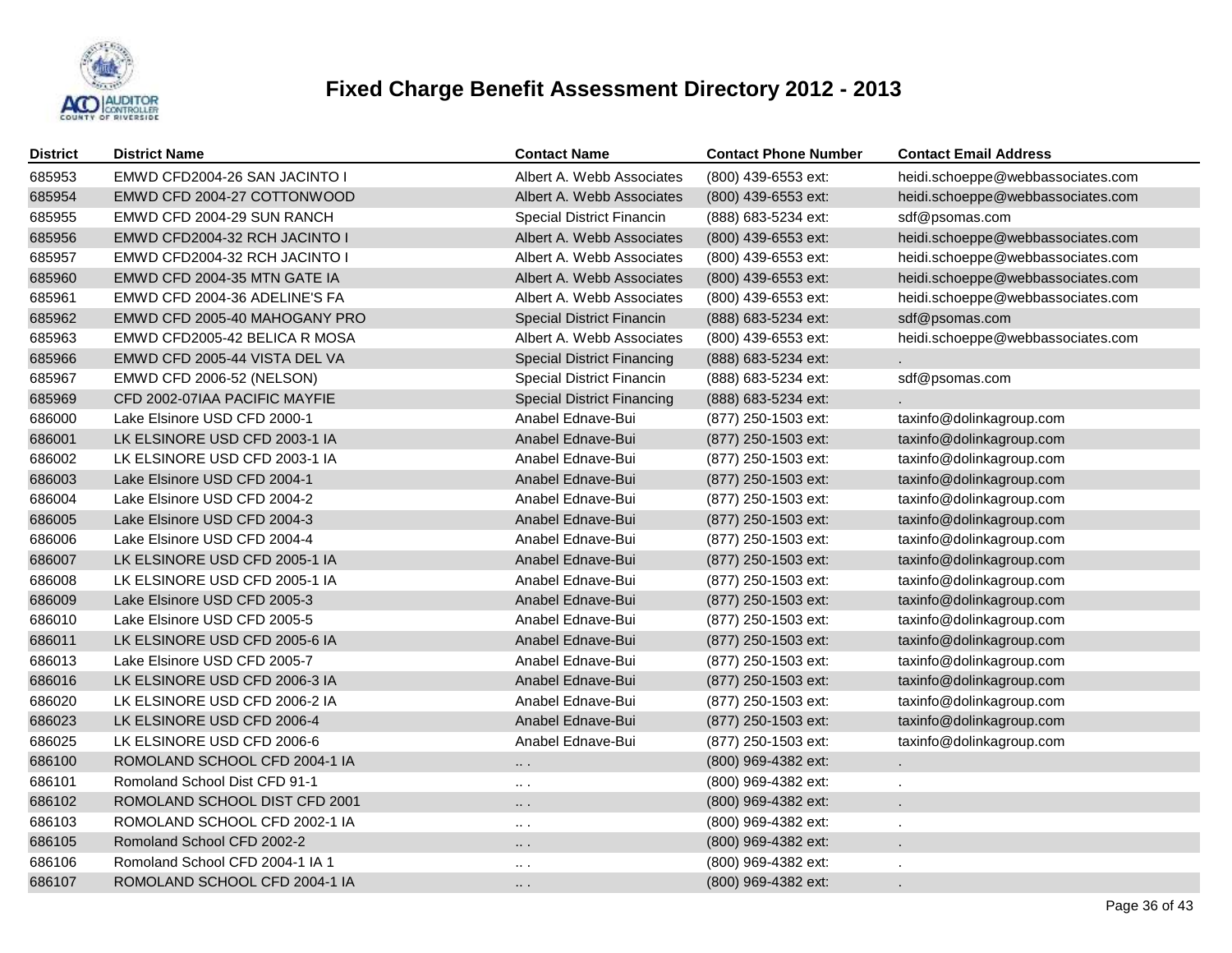

| District | <b>District Name</b>            | <b>Contact Name</b>               | <b>Contact Phone Number</b> | <b>Contact Email Address</b>      |
|----------|---------------------------------|-----------------------------------|-----------------------------|-----------------------------------|
| 685953   | EMWD CFD2004-26 SAN JACINTO I   | Albert A. Webb Associates         | (800) 439-6553 ext:         | heidi.schoeppe@webbassociates.com |
| 685954   | EMWD CFD 2004-27 COTTONWOOD     | Albert A. Webb Associates         | (800) 439-6553 ext:         | heidi.schoeppe@webbassociates.com |
| 685955   | EMWD CFD 2004-29 SUN RANCH      | <b>Special District Financin</b>  | (888) 683-5234 ext:         | sdf@psomas.com                    |
| 685956   | EMWD CFD2004-32 RCH JACINTO I   | Albert A. Webb Associates         | (800) 439-6553 ext:         | heidi.schoeppe@webbassociates.com |
| 685957   | EMWD CFD2004-32 RCH JACINTO I   | Albert A. Webb Associates         | (800) 439-6553 ext:         | heidi.schoeppe@webbassociates.com |
| 685960   | EMWD CFD 2004-35 MTN GATE IA    | Albert A. Webb Associates         | (800) 439-6553 ext:         | heidi.schoeppe@webbassociates.com |
| 685961   | EMWD CFD 2004-36 ADELINE'S FA   | Albert A. Webb Associates         | (800) 439-6553 ext:         | heidi.schoeppe@webbassociates.com |
| 685962   | EMWD CFD 2005-40 MAHOGANY PRO   | <b>Special District Financin</b>  | (888) 683-5234 ext:         | sdf@psomas.com                    |
| 685963   | EMWD CFD2005-42 BELICA R MOSA   | Albert A. Webb Associates         | (800) 439-6553 ext:         | heidi.schoeppe@webbassociates.com |
| 685966   | EMWD CFD 2005-44 VISTA DEL VA   | <b>Special District Financing</b> | (888) 683-5234 ext:         |                                   |
| 685967   | EMWD CFD 2006-52 (NELSON)       | Special District Financin         | (888) 683-5234 ext:         | sdf@psomas.com                    |
| 685969   | CFD 2002-07IAA PACIFIC MAYFIE   | <b>Special District Financing</b> | (888) 683-5234 ext:         |                                   |
| 686000   | Lake Elsinore USD CFD 2000-1    | Anabel Ednave-Bui                 | (877) 250-1503 ext:         | taxinfo@dolinkagroup.com          |
| 686001   | LK ELSINORE USD CFD 2003-1 IA   | Anabel Ednave-Bui                 | (877) 250-1503 ext:         | taxinfo@dolinkagroup.com          |
| 686002   | LK ELSINORE USD CFD 2003-1 IA   | Anabel Ednave-Bui                 | (877) 250-1503 ext:         | taxinfo@dolinkagroup.com          |
| 686003   | Lake Elsinore USD CFD 2004-1    | Anabel Ednave-Bui                 | (877) 250-1503 ext:         | taxinfo@dolinkagroup.com          |
| 686004   | Lake Elsinore USD CFD 2004-2    | Anabel Ednave-Bui                 | (877) 250-1503 ext:         | taxinfo@dolinkagroup.com          |
| 686005   | Lake Elsinore USD CFD 2004-3    | Anabel Ednave-Bui                 | (877) 250-1503 ext:         | taxinfo@dolinkagroup.com          |
| 686006   | Lake Elsinore USD CFD 2004-4    | Anabel Ednave-Bui                 | (877) 250-1503 ext:         | taxinfo@dolinkagroup.com          |
| 686007   | LK ELSINORE USD CFD 2005-1 IA   | Anabel Ednave-Bui                 | (877) 250-1503 ext:         | taxinfo@dolinkagroup.com          |
| 686008   | LK ELSINORE USD CFD 2005-1 IA   | Anabel Ednave-Bui                 | (877) 250-1503 ext:         | taxinfo@dolinkagroup.com          |
| 686009   | Lake Elsinore USD CFD 2005-3    | Anabel Ednave-Bui                 | (877) 250-1503 ext:         | taxinfo@dolinkagroup.com          |
| 686010   | Lake Elsinore USD CFD 2005-5    | Anabel Ednave-Bui                 | (877) 250-1503 ext:         | taxinfo@dolinkagroup.com          |
| 686011   | LK ELSINORE USD CFD 2005-6 IA   | Anabel Ednave-Bui                 | (877) 250-1503 ext:         | taxinfo@dolinkagroup.com          |
| 686013   | Lake Elsinore USD CFD 2005-7    | Anabel Ednave-Bui                 | (877) 250-1503 ext:         | taxinfo@dolinkagroup.com          |
| 686016   | LK ELSINORE USD CFD 2006-3 IA   | Anabel Ednave-Bui                 | (877) 250-1503 ext:         | taxinfo@dolinkagroup.com          |
| 686020   | LK ELSINORE USD CFD 2006-2 IA   | Anabel Ednave-Bui                 | (877) 250-1503 ext:         | taxinfo@dolinkagroup.com          |
| 686023   | LK ELSINORE USD CFD 2006-4      | Anabel Ednave-Bui                 | (877) 250-1503 ext:         | taxinfo@dolinkagroup.com          |
| 686025   | LK ELSINORE USD CFD 2006-6      | Anabel Ednave-Bui                 | (877) 250-1503 ext:         | taxinfo@dolinkagroup.com          |
| 686100   | ROMOLAND SCHOOL CFD 2004-1 IA   | $\ldots$ .                        | (800) 969-4382 ext:         |                                   |
| 686101   | Romoland School Dist CFD 91-1   | $\sim$ $\sim$                     | (800) 969-4382 ext:         |                                   |
| 686102   | ROMOLAND SCHOOL DIST CFD 2001   | $\cdots$                          | (800) 969-4382 ext:         |                                   |
| 686103   | ROMOLAND SCHOOL CFD 2002-1 IA   | $\cdots$                          | (800) 969-4382 ext:         |                                   |
| 686105   | Romoland School CFD 2002-2      | $\ldots$ .                        | (800) 969-4382 ext:         |                                   |
| 686106   | Romoland School CFD 2004-1 IA 1 | $\cdots$                          | (800) 969-4382 ext:         |                                   |
| 686107   | ROMOLAND SCHOOL CFD 2004-1 IA   | $\cdots$                          | (800) 969-4382 ext:         |                                   |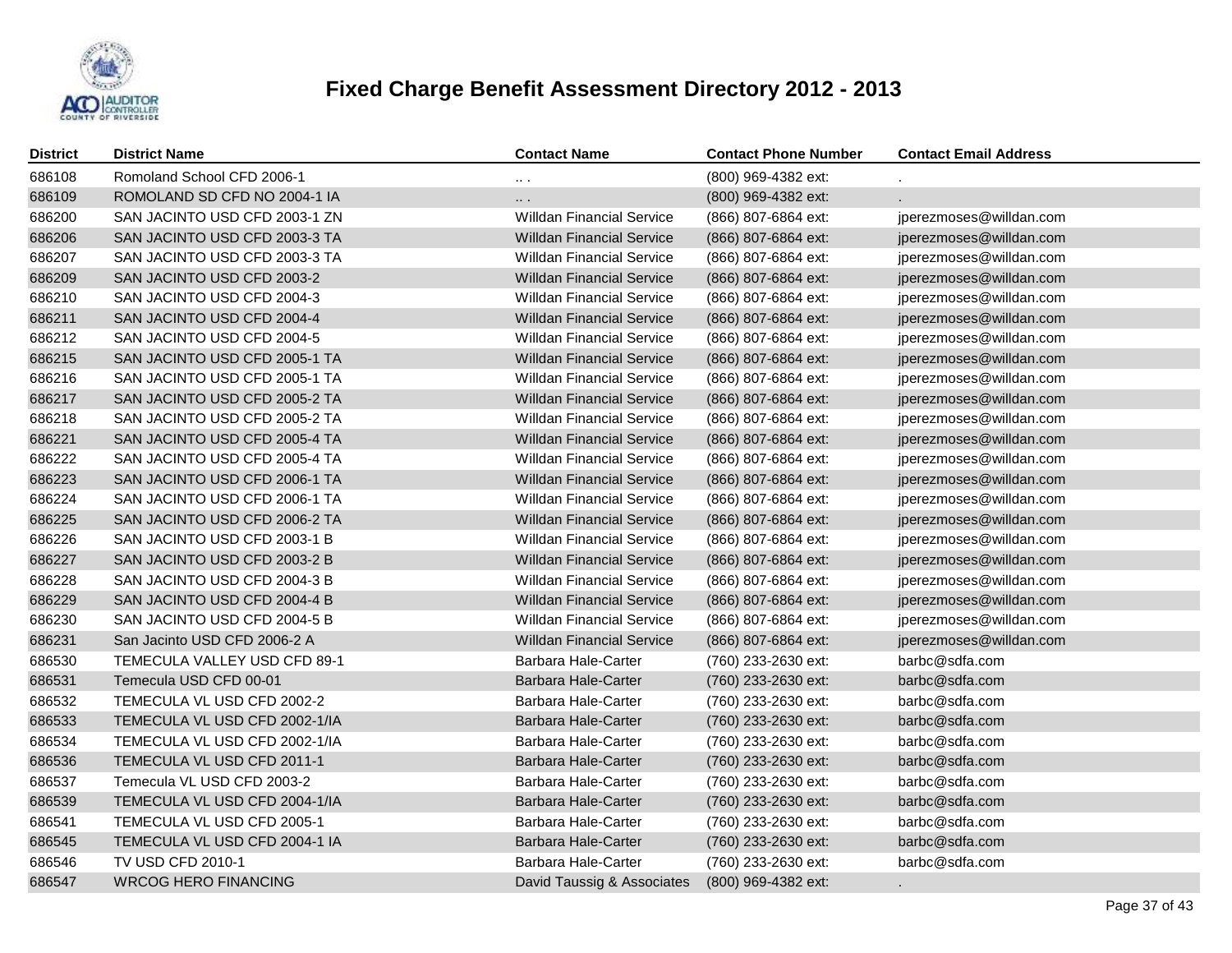

| <b>District</b> | <b>District Name</b>          | <b>Contact Name</b>              | <b>Contact Phone Number</b> | <b>Contact Email Address</b> |
|-----------------|-------------------------------|----------------------------------|-----------------------------|------------------------------|
| 686108          | Romoland School CFD 2006-1    | $\cdots$                         | (800) 969-4382 ext:         |                              |
| 686109          | ROMOLAND SD CFD NO 2004-1 IA  | $\cdots$                         | (800) 969-4382 ext:         |                              |
| 686200          | SAN JACINTO USD CFD 2003-1 ZN | <b>Willdan Financial Service</b> | (866) 807-6864 ext:         | jperezmoses@willdan.com      |
| 686206          | SAN JACINTO USD CFD 2003-3 TA | <b>Willdan Financial Service</b> | (866) 807-6864 ext:         | jperezmoses@willdan.com      |
| 686207          | SAN JACINTO USD CFD 2003-3 TA | <b>Willdan Financial Service</b> | (866) 807-6864 ext:         | jperezmoses@willdan.com      |
| 686209          | SAN JACINTO USD CFD 2003-2    | <b>Willdan Financial Service</b> | (866) 807-6864 ext:         | jperezmoses@willdan.com      |
| 686210          | SAN JACINTO USD CFD 2004-3    | <b>Willdan Financial Service</b> | (866) 807-6864 ext:         | jperezmoses@willdan.com      |
| 686211          | SAN JACINTO USD CFD 2004-4    | <b>Willdan Financial Service</b> | (866) 807-6864 ext:         | jperezmoses@willdan.com      |
| 686212          | SAN JACINTO USD CFD 2004-5    | <b>Willdan Financial Service</b> | (866) 807-6864 ext:         | jperezmoses@willdan.com      |
| 686215          | SAN JACINTO USD CFD 2005-1 TA | <b>Willdan Financial Service</b> | (866) 807-6864 ext:         | jperezmoses@willdan.com      |
| 686216          | SAN JACINTO USD CFD 2005-1 TA | <b>Willdan Financial Service</b> | (866) 807-6864 ext:         | jperezmoses@willdan.com      |
| 686217          | SAN JACINTO USD CFD 2005-2 TA | <b>Willdan Financial Service</b> | (866) 807-6864 ext:         | jperezmoses@willdan.com      |
| 686218          | SAN JACINTO USD CFD 2005-2 TA | <b>Willdan Financial Service</b> | (866) 807-6864 ext:         | jperezmoses@willdan.com      |
| 686221          | SAN JACINTO USD CFD 2005-4 TA | <b>Willdan Financial Service</b> | (866) 807-6864 ext:         | jperezmoses@willdan.com      |
| 686222          | SAN JACINTO USD CFD 2005-4 TA | <b>Willdan Financial Service</b> | (866) 807-6864 ext:         | jperezmoses@willdan.com      |
| 686223          | SAN JACINTO USD CFD 2006-1 TA | <b>Willdan Financial Service</b> | (866) 807-6864 ext:         | jperezmoses@willdan.com      |
| 686224          | SAN JACINTO USD CFD 2006-1 TA | <b>Willdan Financial Service</b> | (866) 807-6864 ext:         | jperezmoses@willdan.com      |
| 686225          | SAN JACINTO USD CFD 2006-2 TA | <b>Willdan Financial Service</b> | (866) 807-6864 ext:         | jperezmoses@willdan.com      |
| 686226          | SAN JACINTO USD CFD 2003-1 B  | <b>Willdan Financial Service</b> | (866) 807-6864 ext:         | jperezmoses@willdan.com      |
| 686227          | SAN JACINTO USD CFD 2003-2 B  | <b>Willdan Financial Service</b> | (866) 807-6864 ext:         | jperezmoses@willdan.com      |
| 686228          | SAN JACINTO USD CFD 2004-3 B  | Willdan Financial Service        | (866) 807-6864 ext:         | jperezmoses@willdan.com      |
| 686229          | SAN JACINTO USD CFD 2004-4 B  | Willdan Financial Service        | (866) 807-6864 ext:         | jperezmoses@willdan.com      |
| 686230          | SAN JACINTO USD CFD 2004-5 B  | <b>Willdan Financial Service</b> | (866) 807-6864 ext:         | jperezmoses@willdan.com      |
| 686231          | San Jacinto USD CFD 2006-2 A  | <b>Willdan Financial Service</b> | (866) 807-6864 ext:         | jperezmoses@willdan.com      |
| 686530          | TEMECULA VALLEY USD CFD 89-1  | Barbara Hale-Carter              | (760) 233-2630 ext:         | barbc@sdfa.com               |
| 686531          | Temecula USD CFD 00-01        | Barbara Hale-Carter              | (760) 233-2630 ext:         | barbc@sdfa.com               |
| 686532          | TEMECULA VL USD CFD 2002-2    | Barbara Hale-Carter              | (760) 233-2630 ext:         | barbc@sdfa.com               |
| 686533          | TEMECULA VL USD CFD 2002-1/IA | Barbara Hale-Carter              | (760) 233-2630 ext:         | barbc@sdfa.com               |
| 686534          | TEMECULA VL USD CFD 2002-1/IA | Barbara Hale-Carter              | (760) 233-2630 ext:         | barbc@sdfa.com               |
| 686536          | TEMECULA VL USD CFD 2011-1    | Barbara Hale-Carter              | (760) 233-2630 ext:         | barbc@sdfa.com               |
| 686537          | Temecula VL USD CFD 2003-2    | Barbara Hale-Carter              | (760) 233-2630 ext:         | barbc@sdfa.com               |
| 686539          | TEMECULA VL USD CFD 2004-1/IA | Barbara Hale-Carter              | (760) 233-2630 ext:         | barbc@sdfa.com               |
| 686541          | TEMECULA VL USD CFD 2005-1    | Barbara Hale-Carter              | (760) 233-2630 ext:         | barbc@sdfa.com               |
| 686545          | TEMECULA VL USD CFD 2004-1 IA | Barbara Hale-Carter              | (760) 233-2630 ext:         | barbc@sdfa.com               |
| 686546          | TV USD CFD 2010-1             | Barbara Hale-Carter              | (760) 233-2630 ext:         | barbc@sdfa.com               |
| 686547          | <b>WRCOG HERO FINANCING</b>   | David Taussig & Associates       | (800) 969-4382 ext:         |                              |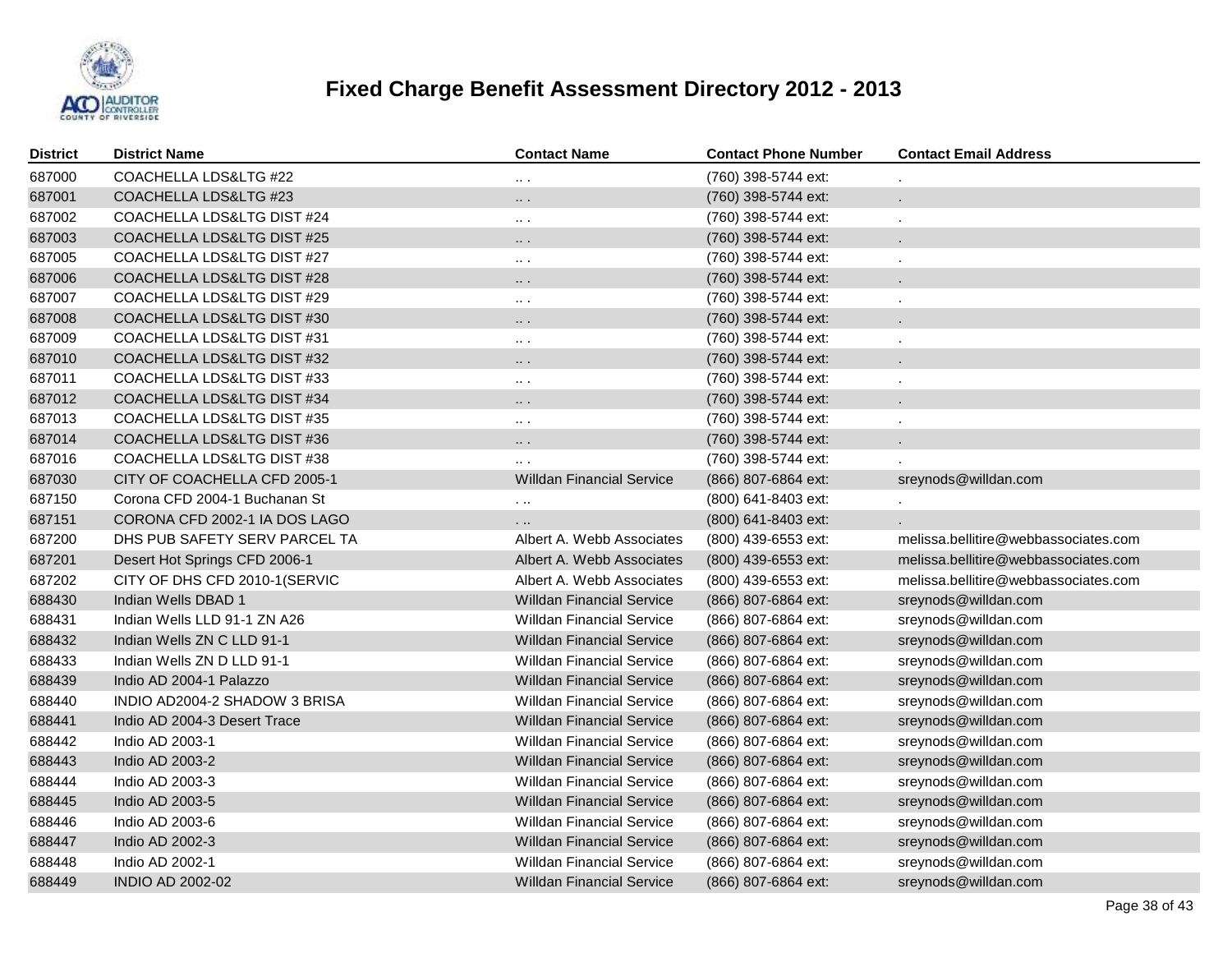

| <b>District</b> | <b>District Name</b>          | <b>Contact Name</b>              | <b>Contact Phone Number</b> | <b>Contact Email Address</b>         |
|-----------------|-------------------------------|----------------------------------|-----------------------------|--------------------------------------|
| 687000          | COACHELLA LDS&LTG #22         | $\cdots$                         | (760) 398-5744 ext:         |                                      |
| 687001          | COACHELLA LDS&LTG #23         | $\cdots$                         | (760) 398-5744 ext:         | $\blacksquare$                       |
| 687002          | COACHELLA LDS&LTG DIST #24    | $\cdots$                         | (760) 398-5744 ext:         | $\cdot$                              |
| 687003          | COACHELLA LDS&LTG DIST #25    | $\cdots$ .                       | (760) 398-5744 ext:         |                                      |
| 687005          | COACHELLA LDS&LTG DIST #27    | $\cdots$                         | (760) 398-5744 ext:         |                                      |
| 687006          | COACHELLA LDS&LTG DIST #28    | $\ldots$ .                       | (760) 398-5744 ext:         |                                      |
| 687007          | COACHELLA LDS&LTG DIST #29    | $\sim$ $\sim$                    | (760) 398-5744 ext:         |                                      |
| 687008          | COACHELLA LDS&LTG DIST #30    | $\ldots$ .                       | (760) 398-5744 ext:         |                                      |
| 687009          | COACHELLA LDS&LTG DIST #31    | $\sim$ $\sim$                    | (760) 398-5744 ext:         |                                      |
| 687010          | COACHELLA LDS&LTG DIST #32    | $\ldots$ .                       | (760) 398-5744 ext:         |                                      |
| 687011          | COACHELLA LDS&LTG DIST #33    | $\sim$ $\sim$                    | (760) 398-5744 ext:         |                                      |
| 687012          | COACHELLA LDS&LTG DIST #34    | $\ldots$ .                       | (760) 398-5744 ext:         |                                      |
| 687013          | COACHELLA LDS&LTG DIST #35    | $\sim$ $\sim$                    | (760) 398-5744 ext:         |                                      |
| 687014          | COACHELLA LDS&LTG DIST #36    | $\cdots$ .                       | (760) 398-5744 ext:         |                                      |
| 687016          | COACHELLA LDS&LTG DIST #38    | $\sim$ $\sim$                    | (760) 398-5744 ext:         |                                      |
| 687030          | CITY OF COACHELLA CFD 2005-1  | <b>Willdan Financial Service</b> | (866) 807-6864 ext:         | sreynods@willdan.com                 |
| 687150          | Corona CFD 2004-1 Buchanan St | $\sim$ $\sim$                    | (800) 641-8403 ext:         |                                      |
| 687151          | CORONA CFD 2002-1 IA DOS LAGO | $\cdots$                         | (800) 641-8403 ext:         |                                      |
| 687200          | DHS PUB SAFETY SERV PARCEL TA | Albert A. Webb Associates        | (800) 439-6553 ext:         | melissa.bellitire@webbassociates.com |
| 687201          | Desert Hot Springs CFD 2006-1 | Albert A. Webb Associates        | (800) 439-6553 ext:         | melissa.bellitire@webbassociates.com |
| 687202          | CITY OF DHS CFD 2010-1(SERVIC | Albert A. Webb Associates        | $(800)$ 439-6553 ext:       | melissa.bellitire@webbassociates.com |
| 688430          | Indian Wells DBAD 1           | <b>Willdan Financial Service</b> | (866) 807-6864 ext:         | sreynods@willdan.com                 |
| 688431          | Indian Wells LLD 91-1 ZN A26  | <b>Willdan Financial Service</b> | (866) 807-6864 ext:         | sreynods@willdan.com                 |
| 688432          | Indian Wells ZN C LLD 91-1    | <b>Willdan Financial Service</b> | (866) 807-6864 ext:         | sreynods@willdan.com                 |
| 688433          | Indian Wells ZN D LLD 91-1    | <b>Willdan Financial Service</b> | (866) 807-6864 ext:         | sreynods@willdan.com                 |
| 688439          | Indio AD 2004-1 Palazzo       | <b>Willdan Financial Service</b> | (866) 807-6864 ext:         | sreynods@willdan.com                 |
| 688440          | INDIO AD2004-2 SHADOW 3 BRISA | <b>Willdan Financial Service</b> | (866) 807-6864 ext:         | sreynods@willdan.com                 |
| 688441          | Indio AD 2004-3 Desert Trace  | <b>Willdan Financial Service</b> | (866) 807-6864 ext:         | sreynods@willdan.com                 |
| 688442          | Indio AD 2003-1               | <b>Willdan Financial Service</b> | (866) 807-6864 ext:         | sreynods@willdan.com                 |
| 688443          | Indio AD 2003-2               | <b>Willdan Financial Service</b> | (866) 807-6864 ext:         | sreynods@willdan.com                 |
| 688444          | Indio AD 2003-3               | <b>Willdan Financial Service</b> | (866) 807-6864 ext:         | sreynods@willdan.com                 |
| 688445          | Indio AD 2003-5               | <b>Willdan Financial Service</b> | (866) 807-6864 ext:         | sreynods@willdan.com                 |
| 688446          | Indio AD 2003-6               | <b>Willdan Financial Service</b> | (866) 807-6864 ext:         | sreynods@willdan.com                 |
| 688447          | Indio AD 2002-3               | <b>Willdan Financial Service</b> | (866) 807-6864 ext:         | sreynods@willdan.com                 |
| 688448          | Indio AD 2002-1               | <b>Willdan Financial Service</b> | (866) 807-6864 ext:         | sreynods@willdan.com                 |
| 688449          | <b>INDIO AD 2002-02</b>       | <b>Willdan Financial Service</b> | (866) 807-6864 ext:         | sreynods@willdan.com                 |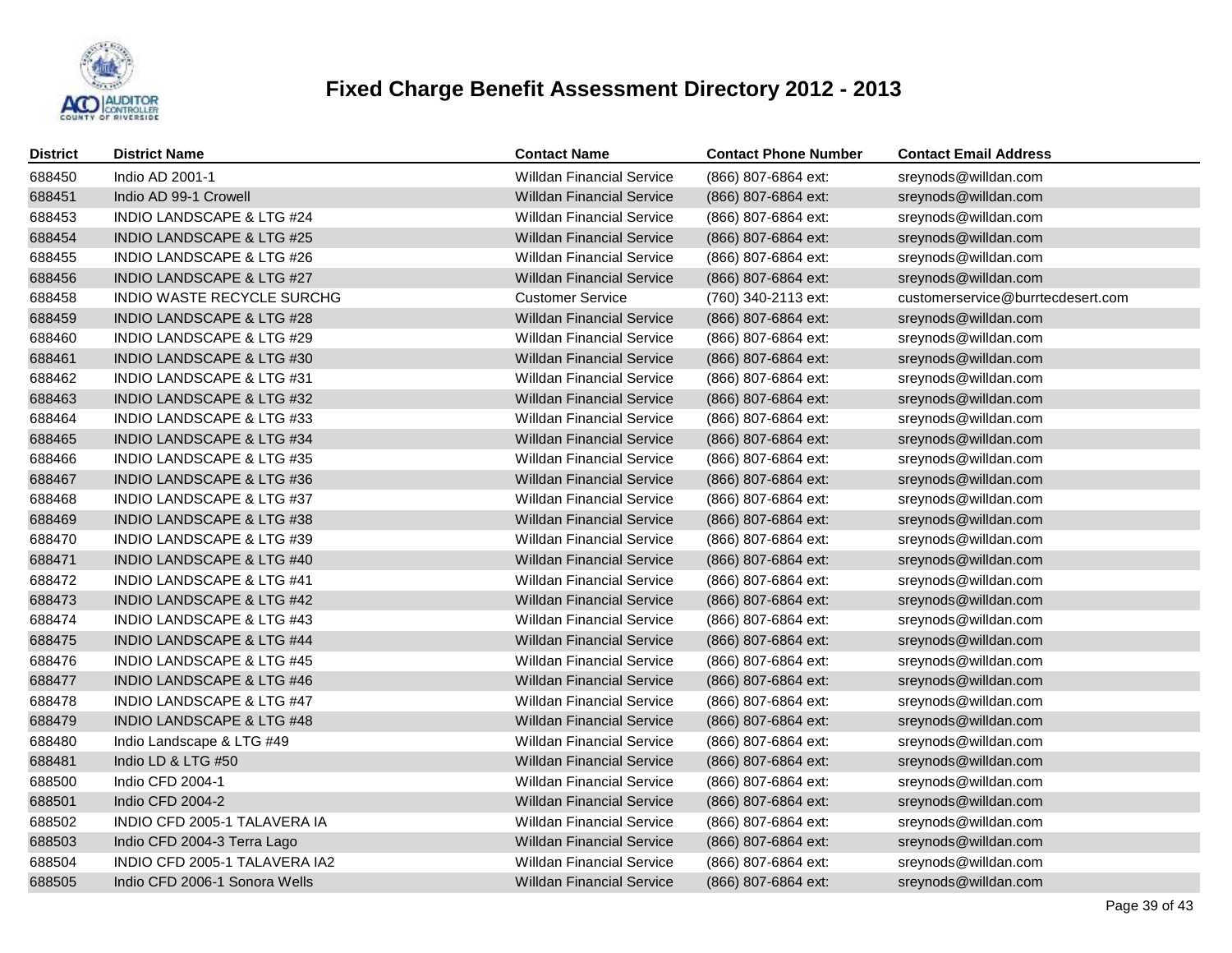

| <b>District</b> | <b>District Name</b>                 | <b>Contact Name</b>              | <b>Contact Phone Number</b> | <b>Contact Email Address</b>      |
|-----------------|--------------------------------------|----------------------------------|-----------------------------|-----------------------------------|
| 688450          | Indio AD 2001-1                      | <b>Willdan Financial Service</b> | (866) 807-6864 ext:         | sreynods@willdan.com              |
| 688451          | Indio AD 99-1 Crowell                | <b>Willdan Financial Service</b> | (866) 807-6864 ext:         | sreynods@willdan.com              |
| 688453          | <b>INDIO LANDSCAPE &amp; LTG #24</b> | <b>Willdan Financial Service</b> | (866) 807-6864 ext:         | sreynods@willdan.com              |
| 688454          | <b>INDIO LANDSCAPE &amp; LTG #25</b> | <b>Willdan Financial Service</b> | (866) 807-6864 ext:         | sreynods@willdan.com              |
| 688455          | <b>INDIO LANDSCAPE &amp; LTG #26</b> | <b>Willdan Financial Service</b> | (866) 807-6864 ext:         | sreynods@willdan.com              |
| 688456          | INDIO LANDSCAPE & LTG #27            | <b>Willdan Financial Service</b> | (866) 807-6864 ext:         | sreynods@willdan.com              |
| 688458          | INDIO WASTE RECYCLE SURCHG           | <b>Customer Service</b>          | (760) 340-2113 ext:         | customerservice@burrtecdesert.com |
| 688459          | <b>INDIO LANDSCAPE &amp; LTG #28</b> | <b>Willdan Financial Service</b> | (866) 807-6864 ext:         | sreynods@willdan.com              |
| 688460          | INDIO LANDSCAPE & LTG #29            | <b>Willdan Financial Service</b> | (866) 807-6864 ext:         | sreynods@willdan.com              |
| 688461          | <b>INDIO LANDSCAPE &amp; LTG #30</b> | <b>Willdan Financial Service</b> | (866) 807-6864 ext:         | sreynods@willdan.com              |
| 688462          | INDIO LANDSCAPE & LTG #31            | <b>Willdan Financial Service</b> | (866) 807-6864 ext:         | sreynods@willdan.com              |
| 688463          | INDIO LANDSCAPE & LTG #32            | <b>Willdan Financial Service</b> | (866) 807-6864 ext:         | sreynods@willdan.com              |
| 688464          | <b>INDIO LANDSCAPE &amp; LTG #33</b> | <b>Willdan Financial Service</b> | (866) 807-6864 ext:         | sreynods@willdan.com              |
| 688465          | <b>INDIO LANDSCAPE &amp; LTG #34</b> | <b>Willdan Financial Service</b> | (866) 807-6864 ext:         | sreynods@willdan.com              |
| 688466          | <b>INDIO LANDSCAPE &amp; LTG #35</b> | <b>Willdan Financial Service</b> | (866) 807-6864 ext:         | sreynods@willdan.com              |
| 688467          | <b>INDIO LANDSCAPE &amp; LTG #36</b> | <b>Willdan Financial Service</b> | (866) 807-6864 ext:         | sreynods@willdan.com              |
| 688468          | <b>INDIO LANDSCAPE &amp; LTG #37</b> | <b>Willdan Financial Service</b> | (866) 807-6864 ext:         | sreynods@willdan.com              |
| 688469          | <b>INDIO LANDSCAPE &amp; LTG #38</b> | <b>Willdan Financial Service</b> | (866) 807-6864 ext:         | sreynods@willdan.com              |
| 688470          | <b>INDIO LANDSCAPE &amp; LTG #39</b> | <b>Willdan Financial Service</b> | (866) 807-6864 ext:         | sreynods@willdan.com              |
| 688471          | <b>INDIO LANDSCAPE &amp; LTG #40</b> | <b>Willdan Financial Service</b> | (866) 807-6864 ext:         | sreynods@willdan.com              |
| 688472          | INDIO LANDSCAPE & LTG #41            | <b>Willdan Financial Service</b> | (866) 807-6864 ext:         | sreynods@willdan.com              |
| 688473          | INDIO LANDSCAPE & LTG #42            | <b>Willdan Financial Service</b> | (866) 807-6864 ext:         | sreynods@willdan.com              |
| 688474          | <b>INDIO LANDSCAPE &amp; LTG #43</b> | <b>Willdan Financial Service</b> | (866) 807-6864 ext:         | sreynods@willdan.com              |
| 688475          | INDIO LANDSCAPE & LTG #44            | <b>Willdan Financial Service</b> | (866) 807-6864 ext:         | sreynods@willdan.com              |
| 688476          | <b>INDIO LANDSCAPE &amp; LTG #45</b> | <b>Willdan Financial Service</b> | (866) 807-6864 ext:         | sreynods@willdan.com              |
| 688477          | <b>INDIO LANDSCAPE &amp; LTG #46</b> | <b>Willdan Financial Service</b> | (866) 807-6864 ext:         | sreynods@willdan.com              |
| 688478          | <b>INDIO LANDSCAPE &amp; LTG #47</b> | <b>Willdan Financial Service</b> | (866) 807-6864 ext:         | sreynods@willdan.com              |
| 688479          | <b>INDIO LANDSCAPE &amp; LTG #48</b> | <b>Willdan Financial Service</b> | (866) 807-6864 ext:         | sreynods@willdan.com              |
| 688480          | Indio Landscape & LTG #49            | <b>Willdan Financial Service</b> | (866) 807-6864 ext:         | sreynods@willdan.com              |
| 688481          | Indio LD & LTG #50                   | <b>Willdan Financial Service</b> | (866) 807-6864 ext:         | sreynods@willdan.com              |
| 688500          | Indio CFD 2004-1                     | <b>Willdan Financial Service</b> | (866) 807-6864 ext:         | sreynods@willdan.com              |
| 688501          | Indio CFD 2004-2                     | <b>Willdan Financial Service</b> | (866) 807-6864 ext:         | sreynods@willdan.com              |
| 688502          | INDIO CFD 2005-1 TALAVERA IA         | <b>Willdan Financial Service</b> | (866) 807-6864 ext:         | sreynods@willdan.com              |
| 688503          | Indio CFD 2004-3 Terra Lago          | <b>Willdan Financial Service</b> | (866) 807-6864 ext:         | sreynods@willdan.com              |
| 688504          | INDIO CFD 2005-1 TALAVERA IA2        | <b>Willdan Financial Service</b> | (866) 807-6864 ext:         | sreynods@willdan.com              |
| 688505          | Indio CFD 2006-1 Sonora Wells        | <b>Willdan Financial Service</b> | (866) 807-6864 ext:         | sreynods@willdan.com              |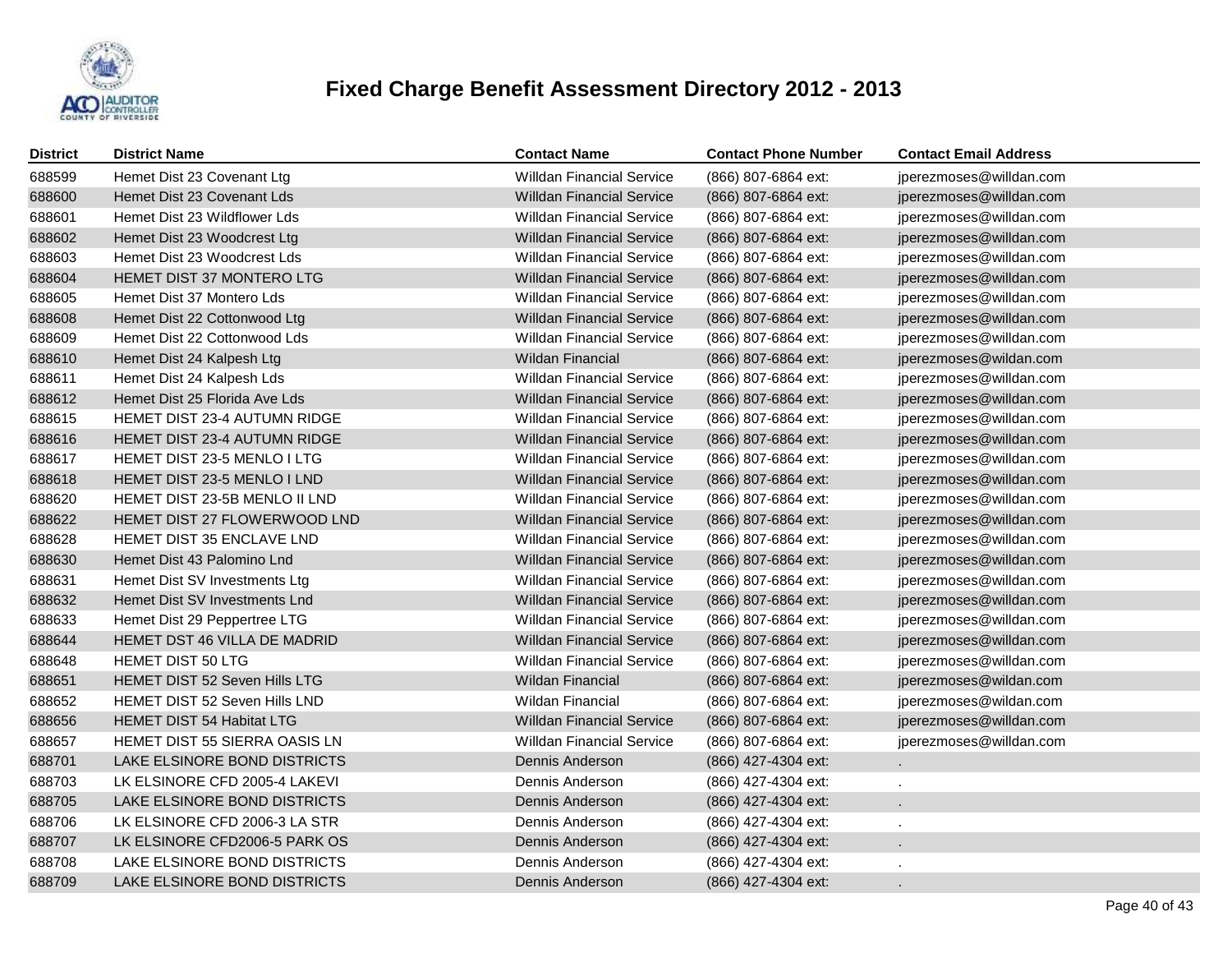

| <b>District</b> | <b>District Name</b>             | <b>Contact Name</b>              | <b>Contact Phone Number</b> | <b>Contact Email Address</b> |
|-----------------|----------------------------------|----------------------------------|-----------------------------|------------------------------|
| 688599          | Hemet Dist 23 Covenant Ltg       | <b>Willdan Financial Service</b> | (866) 807-6864 ext:         | jperezmoses@willdan.com      |
| 688600          | Hemet Dist 23 Covenant Lds       | <b>Willdan Financial Service</b> | (866) 807-6864 ext:         | jperezmoses@willdan.com      |
| 688601          | Hemet Dist 23 Wildflower Lds     | <b>Willdan Financial Service</b> | (866) 807-6864 ext:         | jperezmoses@willdan.com      |
| 688602          | Hemet Dist 23 Woodcrest Ltg      | <b>Willdan Financial Service</b> | (866) 807-6864 ext:         | jperezmoses@willdan.com      |
| 688603          | Hemet Dist 23 Woodcrest Lds      | <b>Willdan Financial Service</b> | (866) 807-6864 ext:         | jperezmoses@willdan.com      |
| 688604          | HEMET DIST 37 MONTERO LTG        | <b>Willdan Financial Service</b> | (866) 807-6864 ext:         | jperezmoses@willdan.com      |
| 688605          | Hemet Dist 37 Montero Lds        | <b>Willdan Financial Service</b> | (866) 807-6864 ext:         | jperezmoses@willdan.com      |
| 688608          | Hemet Dist 22 Cottonwood Ltg     | <b>Willdan Financial Service</b> | (866) 807-6864 ext:         | jperezmoses@willdan.com      |
| 688609          | Hemet Dist 22 Cottonwood Lds     | <b>Willdan Financial Service</b> | (866) 807-6864 ext:         | jperezmoses@willdan.com      |
| 688610          | Hemet Dist 24 Kalpesh Ltg        | <b>Wildan Financial</b>          | (866) 807-6864 ext:         | jperezmoses@wildan.com       |
| 688611          | Hemet Dist 24 Kalpesh Lds        | <b>Willdan Financial Service</b> | (866) 807-6864 ext:         | jperezmoses@willdan.com      |
| 688612          | Hemet Dist 25 Florida Ave Lds    | <b>Willdan Financial Service</b> | (866) 807-6864 ext:         | jperezmoses@willdan.com      |
| 688615          | HEMET DIST 23-4 AUTUMN RIDGE     | <b>Willdan Financial Service</b> | (866) 807-6864 ext:         | jperezmoses@willdan.com      |
| 688616          | HEMET DIST 23-4 AUTUMN RIDGE     | <b>Willdan Financial Service</b> | (866) 807-6864 ext:         | jperezmoses@willdan.com      |
| 688617          | HEMET DIST 23-5 MENLO I LTG      | <b>Willdan Financial Service</b> | (866) 807-6864 ext:         | jperezmoses@willdan.com      |
| 688618          | HEMET DIST 23-5 MENLO I LND      | <b>Willdan Financial Service</b> | (866) 807-6864 ext:         | jperezmoses@willdan.com      |
| 688620          | HEMET DIST 23-5B MENLO II LND    | <b>Willdan Financial Service</b> | (866) 807-6864 ext:         | jperezmoses@willdan.com      |
| 688622          | HEMET DIST 27 FLOWERWOOD LND     | <b>Willdan Financial Service</b> | (866) 807-6864 ext:         | jperezmoses@willdan.com      |
| 688628          | HEMET DIST 35 ENCLAVE LND        | <b>Willdan Financial Service</b> | (866) 807-6864 ext:         | jperezmoses@willdan.com      |
| 688630          | Hemet Dist 43 Palomino Lnd       | <b>Willdan Financial Service</b> | (866) 807-6864 ext:         | jperezmoses@willdan.com      |
| 688631          | Hemet Dist SV Investments Ltg    | <b>Willdan Financial Service</b> | (866) 807-6864 ext:         | jperezmoses@willdan.com      |
| 688632          | Hemet Dist SV Investments Lnd    | <b>Willdan Financial Service</b> | (866) 807-6864 ext:         | jperezmoses@willdan.com      |
| 688633          | Hemet Dist 29 Peppertree LTG     | <b>Willdan Financial Service</b> | (866) 807-6864 ext:         | jperezmoses@willdan.com      |
| 688644          | HEMET DST 46 VILLA DE MADRID     | <b>Willdan Financial Service</b> | (866) 807-6864 ext:         | jperezmoses@willdan.com      |
| 688648          | HEMET DIST 50 LTG                | <b>Willdan Financial Service</b> | (866) 807-6864 ext:         | jperezmoses@willdan.com      |
| 688651          | HEMET DIST 52 Seven Hills LTG    | <b>Wildan Financial</b>          | (866) 807-6864 ext:         | jperezmoses@wildan.com       |
| 688652          | HEMET DIST 52 Seven Hills LND    | <b>Wildan Financial</b>          | (866) 807-6864 ext:         | jperezmoses@wildan.com       |
| 688656          | <b>HEMET DIST 54 Habitat LTG</b> | <b>Willdan Financial Service</b> | (866) 807-6864 ext:         | jperezmoses@willdan.com      |
| 688657          | HEMET DIST 55 SIERRA OASIS LN    | <b>Willdan Financial Service</b> | (866) 807-6864 ext:         | jperezmoses@willdan.com      |
| 688701          | LAKE ELSINORE BOND DISTRICTS     | Dennis Anderson                  | (866) 427-4304 ext:         |                              |
| 688703          | LK ELSINORE CFD 2005-4 LAKEVI    | Dennis Anderson                  | (866) 427-4304 ext:         |                              |
| 688705          | LAKE ELSINORE BOND DISTRICTS     | Dennis Anderson                  | (866) 427-4304 ext:         |                              |
| 688706          | LK ELSINORE CFD 2006-3 LA STR    | Dennis Anderson                  | (866) 427-4304 ext:         |                              |
| 688707          | LK ELSINORE CFD2006-5 PARK OS    | Dennis Anderson                  | (866) 427-4304 ext:         |                              |
| 688708          | LAKE ELSINORE BOND DISTRICTS     | Dennis Anderson                  | (866) 427-4304 ext:         |                              |
| 688709          | LAKE ELSINORE BOND DISTRICTS     | Dennis Anderson                  | (866) 427-4304 ext:         |                              |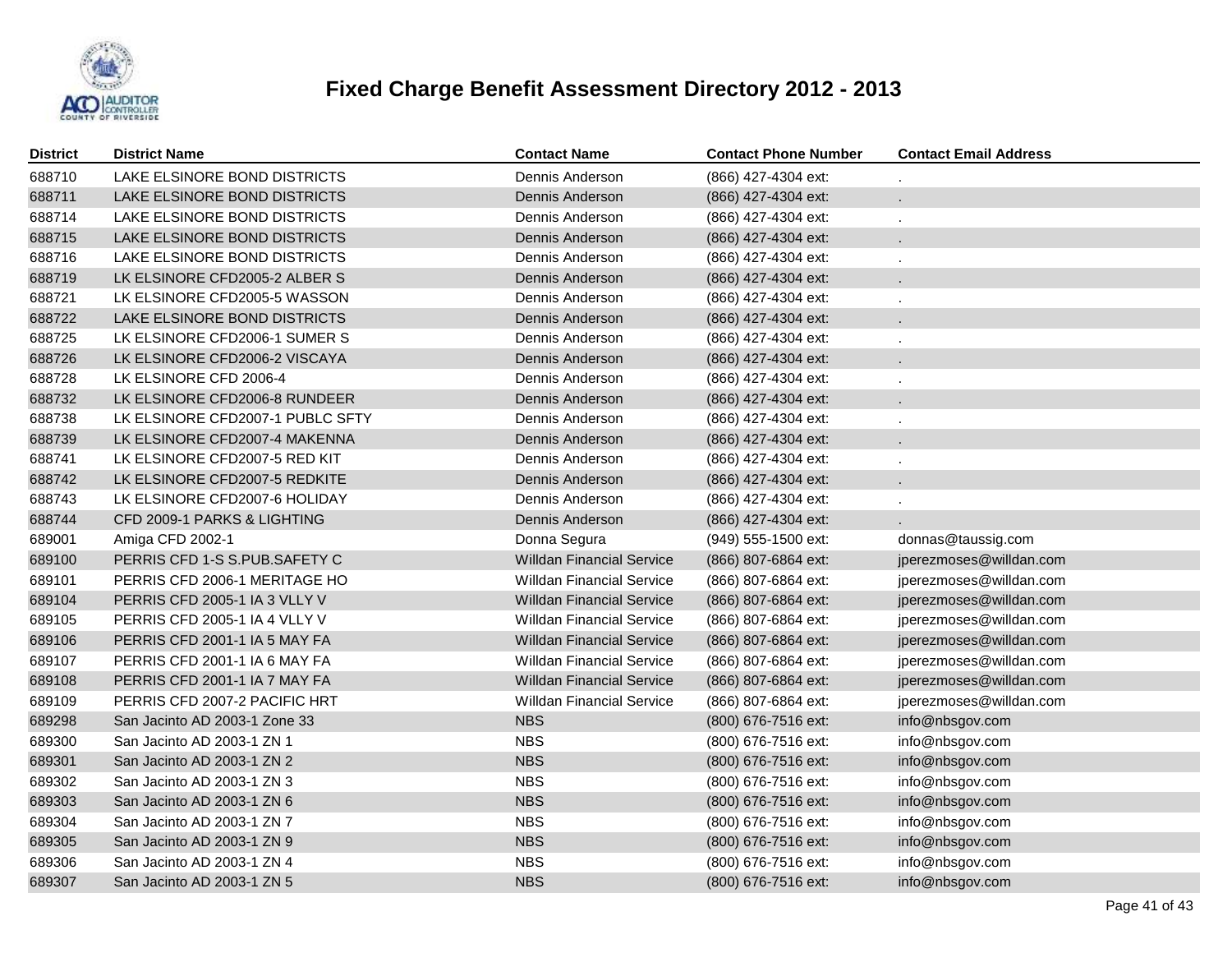

| District | <b>District Name</b>             | <b>Contact Name</b>              | <b>Contact Phone Number</b> | <b>Contact Email Address</b> |
|----------|----------------------------------|----------------------------------|-----------------------------|------------------------------|
| 688710   | LAKE ELSINORE BOND DISTRICTS     | Dennis Anderson                  | (866) 427-4304 ext:         |                              |
| 688711   | LAKE ELSINORE BOND DISTRICTS     | Dennis Anderson                  | (866) 427-4304 ext:         |                              |
| 688714   | LAKE ELSINORE BOND DISTRICTS     | Dennis Anderson                  | (866) 427-4304 ext:         |                              |
| 688715   | LAKE ELSINORE BOND DISTRICTS     | Dennis Anderson                  | (866) 427-4304 ext:         |                              |
| 688716   | LAKE ELSINORE BOND DISTRICTS     | Dennis Anderson                  | (866) 427-4304 ext:         |                              |
| 688719   | LK ELSINORE CFD2005-2 ALBER S    | Dennis Anderson                  | (866) 427-4304 ext:         |                              |
| 688721   | LK ELSINORE CFD2005-5 WASSON     | Dennis Anderson                  | (866) 427-4304 ext:         |                              |
| 688722   | LAKE ELSINORE BOND DISTRICTS     | Dennis Anderson                  | (866) 427-4304 ext:         |                              |
| 688725   | LK ELSINORE CFD2006-1 SUMER S    | Dennis Anderson                  | (866) 427-4304 ext:         |                              |
| 688726   | LK ELSINORE CFD2006-2 VISCAYA    | Dennis Anderson                  | (866) 427-4304 ext:         |                              |
| 688728   | LK ELSINORE CFD 2006-4           | Dennis Anderson                  | (866) 427-4304 ext:         |                              |
| 688732   | LK ELSINORE CFD2006-8 RUNDEER    | Dennis Anderson                  | (866) 427-4304 ext:         |                              |
| 688738   | LK ELSINORE CFD2007-1 PUBLC SFTY | Dennis Anderson                  | (866) 427-4304 ext:         |                              |
| 688739   | LK ELSINORE CFD2007-4 MAKENNA    | Dennis Anderson                  | (866) 427-4304 ext:         |                              |
| 688741   | LK ELSINORE CFD2007-5 RED KIT    | Dennis Anderson                  | (866) 427-4304 ext:         |                              |
| 688742   | LK ELSINORE CFD2007-5 REDKITE    | Dennis Anderson                  | (866) 427-4304 ext:         |                              |
| 688743   | LK ELSINORE CFD2007-6 HOLIDAY    | Dennis Anderson                  | (866) 427-4304 ext:         |                              |
| 688744   | CFD 2009-1 PARKS & LIGHTING      | Dennis Anderson                  | (866) 427-4304 ext:         |                              |
| 689001   | Amiga CFD 2002-1                 | Donna Segura                     | (949) 555-1500 ext:         | donnas@taussig.com           |
| 689100   | PERRIS CFD 1-S S.PUB.SAFETY C    | <b>Willdan Financial Service</b> | (866) 807-6864 ext:         | jperezmoses@willdan.com      |
| 689101   | PERRIS CFD 2006-1 MERITAGE HO    | Willdan Financial Service        | (866) 807-6864 ext:         | jperezmoses@willdan.com      |
| 689104   | PERRIS CFD 2005-1 IA 3 VLLY V    | <b>Willdan Financial Service</b> | (866) 807-6864 ext:         | jperezmoses@willdan.com      |
| 689105   | PERRIS CFD 2005-1 IA 4 VLLY V    | <b>Willdan Financial Service</b> | (866) 807-6864 ext:         | jperezmoses@willdan.com      |
| 689106   | PERRIS CFD 2001-1 IA 5 MAY FA    | <b>Willdan Financial Service</b> | (866) 807-6864 ext:         | jperezmoses@willdan.com      |
| 689107   | PERRIS CFD 2001-1 IA 6 MAY FA    | <b>Willdan Financial Service</b> | (866) 807-6864 ext:         | jperezmoses@willdan.com      |
| 689108   | PERRIS CFD 2001-1 IA 7 MAY FA    | <b>Willdan Financial Service</b> | (866) 807-6864 ext:         | jperezmoses@willdan.com      |
| 689109   | PERRIS CFD 2007-2 PACIFIC HRT    | <b>Willdan Financial Service</b> | (866) 807-6864 ext:         | jperezmoses@willdan.com      |
| 689298   | San Jacinto AD 2003-1 Zone 33    | <b>NBS</b>                       | (800) 676-7516 ext:         | info@nbsgov.com              |
| 689300   | San Jacinto AD 2003-1 ZN 1       | <b>NBS</b>                       | (800) 676-7516 ext:         | info@nbsgov.com              |
| 689301   | San Jacinto AD 2003-1 ZN 2       | <b>NBS</b>                       | (800) 676-7516 ext:         | info@nbsgov.com              |
| 689302   | San Jacinto AD 2003-1 ZN 3       | <b>NBS</b>                       | (800) 676-7516 ext:         | info@nbsgov.com              |
| 689303   | San Jacinto AD 2003-1 ZN 6       | <b>NBS</b>                       | (800) 676-7516 ext:         | info@nbsgov.com              |
| 689304   | San Jacinto AD 2003-1 ZN 7       | <b>NBS</b>                       | (800) 676-7516 ext:         | info@nbsgov.com              |
| 689305   | San Jacinto AD 2003-1 ZN 9       | <b>NBS</b>                       | (800) 676-7516 ext:         | info@nbsgov.com              |
| 689306   | San Jacinto AD 2003-1 ZN 4       | <b>NBS</b>                       | (800) 676-7516 ext:         | info@nbsgov.com              |
| 689307   | San Jacinto AD 2003-1 ZN 5       | <b>NBS</b>                       | (800) 676-7516 ext:         | info@nbsgov.com              |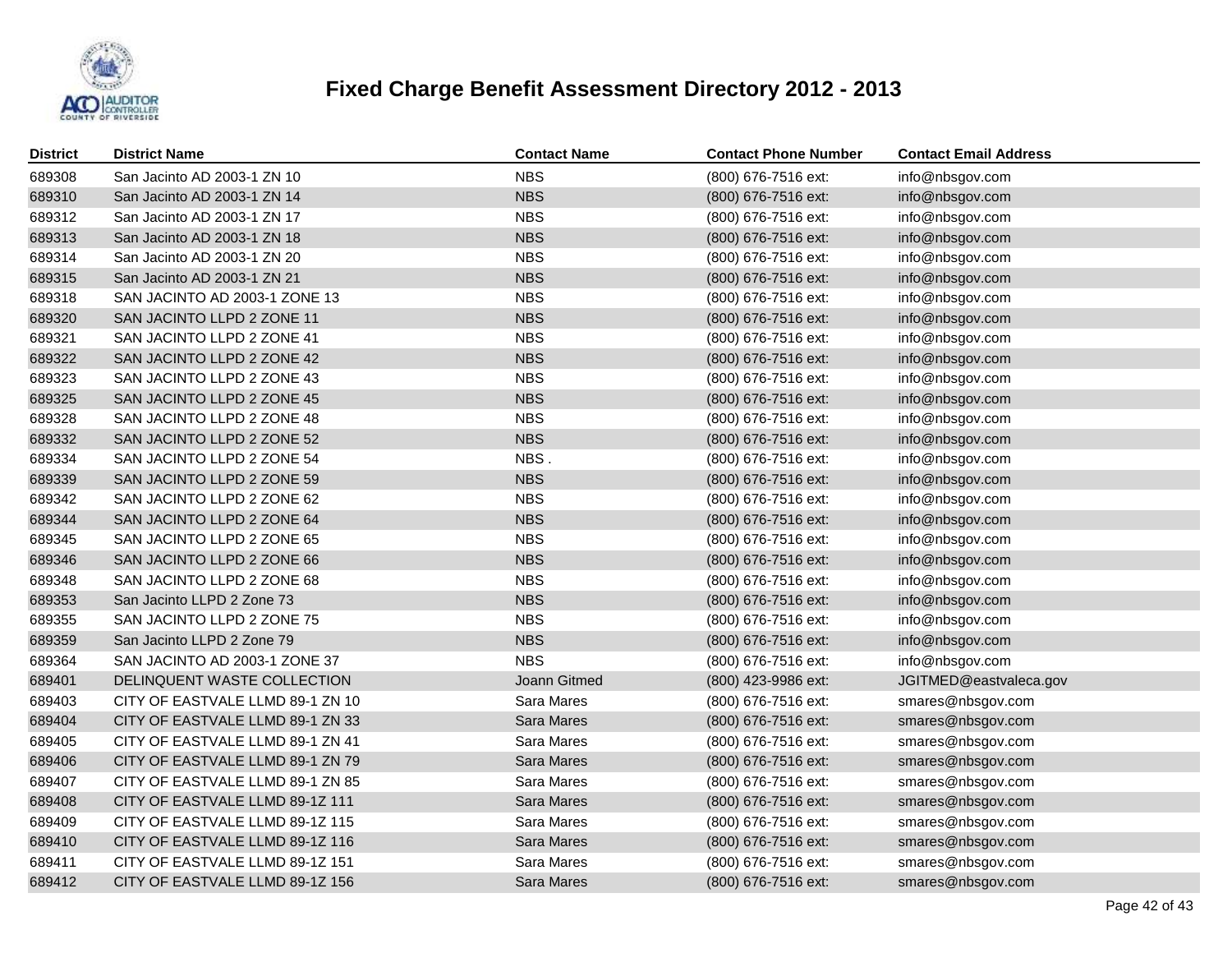

| District | <b>District Name</b>             | <b>Contact Name</b> | <b>Contact Phone Number</b> | <b>Contact Email Address</b> |
|----------|----------------------------------|---------------------|-----------------------------|------------------------------|
| 689308   | San Jacinto AD 2003-1 ZN 10      | <b>NBS</b>          | (800) 676-7516 ext:         | info@nbsgov.com              |
| 689310   | San Jacinto AD 2003-1 ZN 14      | <b>NBS</b>          | (800) 676-7516 ext:         | info@nbsgov.com              |
| 689312   | San Jacinto AD 2003-1 ZN 17      | <b>NBS</b>          | (800) 676-7516 ext:         | info@nbsgov.com              |
| 689313   | San Jacinto AD 2003-1 ZN 18      | <b>NBS</b>          | (800) 676-7516 ext:         | info@nbsgov.com              |
| 689314   | San Jacinto AD 2003-1 ZN 20      | <b>NBS</b>          | (800) 676-7516 ext:         | info@nbsgov.com              |
| 689315   | San Jacinto AD 2003-1 ZN 21      | <b>NBS</b>          | (800) 676-7516 ext:         | info@nbsgov.com              |
| 689318   | SAN JACINTO AD 2003-1 ZONE 13    | <b>NBS</b>          | (800) 676-7516 ext:         | info@nbsgov.com              |
| 689320   | SAN JACINTO LLPD 2 ZONE 11       | <b>NBS</b>          | (800) 676-7516 ext:         | info@nbsgov.com              |
| 689321   | SAN JACINTO LLPD 2 ZONE 41       | <b>NBS</b>          | (800) 676-7516 ext:         | info@nbsgov.com              |
| 689322   | SAN JACINTO LLPD 2 ZONE 42       | <b>NBS</b>          | (800) 676-7516 ext:         | info@nbsgov.com              |
| 689323   | SAN JACINTO LLPD 2 ZONE 43       | <b>NBS</b>          | (800) 676-7516 ext:         | info@nbsgov.com              |
| 689325   | SAN JACINTO LLPD 2 ZONE 45       | <b>NBS</b>          | (800) 676-7516 ext:         | info@nbsgov.com              |
| 689328   | SAN JACINTO LLPD 2 ZONE 48       | <b>NBS</b>          | (800) 676-7516 ext:         | info@nbsgov.com              |
| 689332   | SAN JACINTO LLPD 2 ZONE 52       | <b>NBS</b>          | (800) 676-7516 ext:         | info@nbsgov.com              |
| 689334   | SAN JACINTO LLPD 2 ZONE 54       | NBS.                | (800) 676-7516 ext:         | info@nbsgov.com              |
| 689339   | SAN JACINTO LLPD 2 ZONE 59       | <b>NBS</b>          | (800) 676-7516 ext:         | info@nbsgov.com              |
| 689342   | SAN JACINTO LLPD 2 ZONE 62       | <b>NBS</b>          | (800) 676-7516 ext:         | info@nbsgov.com              |
| 689344   | SAN JACINTO LLPD 2 ZONE 64       | <b>NBS</b>          | (800) 676-7516 ext:         | info@nbsgov.com              |
| 689345   | SAN JACINTO LLPD 2 ZONE 65       | <b>NBS</b>          | (800) 676-7516 ext:         | info@nbsgov.com              |
| 689346   | SAN JACINTO LLPD 2 ZONE 66       | <b>NBS</b>          | (800) 676-7516 ext:         | info@nbsgov.com              |
| 689348   | SAN JACINTO LLPD 2 ZONE 68       | <b>NBS</b>          | (800) 676-7516 ext:         | info@nbsgov.com              |
| 689353   | San Jacinto LLPD 2 Zone 73       | <b>NBS</b>          | (800) 676-7516 ext:         | info@nbsgov.com              |
| 689355   | SAN JACINTO LLPD 2 ZONE 75       | <b>NBS</b>          | (800) 676-7516 ext:         | info@nbsgov.com              |
| 689359   | San Jacinto LLPD 2 Zone 79       | <b>NBS</b>          | (800) 676-7516 ext:         | info@nbsgov.com              |
| 689364   | SAN JACINTO AD 2003-1 ZONE 37    | <b>NBS</b>          | (800) 676-7516 ext:         | info@nbsgov.com              |
| 689401   | DELINQUENT WASTE COLLECTION      | Joann Gitmed        | (800) 423-9986 ext:         | JGITMED@eastvaleca.gov       |
| 689403   | CITY OF EASTVALE LLMD 89-1 ZN 10 | Sara Mares          | (800) 676-7516 ext:         | smares@nbsgov.com            |
| 689404   | CITY OF EASTVALE LLMD 89-1 ZN 33 | Sara Mares          | (800) 676-7516 ext:         | smares@nbsgov.com            |
| 689405   | CITY OF EASTVALE LLMD 89-1 ZN 41 | Sara Mares          | (800) 676-7516 ext:         | smares@nbsgov.com            |
| 689406   | CITY OF EASTVALE LLMD 89-1 ZN 79 | Sara Mares          | (800) 676-7516 ext:         | smares@nbsgov.com            |
| 689407   | CITY OF EASTVALE LLMD 89-1 ZN 85 | Sara Mares          | (800) 676-7516 ext:         | smares@nbsgov.com            |
| 689408   | CITY OF EASTVALE LLMD 89-1Z 111  | Sara Mares          | (800) 676-7516 ext:         | smares@nbsgov.com            |
| 689409   | CITY OF EASTVALE LLMD 89-1Z 115  | Sara Mares          | (800) 676-7516 ext:         | smares@nbsgov.com            |
| 689410   | CITY OF EASTVALE LLMD 89-1Z 116  | Sara Mares          | (800) 676-7516 ext:         | smares@nbsgov.com            |
| 689411   | CITY OF EASTVALE LLMD 89-1Z 151  | Sara Mares          | (800) 676-7516 ext:         | smares@nbsgov.com            |
| 689412   | CITY OF EASTVALE LLMD 89-1Z 156  | <b>Sara Mares</b>   | (800) 676-7516 ext:         | smares@nbsgov.com            |